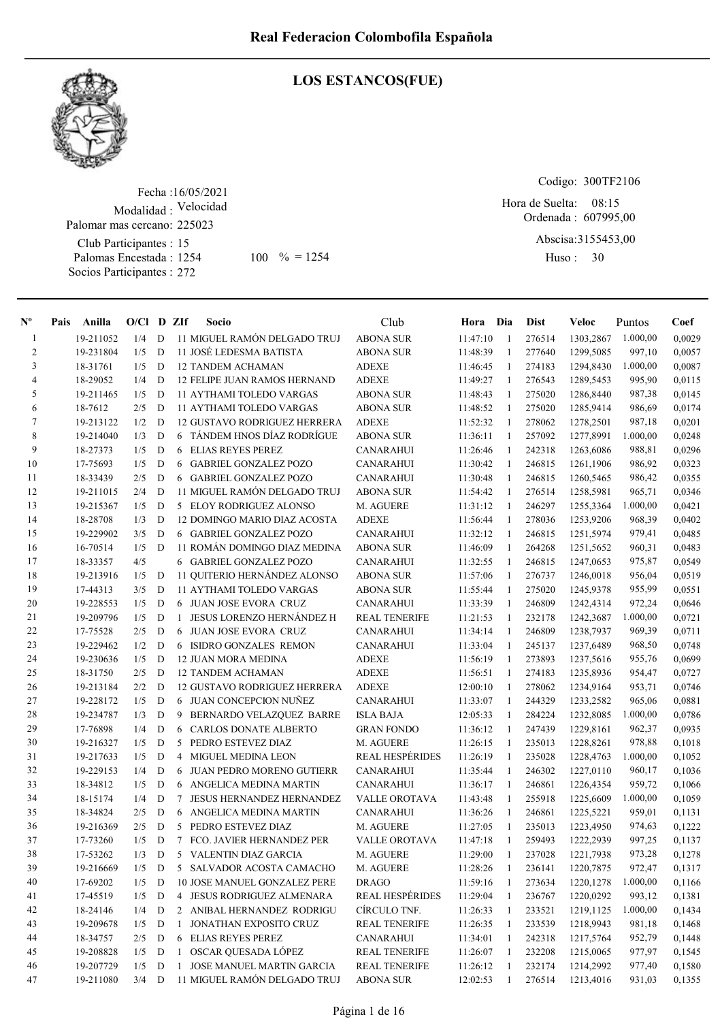

# LOS ESTANCOS(FUE)

Fecha : 16/05/2021 Modalidad : Velocidad Club Participantes : 15 Palomas Encestada : Socios Participantes : 272 Palomar mas cercano: 225023 1254 100 % = 1254 Huso: 30

Codigo: 300TF2106

Ordenada : 607995,00 Hora de Suelta: 08:15

Abscisa: 3155453,00

Huso: 30

| $\mathbf{N}^{\mathbf{o}}$ | Pais | Anilla    | $O/Cl$ D ZIf |              |              | Socio                               | Club                   | Hora     | Dia          | <b>Dist</b> | Veloc      | Puntos   | Coef   |
|---------------------------|------|-----------|--------------|--------------|--------------|-------------------------------------|------------------------|----------|--------------|-------------|------------|----------|--------|
| $\mathbf{1}$              |      | 19-211052 | 1/4          | D            |              | 11 MIGUEL RAMÓN DELGADO TRUJ        | <b>ABONA SUR</b>       | 11:47:10 | $\mathbf{1}$ | 276514      | 1303,2867  | 1.000,00 | 0,0029 |
| 2                         |      | 19-231804 | 1/5          | D            |              | 11 JOSÉ LEDESMA BATISTA             | <b>ABONA SUR</b>       | 11:48:39 | 1            | 277640      | 1299,5085  | 997,10   | 0,0057 |
| 3                         |      | 18-31761  | 1/5          | D            |              | <b>12 TANDEM ACHAMAN</b>            | <b>ADEXE</b>           | 11:46:45 | $\mathbf{1}$ | 274183      | 1294,8430  | 1.000,00 | 0,0087 |
| $\overline{4}$            |      | 18-29052  | 1/4          | D            |              | 12 FELIPE JUAN RAMOS HERNAND        | <b>ADEXE</b>           | 11:49:27 | 1            | 276543      | 1289,5453  | 995,90   | 0,0115 |
| 5                         |      | 19-211465 | 1/5          | D            |              | <b>11 AYTHAMI TOLEDO VARGAS</b>     | <b>ABONA SUR</b>       | 11:48:43 | 1            | 275020      | 1286,8440  | 987,38   | 0,0145 |
| 6                         |      | 18-7612   | 2/5          | D            |              | <b>11 AYTHAMI TOLEDO VARGAS</b>     | <b>ABONA SUR</b>       | 11:48:52 | -1           | 275020      | 1285,9414  | 986,69   | 0,0174 |
| 7                         |      | 19-213122 | 1/2          | D            |              | <b>12 GUSTAVO RODRIGUEZ HERRERA</b> | <b>ADEXE</b>           | 11:52:32 | 1            | 278062      | 1278,2501  | 987,18   | 0,0201 |
| 8                         |      | 19-214040 | 1/3          | D            | 6            | TÁNDEM HNOS DÍAZ RODRÍGUE           | <b>ABONA SUR</b>       | 11:36:11 | -1           | 257092      | 1277,8991  | 1.000,00 | 0,0248 |
| 9                         |      | 18-27373  | 1/5          | D            | 6            | <b>ELIAS REYES PEREZ</b>            | CANARAHUI              | 11:26:46 | 1            | 242318      | 1263,6086  | 988,81   | 0,0296 |
| 10                        |      | 17-75693  | 1/5          | D            | 6            | <b>GABRIEL GONZALEZ POZO</b>        | <b>CANARAHUI</b>       | 11:30:42 | 1            | 246815      | 1261,1906  | 986,92   | 0,0323 |
| 11                        |      | 18-33439  | 2/5          | D            |              | 6 GABRIEL GONZALEZ POZO             | CANARAHUI              | 11:30:48 | 1            | 246815      | 1260,5465  | 986,42   | 0,0355 |
| 12                        |      | 19-211015 | 2/4          | D            |              | 11 MIGUEL RAMÓN DELGADO TRUJ        | <b>ABONA SUR</b>       | 11:54:42 | 1            | 276514      | 1258,5981  | 965,71   | 0,0346 |
| 13                        |      | 19-215367 | 1/5          | D            |              | 5 ELOY RODRIGUEZ ALONSO             | M. AGUERE              | 11:31:12 | -1           | 246297      | 1255,3364  | 1.000,00 | 0,0421 |
| 14                        |      | 18-28708  | 1/3          | D            |              | 12 DOMINGO MARIO DIAZ ACOSTA        | <b>ADEXE</b>           | 11:56:44 | 1            | 278036      | 1253,9206  | 968,39   | 0,0402 |
| 15                        |      | 19-229902 | 3/5          | D            |              | 6 GABRIEL GONZALEZ POZO             | <b>CANARAHUI</b>       | 11:32:12 | -1           | 246815      | 1251,5974  | 979,41   | 0,0485 |
| 16                        |      | 16-70514  | 1/5          | D            |              | 11 ROMÁN DOMINGO DIAZ MEDINA        | <b>ABONA SUR</b>       | 11:46:09 | 1            | 264268      | 1251,5652  | 960,31   | 0,0483 |
| 17                        |      | 18-33357  | 4/5          |              |              | 6 GABRIEL GONZALEZ POZO             | <b>CANARAHUI</b>       | 11:32:55 | -1           | 246815      | 1247,0653  | 975,87   | 0,0549 |
| 18                        |      | 19-213916 | 1/5          | D            |              | 11 QUITERIO HERNÁNDEZ ALONSO        | <b>ABONA SUR</b>       | 11:57:06 | -1           | 276737      | 1246,0018  | 956,04   | 0,0519 |
| 19                        |      | 17-44313  | 3/5          | D            |              | 11 AYTHAMI TOLEDO VARGAS            | <b>ABONA SUR</b>       | 11:55:44 | 1            | 275020      | 1245,9378  | 955,99   | 0,0551 |
| 20                        |      | 19-228553 | 1/5          | D            |              | 6 JUAN JOSE EVORA CRUZ              | <b>CANARAHUI</b>       | 11:33:39 | 1            | 246809      | 1242,4314  | 972,24   | 0,0646 |
| 21                        |      | 19-209796 | 1/5          | D            | $\mathbf{1}$ | <b>JESUS LORENZO HERNÁNDEZ H</b>    | <b>REAL TENERIFE</b>   | 11:21:53 | 1            | 232178      | 1242,3687  | 1.000,00 | 0,0721 |
| 22                        |      | 17-75528  | 2/5          | D            | 6            | <b>JUAN JOSE EVORA CRUZ</b>         | <b>CANARAHUI</b>       | 11:34:14 | 1            | 246809      | 1238,7937  | 969,39   | 0,0711 |
| 23                        |      | 19-229462 | 1/2          | D            | 6            | ISIDRO GONZALES REMON               | <b>CANARAHUI</b>       | 11:33:04 | 1            | 245137      | 1237,6489  | 968,50   | 0,0748 |
| 24                        |      | 19-230636 | 1/5          | D            |              | <b>12 JUAN MORA MEDINA</b>          | <b>ADEXE</b>           | 11:56:19 | 1            | 273893      | 1237,5616  | 955,76   | 0,0699 |
| 25                        |      | 18-31750  | 2/5          | D            |              | <b>12 TANDEM ACHAMAN</b>            | <b>ADEXE</b>           | 11:56:51 | 1            | 274183      | 1235,8936  | 954,47   | 0,0727 |
| 26                        |      | 19-213184 | 2/2          | D            |              | <b>12 GUSTAVO RODRIGUEZ HERRERA</b> | <b>ADEXE</b>           | 12:00:10 | 1            | 278062      | 1234,9164  | 953,71   | 0,0746 |
| 27                        |      | 19-228172 | 1/5          | D            |              | 6 JUAN CONCEPCION NUÑEZ             | CANARAHUI              | 11:33:07 | 1            | 244329      | 1233,2582  | 965,06   | 0,0881 |
| 28                        |      | 19-234787 | 1/3          | D            | 9            | BERNARDO VELAZQUEZ BARRE            | <b>ISLA BAJA</b>       | 12:05:33 | 1            | 284224      | 1232,8085  | 1.000,00 | 0,0786 |
| 29                        |      | 17-76898  | 1/4          | D            | 6            | <b>CARLOS DONATE ALBERTO</b>        | <b>GRAN FONDO</b>      | 11:36:12 | 1            | 247439      | 1229,8161  | 962,37   | 0,0935 |
| 30                        |      | 19-216327 | 1/5          | D            | 5            | PEDRO ESTEVEZ DIAZ                  | M. AGUERE              | 11:26:15 | -1           | 235013      | 1228,8261  | 978,88   | 0,1018 |
| 31                        |      | 19-217633 | 1/5          | D            | 4            | <b>MIGUEL MEDINA LEON</b>           | <b>REAL HESPÉRIDES</b> | 11:26:19 | 1            | 235028      | 1228,4763  | 1.000,00 | 0,1052 |
| 32                        |      | 19-229153 | 1/4          | D            | 6            | <b>JUAN PEDRO MORENO GUTIERR</b>    | <b>CANARAHUI</b>       | 11:35:44 | 1            | 246302      | 1227,0110  | 960,17   | 0,1036 |
| 33                        |      | 18-34812  | 1/5          | D            | 6            | ANGELICA MEDINA MARTIN              | <b>CANARAHUI</b>       | 11:36:17 | 1            | 246861      | 1226,4354  | 959,72   | 0,1066 |
| 34                        |      | 18-15174  | 1/4          | D            | 7            | <b>JESUS HERNANDEZ HERNANDEZ</b>    | <b>VALLE OROTAVA</b>   | 11:43:48 | 1            | 255918      | 1225,6609  | 1.000,00 | 0,1059 |
| 35                        |      | 18-34824  | 2/5          | D            | 6            | ANGELICA MEDINA MARTIN              | <b>CANARAHUI</b>       | 11:36:26 | 1            | 246861      | 1225,5221  | 959,01   | 0,1131 |
| 36                        |      | 19-216369 | 2/5          | D            | 5            | PEDRO ESTEVEZ DIAZ                  | M. AGUERE              | 11:27:05 | 1            | 235013      | 1223,4950  | 974,63   | 0,1222 |
| 37                        |      | 17-73260  | 1/5          | D            |              | 7 FCO. JAVIER HERNANDEZ PER         | <b>VALLE OROTAVA</b>   | 11:47:18 | 1            | 259493      | 1222,2939  | 997,25   | 0,1137 |
| 38                        |      | 17-53262  | 1/3          | $\mathbf{D}$ |              | 5 VALENTIN DIAZ GARCIA              | M. AGUERE              | 11:29:00 | $\mathbf{1}$ | 237028      | 1221,7938  | 973,28   | 0,1278 |
| 39                        |      | 19-216669 | 1/5          | D            |              | 5 SALVADOR ACOSTA CAMACHO           | M. AGUERE              | 11:28:26 | 1            | 236141      | 1220,7875  | 972,47   | 0,1317 |
| 40                        |      | 17-69202  | 1/5          | D            |              | 10 JOSE MANUEL GONZALEZ PERE        | <b>DRAGO</b>           | 11:59:16 | 1            | 273634      | 1220, 1278 | 1.000,00 | 0,1166 |
| 41                        |      | 17-45519  | 1/5          | $\mathbf D$  |              | 4 JESUS RODRIGUEZ ALMENARA          | <b>REAL HESPÉRIDES</b> | 11:29:04 | $\mathbf{1}$ | 236767      | 1220,0292  | 993,12   | 0,1381 |
| 42                        |      | 18-24146  | 1/4          | D            |              | 2 ANIBAL HERNANDEZ RODRIGU          | CÍRCULO TNF.           | 11:26:33 | $\mathbf{1}$ | 233521      | 1219,1125  | 1.000,00 | 0,1434 |
| 43                        |      | 19-209678 | 1/5          | D            | $\mathbf{1}$ | JONATHAN EXPOSITO CRUZ              | <b>REAL TENERIFE</b>   | 11:26:35 | 1            | 233539      | 1218,9943  | 981,18   | 0,1468 |
| 44                        |      | 18-34757  | 2/5          | D            | 6            | <b>ELIAS REYES PEREZ</b>            | <b>CANARAHUI</b>       | 11:34:01 | $\mathbf{1}$ | 242318      | 1217,5764  | 952,79   | 0,1448 |
| 45                        |      | 19-208828 | 1/5          | D            | $\mathbf{1}$ | OSCAR QUESADA LÓPEZ                 | <b>REAL TENERIFE</b>   | 11:26:07 | 1            | 232208      | 1215,0065  | 977,97   | 0,1545 |
| 46                        |      | 19-207729 | 1/5          | $\mathbf D$  | $\mathbf{1}$ | JOSE MANUEL MARTIN GARCIA           | <b>REAL TENERIFE</b>   | 11:26:12 | 1            | 232174      | 1214,2992  | 977,40   | 0,1580 |
| 47                        |      | 19-211080 | $3/4$ D      |              |              | 11 MIGUEL RAMÓN DELGADO TRUJ        | <b>ABONA SUR</b>       | 12:02:53 | 1            | 276514      | 1213,4016  | 931,03   | 0,1355 |
|                           |      |           |              |              |              |                                     |                        |          |              |             |            |          |        |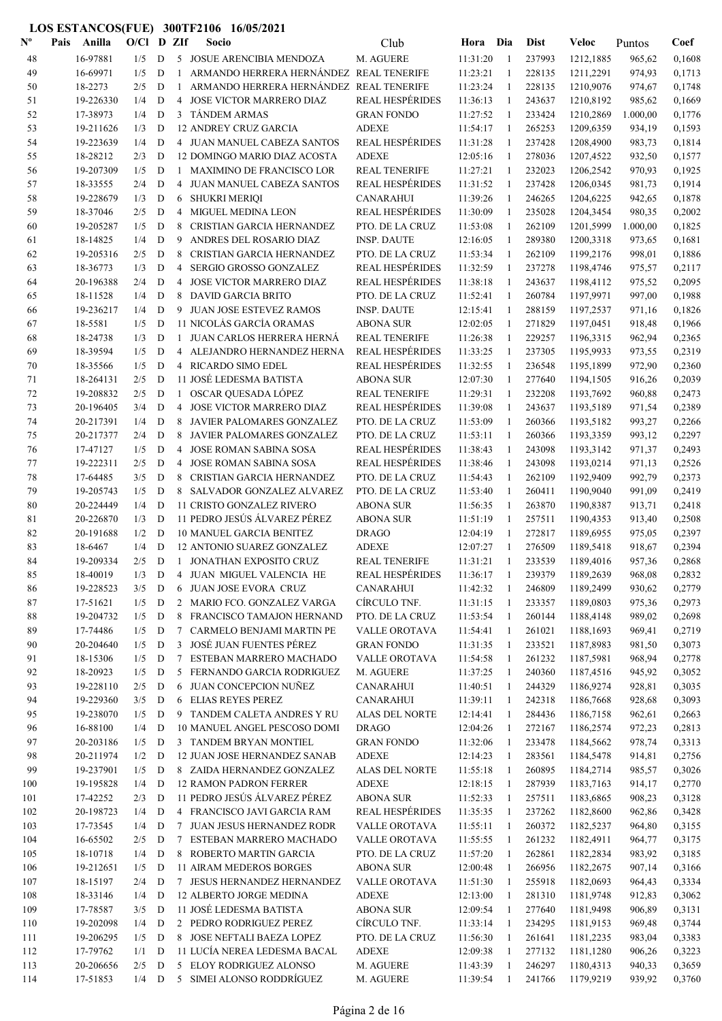| $\mathbf{N}^{\mathbf{o}}$ | Pais | Anilla                 | O/Cl       |                  | D ZIf           | Socio                                                       | Club                                           | Hora                 | Dia                | <b>Dist</b>      | Veloc                  | Puntos           | Coef             |
|---------------------------|------|------------------------|------------|------------------|-----------------|-------------------------------------------------------------|------------------------------------------------|----------------------|--------------------|------------------|------------------------|------------------|------------------|
| 48                        |      | 16-97881               | 1/5        | D                |                 | 5 JOSUE ARENCIBIA MENDOZA                                   | M. AGUERE                                      | 11:31:20             | $\overline{1}$     | 237993           | 1212,1885              | 965,62           | 0,1608           |
| 49                        |      | 16-69971               | 1/5        | D                |                 | ARMANDO HERRERA HERNÁNDEZ REAL TENERIFE                     |                                                | 11:23:21             | 1                  | 228135           | 1211,2291              | 974,93           | 0,1713           |
| 50                        |      | 18-2273                | 2/5        | D                | $\mathbf{1}$    | ARMANDO HERRERA HERNÁNDEZ REAL TENERIFE                     |                                                | 11:23:24             | -1                 | 228135           | 1210,9076              | 974,67           | 0,1748           |
| 51                        |      | 19-226330              | 1/4        | D                | $\overline{4}$  | <b>JOSE VICTOR MARRERO DIAZ</b>                             | <b>REAL HESPÉRIDES</b>                         | 11:36:13             | 1                  | 243637           | 1210,8192              | 985,62           | 0,1669           |
| 52                        |      | 17-38973               | 1/4        | D                | 3               | <b>TÁNDEM ARMAS</b>                                         | <b>GRAN FONDO</b>                              | 11:27:52             | -1                 | 233424           | 1210,2869              | 1.000,00         | 0,1776           |
| 53                        |      | 19-211626              | 1/3        | D                |                 | <b>12 ANDREY CRUZ GARCIA</b>                                | <b>ADEXE</b>                                   | 11:54:17             | $\mathbf{1}$       | 265253           | 1209,6359              | 934,19           | 0,1593           |
| 54                        |      | 19-223639              | 1/4        | D                |                 | 4 JUAN MANUEL CABEZA SANTOS                                 | <b>REAL HESPÉRIDES</b>                         | 11:31:28             | $\mathbf{1}$       | 237428           | 1208,4900              | 983,73           | 0,1814           |
| 55                        |      | 18-28212               | 2/3        | D                |                 | 12 DOMINGO MARIO DIAZ ACOSTA                                | <b>ADEXE</b>                                   | 12:05:16             | -1                 | 278036           | 1207,4522              | 932,50           | 0,1577           |
| 56                        |      | 19-207309              | 1/5        | D                | 1               | MAXIMINO DE FRANCISCO LOR                                   | <b>REAL TENERIFE</b>                           | 11:27:21             | 1                  | 232023           | 1206,2542              | 970,93           | 0,1925           |
| 57                        |      | 18-33555               | 2/4        | $\mathbf D$      | 4               | JUAN MANUEL CABEZA SANTOS                                   | <b>REAL HESPÉRIDES</b>                         | 11:31:52             | 1                  | 237428           | 1206,0345              | 981,73           | 0,1914           |
| 58                        |      | 19-228679              | 1/3        | $\mathbf D$      | 6               | <b>SHUKRI MERIQI</b>                                        | <b>CANARAHUI</b>                               | 11:39:26             | 1                  | 246265           | 1204,6225              | 942,65           | 0,1878           |
| 59                        |      | 18-37046               | 2/5        | D                | 4               | <b>MIGUEL MEDINA LEON</b>                                   | <b>REAL HESPÉRIDES</b>                         | 11:30:09             | $\mathbf{1}$       | 235028           | 1204,3454              | 980,35           | 0,2002           |
| 60                        |      | 19-205287              | 1/5        | D                | 8               | CRISTIAN GARCIA HERNANDEZ                                   | PTO. DE LA CRUZ                                | 11:53:08             | 1                  | 262109           | 1201,5999              | 1.000,00         | 0,1825           |
| 61                        |      | 18-14825               | 1/4        | D                | 9               | ANDRES DEL ROSARIO DIAZ                                     | <b>INSP. DAUTE</b>                             | 12:16:05             | $\mathbf{1}$       | 289380           | 1200,3318              | 973,65           | 0,1681           |
| 62                        |      | 19-205316              | 2/5        | D                | 8               | CRISTIAN GARCIA HERNANDEZ                                   | PTO. DE LA CRUZ                                | 11:53:34             | $\mathbf{1}$       | 262109           | 1199,2176              | 998,01           | 0,1886           |
| 63                        |      | 18-36773               | 1/3        | D                | 4               | SERGIO GROSSO GONZALEZ                                      | <b>REAL HESPÉRIDES</b>                         | 11:32:59             | 1                  | 237278           | 1198,4746              | 975,57           | 0,2117           |
| 64                        |      | 20-196388              | 2/4        | D                | 4               | <b>JOSE VICTOR MARRERO DIAZ</b>                             | <b>REAL HESPÉRIDES</b>                         | 11:38:18             | 1                  | 243637           | 1198,4112              | 975,52           | 0,2095           |
| 65                        |      | 18-11528               | 1/4        | $\mathbf D$      | 8               | <b>DAVID GARCIA BRITO</b>                                   | PTO. DE LA CRUZ                                | 11:52:41             | $\mathbf{1}$       | 260784           | 1197,9971              | 997,00           | 0,1988           |
| 66                        |      | 19-236217              | 1/4        | D                | 9               | <b>JUAN JOSE ESTEVEZ RAMOS</b>                              | <b>INSP. DAUTE</b>                             | 12:15:41             | $\mathbf{1}$       | 288159           | 1197,2537              | 971,16           | 0,1826           |
| 67                        |      | 18-5581<br>18-24738    | 1/5        | D                | $\mathbf{1}$    | 11 NICOLÁS GARCÍA ORAMAS                                    | <b>ABONA SUR</b>                               | 12:02:05             | 1                  | 271829           | 1197,0451              | 918,48           | 0,1966           |
| 68<br>69                  |      | 18-39594               | 1/3<br>1/5 | $\mathbf D$<br>D |                 | JUAN CARLOS HERRERA HERNÁ<br>4 ALEJANDRO HERNANDEZ HERNA    | <b>REAL TENERIFE</b><br><b>REAL HESPÉRIDES</b> | 11:26:38<br>11:33:25 | 1                  | 229257<br>237305 | 1196,3315<br>1195,9933 | 962,94<br>973,55 | 0,2365<br>0,2319 |
|                           |      | 18-35566               | 1/5        | D                |                 | 4 RICARDO SIMO EDEL                                         | <b>REAL HESPÉRIDES</b>                         | 11:32:55             | 1<br>1             | 236548           | 1195,1899              | 972,90           | 0,2360           |
| 70                        |      | 18-264131              | 2/5        | D                |                 | 11 JOSÉ LEDESMA BATISTA                                     | <b>ABONA SUR</b>                               | 12:07:30             | 1                  | 277640           | 1194,1505              | 916,26           | 0,2039           |
| 71<br>72                  |      | 19-208832              | 2/5        | D                |                 | 1 OSCAR QUESADA LÓPEZ                                       | <b>REAL TENERIFE</b>                           | 11:29:31             | 1                  | 232208           | 1193,7692              | 960,88           | 0,2473           |
| 73                        |      | 20-196405              | 3/4        | D                | 4               | JOSE VICTOR MARRERO DIAZ                                    | <b>REAL HESPÉRIDES</b>                         | 11:39:08             | 1                  | 243637           | 1193,5189              | 971,54           | 0,2389           |
| 74                        |      | 20-217391              | 1/4        | D                | 8               | JAVIER PALOMARES GONZALEZ                                   | PTO. DE LA CRUZ                                | 11:53:09             | $\mathbf{1}$       | 260366           | 1193,5182              | 993,27           | 0,2266           |
| 75                        |      | 20-217377              | 2/4        | D                | 8               | JAVIER PALOMARES GONZALEZ                                   | PTO. DE LA CRUZ                                | 11:53:11             | 1                  | 260366           | 1193,3359              | 993,12           | 0,2297           |
| 76                        |      | 17-47127               | 1/5        | D                | 4               | <b>JOSE ROMAN SABINA SOSA</b>                               | <b>REAL HESPÉRIDES</b>                         | 11:38:43             | 1                  | 243098           | 1193,3142              | 971,37           | 0,2493           |
| 77                        |      | 19-222311              | 2/5        | D                | 4               | <b>JOSE ROMAN SABINA SOSA</b>                               | <b>REAL HESPÉRIDES</b>                         | 11:38:46             | $\mathbf{1}$       | 243098           | 1193,0214              | 971,13           | 0,2526           |
| 78                        |      | 17-64485               | 3/5        | $\mathbf D$      | 8               | CRISTIAN GARCIA HERNANDEZ                                   | PTO. DE LA CRUZ                                | 11:54:43             | $\mathbf{1}$       | 262109           | 1192,9409              | 992,79           | 0,2373           |
| 79                        |      | 19-205743              | 1/5        | D                | 8               | SALVADOR GONZALEZ ALVAREZ                                   | PTO. DE LA CRUZ                                | 11:53:40             | -1                 | 260411           | 1190,9040              | 991,09           | 0,2419           |
| 80                        |      | 20-224449              | 1/4        | D                |                 | <b>11 CRISTO GONZALEZ RIVERO</b>                            | <b>ABONA SUR</b>                               | 11:56:35             | 1                  | 263870           | 1190,8387              | 913,71           | 0,2418           |
| 81                        |      | 20-226870              | 1/3        | D                |                 | 11 PEDRO JESÚS ÁLVAREZ PÉREZ                                | <b>ABONA SUR</b>                               | 11:51:19             | 1                  | 257511           | 1190,4353              | 913,40           | 0,2508           |
| 82                        |      | 20-191688              | 1/2        | D                |                 | <b>10 MANUEL GARCIA BENITEZ</b>                             | <b>DRAGO</b>                                   | 12:04:19             | 1                  | 272817           | 1189,6955              | 975,05           | 0,2397           |
| 83                        |      | 18-6467                | 1/4        | D                |                 | 12 ANTONIO SUAREZ GONZALEZ                                  | <b>ADEXE</b>                                   | 12:07:27             | 1                  | 276509           | 1189,5418              | 918,67           | 0,2394           |
| 84                        |      | 19-209334              | 2/5        | D                |                 | 1 JONATHAN EXPOSITO CRUZ                                    | <b>REAL TENERIFE</b>                           | 11:31:21             | 1                  | 233539           | 1189,4016              | 957,36           | 0,2868           |
| 85                        |      | 18-40019               | 1/3        | D                |                 | 4 JUAN MIGUEL VALENCIA HE                                   | REAL HESPÉRIDES                                | 11:36:17             |                    | 239379           | 1189,2639              | 968,08           | 0,2832           |
| 86                        |      | 19-228523              | 3/5        | D                | 6               | JUAN JOSE EVORA CRUZ                                        | <b>CANARAHUI</b>                               | 11:42:32             | 1                  | 246809           | 1189,2499              | 930,62           | 0,2779           |
| 87                        |      | 17-51621               | 1/5        | D                | $\overline{2}$  | MARIO FCO. GONZALEZ VARGA                                   | CÍRCULO TNF.                                   | 11:31:15             | 1                  | 233357           | 1189,0803              | 975,36           | 0,2973           |
| 88                        |      | 19-204732              | 1/5        | D                | 8               | FRANCISCO TAMAJON HERNAND                                   | PTO. DE LA CRUZ                                | 11:53:54             | 1                  | 260144           | 1188,4148              | 989,02           | 0,2698           |
| 89                        |      | 17-74486               | 1/5        | D                | $7\phantom{.0}$ | CARMELO BENJAMI MARTIN PE                                   | VALLE OROTAVA                                  | 11:54:41             | -1                 | 261021           | 1188,1693              | 969,41           | 0,2719           |
| 90                        |      | 20-204640              | 1/5        | D                | $\mathfrak{Z}$  | JOSÉ JUAN FUENTES PÉREZ                                     | <b>GRAN FONDO</b>                              | 11:31:35             | $\mathbf{1}$       | 233521           | 1187,8983              | 981,50           | 0,3073           |
| 91                        |      | 18-15306               | 1/5        | D                | $\tau$          | ESTEBAN MARRERO MACHADO                                     | VALLE OROTAVA                                  | 11:54:58             | 1                  | 261232           | 1187,5981              | 968,94           | 0,2778           |
| 92                        |      | 18-20923               | 1/5        | D                | 5               | FERNANDO GARCIA RODRIGUEZ                                   | M. AGUERE                                      | 11:37:25             | 1                  | 240360           | 1187,4516              | 945,92           | 0,3052           |
| 93                        |      | 19-228110              | 2/5        | D                | 6               | JUAN CONCEPCION NUÑEZ                                       | <b>CANARAHUI</b>                               | 11:40:51             | 1                  | 244329           | 1186,9274              | 928,81           | 0,3035           |
| 94                        |      | 19-229360              | 3/5        | D                |                 | 6 ELIAS REYES PEREZ                                         | <b>CANARAHUI</b>                               | 11:39:11             | $\mathbf{1}$       | 242318           | 1186,7668              | 928,68           | 0,3093           |
| 95                        |      | 19-238070              | 1/5        | D                |                 | 9 TANDEM CALETA ANDRES Y RU                                 | <b>ALAS DEL NORTE</b>                          | 12:14:41             | 1                  | 284436           | 1186,7158              | 962,61           | 0,2663           |
| 96                        |      | 16-88100               | 1/4        | D                |                 | 10 MANUEL ANGEL PESCOSO DOMI                                | <b>DRAGO</b>                                   | 12:04:26             | 1                  | 272167           | 1186,2574              | 972,23           | 0,2813           |
| 97                        |      | 20-203186              | 1/5        | D                |                 | 3 TANDEM BRYAN MONTIEL                                      | <b>GRAN FONDO</b>                              | 11:32:06             | 1                  | 233478           | 1184,5662              | 978,74           | 0,3313           |
| 98                        |      | 20-211974              | 1/2        | D                |                 | 12 JUAN JOSE HERNANDEZ SANAB                                | <b>ADEXE</b>                                   | 12:14:23             | 1                  | 283561           | 1184,5478              | 914,81           | 0,2756           |
| 99                        |      | 19-237901<br>19-195828 | 1/5<br>1/4 | D<br>D           |                 | 8 ZAIDA HERNANDEZ GONZALEZ<br><b>12 RAMON PADRON FERRER</b> | ALAS DEL NORTE<br><b>ADEXE</b>                 | 11:55:18             | 1                  | 260895<br>287939 | 1184,2714<br>1183,7163 | 985,57           | 0,3026           |
| 100                       |      | 17-42252               | 2/3        | D                |                 | 11 PEDRO JESÚS ÁLVAREZ PÉREZ                                | <b>ABONA SUR</b>                               | 12:18:15             | -1                 | 257511           | 1183,6865              | 914,17<br>908,23 | 0,2770<br>0,3128 |
| 101<br>102                |      | 20-198723              | 1/4        | D                |                 | 4 FRANCISCO JAVI GARCIA RAM                                 | <b>REAL HESPÉRIDES</b>                         | 11:52:33<br>11:35:35 | -1<br>$\mathbf{1}$ | 237262           | 1182,8600              | 962,86           | 0,3428           |
| 103                       |      | 17-73545               | 1/4        | D                |                 | 7 JUAN JESUS HERNANDEZ RODR                                 | VALLE OROTAVA                                  | 11:55:11             | $\mathbf{1}$       | 260372           | 1182,5237              | 964,80           | 0,3155           |
| 104                       |      | 16-65502               | 2/5        | D                | 7               | ESTEBAN MARRERO MACHADO                                     | VALLE OROTAVA                                  | 11:55:55             | 1                  | 261232           | 1182,4911              | 964,77           | 0,3175           |
| 105                       |      | 18-10718               | 1/4        | $\mathbf D$      | 8               | ROBERTO MARTIN GARCIA                                       | PTO. DE LA CRUZ                                | 11:57:20             | 1                  | 262861           | 1182,2834              | 983,92           | 0,3185           |
| 106                       |      | 19-212651              | 1/5        | D                |                 | 11 AIRAM MEDEROS BORGES                                     | <b>ABONA SUR</b>                               | 12:00:48             | 1                  | 266956           | 1182,2675              | 907,14           | 0,3166           |
| 107                       |      | 18-15197               | 2/4        | D                |                 | 7 JESUS HERNANDEZ HERNANDEZ                                 | VALLE OROTAVA                                  | 11:51:30             | 1                  | 255918           | 1182,0693              | 964,43           | 0,3334           |
| 108                       |      | 18-33146               | 1/4        | D                |                 | 12 ALBERTO JORGE MEDINA                                     | <b>ADEXE</b>                                   | 12:13:00             | -1                 | 281310           | 1181,9748              | 912,83           | 0,3062           |
| 109                       |      | 17-78587               | 3/5        | D                |                 | 11 JOSÉ LEDESMA BATISTA                                     | <b>ABONA SUR</b>                               | 12:09:54             | 1                  | 277640           | 1181,9498              | 906,89           | 0,3131           |
| 110                       |      | 19-202098              | 1/4        | D                |                 | 2 PEDRO RODRIGUEZ PEREZ                                     | CÍRCULO TNF.                                   | 11:33:14             | 1                  | 234295           | 1181,9153              | 969,48           | 0,3744           |
| 111                       |      | 19-206295              | 1/5        | D                |                 | 8 JOSE NEFTALI BAEZA LOPEZ                                  | PTO. DE LA CRUZ                                | 11:56:30             | $\mathbf{1}$       | 261641           | 1181,2235              | 983,04           | 0,3383           |
| 112                       |      | 17-79762               | 1/1        | D                |                 | 11 LUCÍA NEREA LEDESMA BACAL                                | <b>ADEXE</b>                                   | 12:09:38             | 1                  | 277132           | 1181,1280              | 906,26           | 0,3223           |
| 113                       |      | 20-206656              | 2/5        | D                |                 | 5 ELOY RODRIGUEZ ALONSO                                     | M. AGUERE                                      | 11:43:39             | 1                  | 246297           | 1180,4313              | 940,33           | 0,3659           |
| 114                       |      | 17-51853               | $1/4$ D    |                  |                 | 5 SIMEI ALONSO RODDRÍGUEZ                                   | M. AGUERE                                      | 11:39:54             | 1                  | 241766           | 1179,9219              | 939,92           | 0,3760           |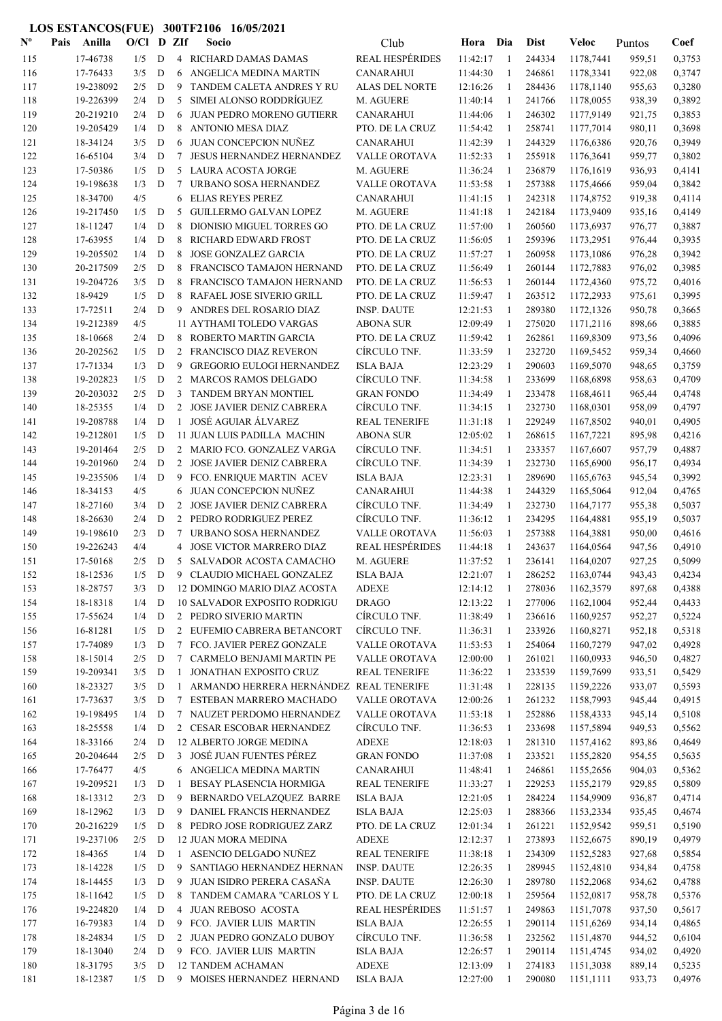| $N^{\text{o}}$ | Pais | Anilla                | $O/C1$ D ZIf   |             |                 | Socio                                                 | Club                             | Hora                 | Dia          | <b>Dist</b>      | Veloc                  | Puntos           | Coef             |
|----------------|------|-----------------------|----------------|-------------|-----------------|-------------------------------------------------------|----------------------------------|----------------------|--------------|------------------|------------------------|------------------|------------------|
| 115            |      | 17-46738              | 1/5            | D           |                 | 4 RICHARD DAMAS DAMAS                                 | <b>REAL HESPÉRIDES</b>           | 11:42:17             | -1           | 244334           | 1178,7441              | 959,51           | 0,3753           |
| 116            |      | 17-76433              | 3/5            | D           | 6               | ANGELICA MEDINA MARTIN                                | <b>CANARAHUI</b>                 | 11:44:30             | 1            | 246861           | 1178,3341              | 922,08           | 0,3747           |
| 117            |      | 19-238092             | 2/5            | D           | 9               | TANDEM CALETA ANDRES Y RU                             | <b>ALAS DEL NORTE</b>            | 12:16:26             | 1            | 284436           | 1178,1140              | 955,63           | 0,3280           |
| 118            |      | 19-226399             | 2/4            | D           | 5               | SIMEI ALONSO RODDRÍGUEZ                               | M. AGUERE                        | 11:40:14             | -1           | 241766           | 1178,0055              | 938,39           | 0,3892           |
| 119            |      | 20-219210             | 2/4            | D           | 6               | JUAN PEDRO MORENO GUTIERR                             | <b>CANARAHUI</b>                 | 11:44:06             | $\mathbf{1}$ | 246302           | 1177,9149              | 921,75           | 0,3853           |
| 120            |      | 19-205429             | 1/4            | D           | 8               | <b>ANTONIO MESA DIAZ</b>                              | PTO. DE LA CRUZ                  | 11:54:42             | -1           | 258741           | 1177,7014              | 980,11           | 0,3698           |
| 121            |      | 18-34124              | 3/5            | D           | 6               | JUAN CONCEPCION NUÑEZ                                 | <b>CANARAHUI</b>                 | 11:42:39             | $\mathbf{1}$ | 244329           | 1176,6386              | 920,76           | 0,3949           |
| 122            |      | 16-65104              | 3/4            | D           | 7               | JESUS HERNANDEZ HERNANDEZ                             | VALLE OROTAVA                    | 11:52:33             | $\mathbf{1}$ | 255918           | 1176,3641              | 959,77           | 0,3802           |
| 123            |      | 17-50386              | 1/5            | D           |                 | 5 LAURA ACOSTA JORGE                                  | M. AGUERE                        | 11:36:24             | -1           | 236879           | 1176,1619              | 936,93           | 0,4141           |
| 124            |      | 19-198638             | 1/3            | D           | 7               | URBANO SOSA HERNANDEZ                                 | VALLE OROTAVA                    | 11:53:58             | 1            | 257388           | 1175,4666              | 959,04           | 0,3842           |
| 125            |      | 18-34700              | 4/5            |             | 6               | <b>ELIAS REYES PEREZ</b>                              | <b>CANARAHUI</b>                 | 11:41:15             | -1           | 242318           | 1174,8752              | 919,38           | 0,4114           |
| 126            |      | 19-217450             | 1/5            | D           | 5               | <b>GUILLERMO GALVAN LOPEZ</b>                         | M. AGUERE                        | 11:41:18             | -1           | 242184           | 1173,9409              | 935,16           | 0,4149           |
| 127            |      | 18-11247              | 1/4            | D           | 8               | DIONISIO MIGUEL TORRES GO                             | PTO. DE LA CRUZ                  | 11:57:00             | 1            | 260560           | 1173,6937              | 976,77           | 0,3887           |
| 128            |      | 17-63955              | 1/4            | D           | 8               | RICHARD EDWARD FROST                                  | PTO. DE LA CRUZ                  | 11:56:05             | 1            | 259396           | 1173,2951              | 976,44           | 0,3935           |
| 129            |      | 19-205502             | 1/4            | D           | 8               | <b>JOSE GONZALEZ GARCIA</b>                           | PTO. DE LA CRUZ                  | 11:57:27             | 1            | 260958           | 1173,1086              | 976,28           | 0,3942           |
| 130            |      | 20-217509             | 2/5            | D           | 8               | FRANCISCO TAMAJON HERNAND                             | PTO. DE LA CRUZ                  | 11:56:49             | $\mathbf{1}$ | 260144           | 1172,7883              | 976,02           | 0,3985           |
| 131            |      | 19-204726             | 3/5            | D           | 8               | FRANCISCO TAMAJON HERNAND                             | PTO. DE LA CRUZ                  | 11:56:53             | 1            | 260144           | 1172,4360              | 975,72           | 0,4016           |
| 132            |      | 18-9429               | 1/5            | D           | 8               | RAFAEL JOSE SIVERIO GRILL                             | PTO. DE LA CRUZ                  | 11:59:47             | -1           | 263512           | 1172,2933              | 975,61           | 0,3995           |
| 133            |      | 17-72511              | 2/4            | D           |                 | 9 ANDRES DEL ROSARIO DIAZ                             | <b>INSP. DAUTE</b>               | 12:21:53             | -1           | 289380           | 1172,1326              | 950,78           | 0,3665           |
| 134            |      | 19-212389             | 4/5            |             |                 | 11 AYTHAMI TOLEDO VARGAS                              | <b>ABONA SUR</b>                 | 12:09:49             | $\mathbf{1}$ | 275020           | 1171,2116              | 898,66           | 0,3885           |
| 135            |      | 18-10668              | 2/4            | D           | 8               | ROBERTO MARTIN GARCIA                                 | PTO. DE LA CRUZ                  | 11:59:42             | 1            | 262861           | 1169,8309              | 973,56           | 0,4096           |
| 136            |      | 20-202562             | 1/5            | D           |                 | 2 FRANCISCO DIAZ REVERON                              | CÍRCULO TNF.                     | 11:33:59             | 1            | 232720           | 1169,5452              | 959,34           | 0,4660           |
| 137            |      | 17-71334              | 1/3            | D           | 9               | <b>GREGORIO EULOGI HERNANDEZ</b>                      | <b>ISLA BAJA</b>                 | 12:23:29             | 1            | 290603           | 1169,5070              | 948,65           | 0,3759           |
| 138            |      | 19-202823             | 1/5            | D           |                 | 2 MARCOS RAMOS DELGADO                                | CÍRCULO TNF.                     | 11:34:58             | 1            | 233699           | 1168,6898              | 958,63           | 0,4709           |
| 139            |      | 20-203032             | 2/5            | D           |                 | 3 TANDEM BRYAN MONTIEL                                | <b>GRAN FONDO</b>                | 11:34:49             | 1            | 233478           | 1168,4611              | 965,44           | 0,4748           |
| 140            |      | 18-25355<br>19-208788 | 1/4            | D           |                 | 2 JOSE JAVIER DENIZ CABRERA<br>1 JOSÉ AGUIAR ÁLVAREZ  | CÍRCULO TNF.                     | 11:34:15<br>11:31:18 | 1<br>1       | 232730           | 1168,0301              | 958,09           | 0,4797<br>0,4905 |
| 141            |      | 19-212801             | 1/4<br>1/5     | D<br>D      |                 | 11 JUAN LUIS PADILLA MACHIN                           | <b>REAL TENERIFE</b>             | 12:05:02             | -1           | 229249           | 1167,8502              | 940,01           | 0,4216           |
| 142<br>143     |      | 19-201464             | 2/5            | D           |                 | 2 MARIO FCO. GONZALEZ VARGA                           | <b>ABONA SUR</b><br>CÍRCULO TNF. | 11:34:51             | 1            | 268615<br>233357 | 1167,7221<br>1167,6607 | 895,98<br>957,79 | 0,4887           |
| 144            |      | 19-201960             | 2/4            | D           |                 | 2 JOSE JAVIER DENIZ CABRERA                           | CÍRCULO TNF.                     | 11:34:39             | 1            | 232730           | 1165,6900              | 956,17           | 0,4934           |
| 145            |      | 19-235506             | 1/4            | D           | 9               | FCO. ENRIQUE MARTIN ACEV                              | <b>ISLA BAJA</b>                 | 12:23:31             | 1            | 289690           | 1165,6763              | 945,54           | 0,3992           |
| 146            |      | 18-34153              | 4/5            |             | 6               | JUAN CONCEPCION NUÑEZ                                 | <b>CANARAHUI</b>                 | 11:44:38             | $\mathbf{1}$ | 244329           | 1165,5064              | 912,04           | 0,4765           |
| 147            |      | 18-27160              | 3/4            | D           |                 | 2 JOSE JAVIER DENIZ CABRERA                           | CÍRCULO TNF.                     | 11:34:49             | 1            | 232730           | 1164,7177              | 955,38           | 0,5037           |
| 148            |      | 18-26630              | 2/4            | D           |                 | 2 PEDRO RODRIGUEZ PEREZ                               | CÍRCULO TNF.                     | 11:36:12             | 1            | 234295           | 1164,4881              | 955,19           | 0,5037           |
| 149            |      | 19-198610             | 2/3            | D           | 7               | URBANO SOSA HERNANDEZ                                 | VALLE OROTAVA                    | 11:56:03             | 1            | 257388           | 1164,3881              | 950,00           | 0,4616           |
| 150            |      | 19-226243             | 4/4            |             |                 | 4 JOSE VICTOR MARRERO DIAZ                            | <b>REAL HESPÉRIDES</b>           | 11:44:18             | 1            | 243637           | 1164,0564              | 947,56           | 0,4910           |
| 151            |      | 17-50168              | 2/5            | D           |                 | 5 SALVADOR ACOSTA CAMACHO                             | M. AGUERE                        | 11:37:52             | 1            | 236141           | 1164,0207              | 927,25           | 0,5099           |
| 152            |      | 18-12536              | 1/5            | ${\bf D}$   |                 | 9 CLAUDIO MICHAEL GONZALEZ                            | <b>ISLA BAJA</b>                 | 12:21:07             | -1           | 286252           | 1163,0744              | 943,43           | 0,4234           |
| 153            |      | 18-28757              | 3/3            | D           |                 | 12 DOMINGO MARIO DIAZ ACOSTA                          | <b>ADEXE</b>                     | 12:14:12             | -1           | 278036           | 1162,3579              | 897,68           | 0,4388           |
| 154            |      | 18-18318              | 1/4            | D           |                 | <b>10 SALVADOR EXPOSITO RODRIGU</b>                   | <b>DRAGO</b>                     | 12:13:22             | 1            | 277006           | 1162,1004              | 952,44           | 0,4433           |
| 155            |      | 17-55624              | 1/4            | D           |                 | 2 PEDRO SIVERIO MARTIN                                | CÍRCULO TNF.                     | 11:38:49             | 1            | 236616           | 1160,9257              | 952,27           | 0,5224           |
| 156            |      | 16-81281              | 1/5            | $\mathbf D$ |                 | 2 EUFEMIO CABRERA BETANCORT                           | CÍRCULO TNF.                     | 11:36:31             | $\mathbf{1}$ | 233926           | 1160,8271              | 952,18           | 0,5318           |
| 157            |      | 17-74089              | 1/3            | D           |                 | 7 FCO. JAVIER PEREZ GONZALE                           | VALLE OROTAVA                    | 11:53:53             | 1            | 254064           | 1160,7279              | 947,02           | 0,4928           |
| 158            |      | 18-15014              | 2/5            | D           | $7\phantom{.0}$ | CARMELO BENJAMI MARTIN PE                             | VALLE OROTAVA                    | 12:00:00             | 1            | 261021           | 1160,0933              | 946,50           | 0,4827           |
| 159            |      | 19-209341             | 3/5            | D           | $\mathbf{1}$    | JONATHAN EXPOSITO CRUZ                                | <b>REAL TENERIFE</b>             | 11:36:22             | -1           | 233539           | 1159,7699              | 933,51           | 0,5429           |
| 160            |      | 18-23327              | 3/5            | D           | $\mathbf{1}$    | ARMANDO HERRERA HERNÁNDEZ REAL TENERIFE               |                                  | 11:31:48             | 1            | 228135           | 1159,2226              | 933,07           | 0,5593           |
| 161            |      | 17-73637              | 3/5            | D           |                 | 7 ESTEBAN MARRERO MACHADO                             | VALLE OROTAVA                    | 12:00:26             | 1            | 261232           | 1158,7993              | 945,44           | 0,4915           |
| 162            |      | 19-198495             | 1/4            | $\mathbf D$ |                 | 7 NAUZET PERDOMO HERNANDEZ                            | VALLE OROTAVA                    | 11:53:18             | -1           | 252886           | 1158,4333              | 945,14           | 0,5108           |
| 163            |      | 18-25558              | 1/4            | D           |                 | 2 CESAR ESCOBAR HERNANDEZ                             | CÍRCULO TNF.                     | 11:36:53             | 1            | 233698           | 1157,5894              | 949,53           | 0,5562           |
| 164            |      | 18-33166              | 2/4            | D           |                 | 12 ALBERTO JORGE MEDINA                               | <b>ADEXE</b>                     | 12:18:03             | -1           | 281310           | 1157,4162              | 893,86           | 0,4649           |
| 165            |      | 20-204644             | 2/5            | D           |                 | 3 JOSÉ JUAN FUENTES PÉREZ                             | <b>GRAN FONDO</b>                | 11:37:08             | 1            | 233521           | 1155,2820              | 954,55           | 0,5635           |
| 166            |      | 17-76477              | 4/5            |             |                 | 6 ANGELICA MEDINA MARTIN                              | <b>CANARAHUI</b>                 | 11:48:41             | 1            | 246861           | 1155,2656              | 904,03           | 0,5362           |
| 167            |      | 19-209521             | 1/3            | D           | -1              | BESAY PLASENCIA HORMIGA                               | <b>REAL TENERIFE</b>             | 11:33:27             | 1            | 229253           | 1155,2179              | 929,85           | 0,5809           |
| 168            |      | 18-13312              | 2/3            | $\mathbf D$ | 9               | BERNARDO VELAZQUEZ BARRE                              | <b>ISLA BAJA</b>                 | 12:21:05             | 1            | 284224           | 1154,9909              | 936,87           | 0,4714           |
| 169            |      | 18-12962              | 1/3            | D           |                 | 9 DANIEL FRANCIS HERNANDEZ                            | ISLA BAJA                        | 12:25:03             | 1            | 288366           | 1153,2334              | 935,45           | 0,4674           |
| 170            |      | 20-216229             | 1/5            | D           |                 | 8 PEDRO JOSE RODRIGUEZ ZARZ                           | PTO. DE LA CRUZ                  | 12:01:34             | -1           | 261221           | 1152,9542              | 959,51           | 0,5190           |
| 171            |      | 19-237106             | 2/5            | D           |                 | 12 JUAN MORA MEDINA                                   | <b>ADEXE</b>                     | 12:12:37             | $\mathbf{1}$ | 273893           | 1152,6675              | 890,19           | 0,4979           |
| 172            |      | 18-4365               | 1/4            | D           |                 | 1 ASENCIO DELGADO NUÑEZ                               | <b>REAL TENERIFE</b>             | 11:38:18             | 1            | 234309           | 1152,5283              | 927,68           | 0,5854           |
| 173            |      | 18-14228              | 1/5            | D           |                 | 9 SANTIAGO HERNANDEZ HERNAN                           | <b>INSP. DAUTE</b>               | 12:26:35             | 1            | 289945           | 1152,4810              | 934,84           | 0,4758           |
| 174            |      | 18-14455              | 1/3            | $\mathbf D$ |                 | 9 JUAN ISIDRO PERERA CASAÑA                           | <b>INSP. DAUTE</b>               | 12:26:30             | $\mathbf{1}$ | 289780           | 1152,2068              | 934,62           | 0,4788           |
| 175            |      | 18-11642              | 1/5            | D           |                 | 8 TANDEM CAMARA "CARLOS Y L                           | PTO. DE LA CRUZ                  | 12:00:18             | $\mathbf{1}$ | 259564           | 1152,0817              | 958,78           | 0,5376           |
| 176            |      | 19-224820             | 1/4            | D           |                 | 4 JUAN REBOSO ACOSTA                                  | <b>REAL HESPÉRIDES</b>           | 11:51:57             | -1           | 249863           | 1151,7078              | 937,50           | 0,5617           |
| 177            |      | 16-79383              | 1/4            | D           |                 | 9 FCO. JAVIER LUIS MARTIN                             | <b>ISLA BAJA</b>                 | 12:26:55             | -1           | 290114           | 1151,6269              | 934,14           | 0,4865           |
| 178            |      | 18-24834              | 1/5            | D           |                 | 2 JUAN PEDRO GONZALO DUBOY                            | CÍRCULO TNF.                     | 11:36:58             | 1            | 232562           | 1151,4870              | 944,52           | 0,6104           |
| 179            |      | 18-13040              | 2/4            | D           |                 | 9 FCO. JAVIER LUIS MARTIN<br><b>12 TANDEM ACHAMAN</b> | <b>ISLA BAJA</b><br><b>ADEXE</b> | 12:26:57             | 1            | 290114<br>274183 | 1151,4745              | 934,02           | 0,4920           |
| 180<br>181     |      | 18-31795<br>18-12387  | 3/5<br>$1/5$ D | D           |                 | 9 MOISES HERNANDEZ HERNAND                            | <b>ISLA BAJA</b>                 | 12:13:09<br>12:27:00 | 1<br>-1      | 290080           | 1151,3038<br>1151,1111 | 889,14<br>933,73 | 0,5235<br>0,4976 |
|                |      |                       |                |             |                 |                                                       |                                  |                      |              |                  |                        |                  |                  |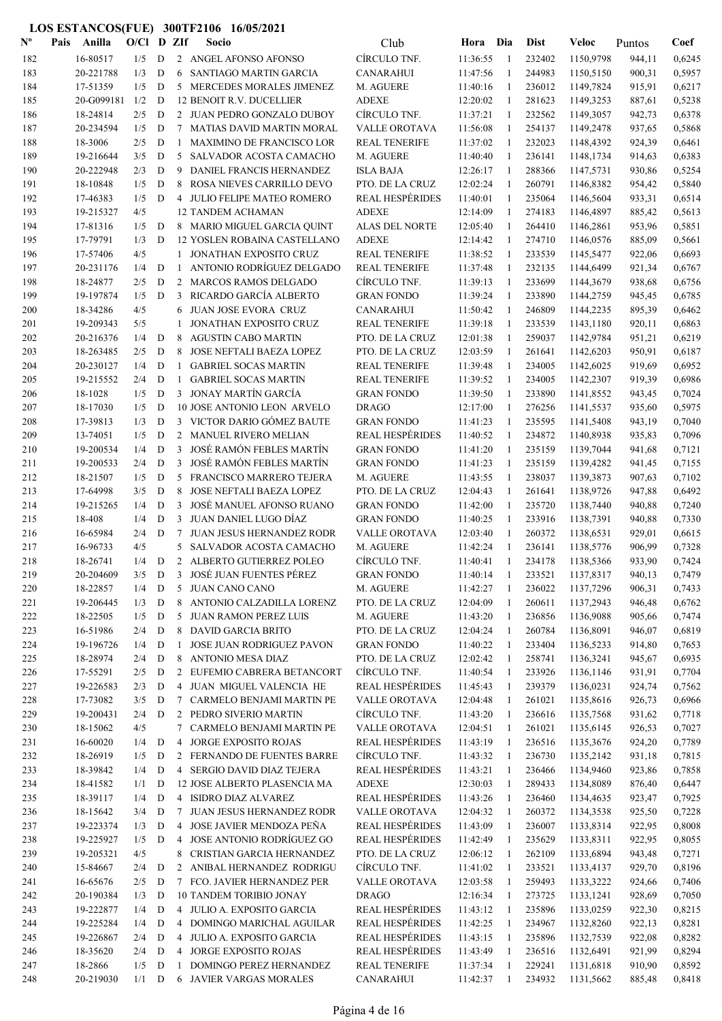| $\mathbf{N}^{\mathbf{o}}$ | Pais | Anilla                 | O/Cl       |             | D ZIf          | Socio                                                       | Club                                    | Hora                 | Dia                | <b>Dist</b>      | Veloc                  | Puntos           | Coef             |
|---------------------------|------|------------------------|------------|-------------|----------------|-------------------------------------------------------------|-----------------------------------------|----------------------|--------------------|------------------|------------------------|------------------|------------------|
| 182                       |      | 16-80517               | 1/5        | D           |                | 2 ANGEL AFONSO AFONSO                                       | CÍRCULO TNF.                            | 11:36:55             | $\overline{1}$     | 232402           | 1150,9798              | 944,11           | 0,6245           |
| 183                       |      | 20-221788              | 1/3        | D           | 6              | SANTIAGO MARTIN GARCIA                                      | <b>CANARAHUI</b>                        | 11:47:56             | -1                 | 244983           | 1150,5150              | 900,31           | 0,5957           |
| 184                       |      | 17-51359               | 1/5        | D           | 5              | MERCEDES MORALES JIMENEZ                                    | M. AGUERE                               | 11:40:16             | -1                 | 236012           | 1149,7824              | 915,91           | 0,6217           |
| 185                       |      | 20-G099181             | 1/2        | D           |                | <b>12 BENOIT R.V. DUCELLIER</b>                             | <b>ADEXE</b>                            | 12:20:02             | -1                 | 281623           | 1149,3253              | 887,61           | 0,5238           |
| 186                       |      | 18-24814               | 2/5        | D           |                | 2 JUAN PEDRO GONZALO DUBOY                                  | CÍRCULO TNF.                            | 11:37:21             | -1                 | 232562           | 1149,3057              | 942,73           | 0,6378           |
| 187                       |      | 20-234594              | 1/5        | D           | 7              | <b>MATIAS DAVID MARTIN MORAL</b>                            | VALLE OROTAVA                           | 11:56:08             | $\mathbf{1}$       | 254137           | 1149,2478              | 937,65           | 0,5868           |
| 188                       |      | 18-3006                | 2/5        | D           | 1              | <b>MAXIMINO DE FRANCISCO LOR</b>                            | <b>REAL TENERIFE</b>                    | 11:37:02             | -1                 | 232023           | 1148,4392              | 924,39           | 0,6461           |
| 189                       |      | 19-216644              | 3/5        | D           | 5              | SALVADOR ACOSTA CAMACHO                                     | M. AGUERE                               | 11:40:40             | -1                 | 236141           | 1148,1734              | 914,63           | 0,6383           |
| 190                       |      | 20-222948              | 2/3        | D           | 9              | DANIEL FRANCIS HERNANDEZ                                    | <b>ISLA BAJA</b>                        | 12:26:17             | 1                  | 288366           | 1147,5731              | 930,86           | 0,5254           |
| 191                       |      | 18-10848               | 1/5        | $\mathbf D$ | 8              | ROSA NIEVES CARRILLO DEVO                                   | PTO. DE LA CRUZ                         | 12:02:24             | 1                  | 260791           | 1146,8382              | 954,42           | 0,5840           |
| 192                       |      | 17-46383               | 1/5        | D           |                | 4 JULIO FELIPE MATEO ROMERO                                 | <b>REAL HESPÉRIDES</b>                  | 11:40:01             | 1                  | 235064           | 1146,5604              | 933,31           | 0,6514           |
| 193                       |      | 19-215327              | 4/5        |             |                | <b>12 TANDEM ACHAMAN</b>                                    | <b>ADEXE</b>                            | 12:14:09             | 1                  | 274183           | 1146,4897              | 885,42           | 0,5613           |
| 194                       |      | 17-81316               | 1/5        | D           |                | 8 MARIO MIGUEL GARCIA QUINT                                 | <b>ALAS DEL NORTE</b>                   | 12:05:40             | 1                  | 264410           | 1146,2861              | 953,96           | 0,5851           |
| 195                       |      | 17-79791               | 1/3        | D           |                | 12 YOSLEN ROBAINA CASTELLANO                                | <b>ADEXE</b>                            | 12:14:42             | -1                 | 274710           | 1146,0576              | 885,09           | 0,5661           |
| 196                       |      | 17-57406               | 4/5        |             | 1              | JONATHAN EXPOSITO CRUZ                                      | <b>REAL TENERIFE</b>                    | 11:38:52             | -1                 | 233539           | 1145,5477              | 922,06           | 0,6693           |
| 197                       |      | 20-231176              | 1/4        | D           | $\mathbf{1}$   | ANTONIO RODRÍGUEZ DELGADO                                   | <b>REAL TENERIFE</b>                    | 11:37:48             | 1                  | 232135           | 1144,6499              | 921,34           | 0,6767           |
| 198                       |      | 18-24877<br>19-197874  | 2/5        | D           | 2<br>3         | <b>MARCOS RAMOS DELGADO</b>                                 | CÍRCULO TNF.<br><b>GRAN FONDO</b>       | 11:39:13             | -1<br>$\mathbf{1}$ | 233699           | 1144,3679              | 938,68           | 0,6756           |
| 199                       |      |                        | 1/5        | D           |                | RICARDO GARCÍA ALBERTO                                      |                                         | 11:39:24             | $\mathbf{1}$       | 233890<br>246809 | 1144,2759              | 945,45           | 0,6785           |
| 200                       |      | 18-34286               | 4/5        |             | 6              | <b>JUAN JOSE EVORA CRUZ</b>                                 | <b>CANARAHUI</b>                        | 11:50:42             |                    | 233539           | 1144,2235              | 895,39           | 0,6462           |
| 201<br>202                |      | 19-209343<br>20-216376 | 5/5<br>1/4 | $\mathbf D$ | 1<br>8         | <b>JONATHAN EXPOSITO CRUZ</b><br><b>AGUSTIN CABO MARTIN</b> | <b>REAL TENERIFE</b><br>PTO. DE LA CRUZ | 11:39:18<br>12:01:38 | $\mathbf{1}$<br>1  | 259037           | 1143,1180<br>1142,9784 | 920,11           | 0,6863<br>0,6219 |
| 203                       |      | 18-263485              | 2/5        | D           | 8              | JOSE NEFTALI BAEZA LOPEZ                                    | PTO. DE LA CRUZ                         | 12:03:59             | 1                  | 261641           | 1142,6203              | 951,21<br>950,91 | 0,6187           |
|                           |      |                        |            |             |                |                                                             |                                         |                      |                    |                  |                        |                  |                  |
| 204                       |      | 20-230127              | 1/4        | D           | 1              | <b>GABRIEL SOCAS MARTIN</b><br><b>GABRIEL SOCAS MARTIN</b>  | <b>REAL TENERIFE</b>                    | 11:39:48             | 1                  | 234005           | 1142,6025              | 919,69           | 0,6952           |
| 205                       |      | 19-215552              | 2/4<br>1/5 | D           | -1             | 3 JONAY MARTÍN GARCÍA                                       | <b>REAL TENERIFE</b>                    | 11:39:52             | 1                  | 234005           | 1142,2307              | 919,39           | 0,6986           |
| 206                       |      | 18-1028                |            | D           |                |                                                             | <b>GRAN FONDO</b>                       | 11:39:50             | 1<br>-1            | 233890           | 1141,8552              | 943,45           | 0,7024           |
| 207<br>208                |      | 18-17030<br>17-39813   | 1/5<br>1/3 | D<br>D      | 3              | 10 JOSE ANTONIO LEON ARVELO<br>VICTOR DARIO GÓMEZ BAUTE     | <b>DRAGO</b><br><b>GRAN FONDO</b>       | 12:17:00<br>11:41:23 | -1                 | 276256<br>235595 | 1141,5537<br>1141,5408 | 935,60<br>943,19 | 0,5975<br>0,7040 |
| 209                       |      | 13-74051               | 1/5        | D           | 2              | <b>MANUEL RIVERO MELIAN</b>                                 | <b>REAL HESPÉRIDES</b>                  | 11:40:52             | -1                 | 234872           | 1140,8938              | 935,83           | 0,7096           |
| 210                       |      | 19-200534              | 1/4        | D           | 3              | JOSÉ RAMÓN FEBLES MARTÍN                                    | <b>GRAN FONDO</b>                       | 11:41:20             | -1                 | 235159           | 1139,7044              | 941,68           | 0,7121           |
| 211                       |      | 19-200533              | 2/4        | D           | 3              | JOSÉ RAMÓN FEBLES MARTÍN                                    | <b>GRAN FONDO</b>                       | 11:41:23             | -1                 | 235159           | 1139,4282              | 941,45           | 0,7155           |
| 212                       |      | 18-21507               | 1/5        | D           | 5              | FRANCISCO MARRERO TEJERA                                    | M. AGUERE                               | 11:43:55             | 1                  | 238037           | 1139,3873              | 907,63           | 0,7102           |
| 213                       |      | 17-64998               | 3/5        | D           | 8              | JOSE NEFTALI BAEZA LOPEZ                                    | PTO. DE LA CRUZ                         | 12:04:43             | -1                 | 261641           | 1138,9726              | 947,88           | 0,6492           |
| 214                       |      | 19-215265              | 1/4        | D           | 3              | JOSÉ MANUEL AFONSO RUANO                                    | <b>GRAN FONDO</b>                       | 11:42:00             | 1                  | 235720           | 1138,7440              | 940,88           | 0,7240           |
| 215                       |      | 18-408                 | 1/4        | ${\bf D}$   | 3              | <b>JUAN DANIEL LUGO DÍAZ</b>                                | <b>GRAN FONDO</b>                       | 11:40:25             | 1                  | 233916           | 1138,7391              | 940,88           | 0,7330           |
| 216                       |      | 16-65984               | 2/4        | D           | 7              | <b>JUAN JESUS HERNANDEZ RODR</b>                            | VALLE OROTAVA                           | 12:03:40             | 1                  | 260372           | 1138,6531              | 929,01           | 0,6615           |
| 217                       |      | 16-96733               | 4/5        |             | 5              | SALVADOR ACOSTA CAMACHO                                     | M. AGUERE                               | 11:42:24             | 1                  | 236141           | 1138,5776              | 906,99           | 0,7328           |
| 218                       |      | 18-26741               | 1/4        | D           |                | 2 ALBERTO GUTIERREZ POLEO                                   | CIRCULO TNF.                            | 11:40:41             | 1                  | 234178           | 1138,5366              | 933,90           | 0,7424           |
| 219                       |      | 20-204609              | 3/5        | D           | 3              | JOSÉ JUAN FUENTES PÉREZ                                     | <b>GRAN FONDO</b>                       | 11:40:14             | 1                  | 233521           | 1137,8317              | 940,13           | 0,7479           |
| 220                       |      | 18-22857               | 1/4        | D           | 5              | JUAN CANO CANO                                              | M. AGUERE                               | 11:42:27             | -1                 | 236022           | 1137,7296              | 906,31           | 0,7433           |
| 221                       |      | 19-206445              | 1/3        | D           | 8              | ANTONIO CALZADILLA LORENZ                                   | PTO. DE LA CRUZ                         | 12:04:09             | $\mathbf{1}$       | 260611           | 1137,2943              | 946,48           | 0,6762           |
| 222                       |      | 18-22505               | 1/5        | D           | 5              | <b>JUAN RAMON PEREZ LUIS</b>                                | M. AGUERE                               | 11:43:20             | -1                 | 236856           | 1136,9088              | 905,66           | 0,7474           |
| 223                       |      | 16-51986               | 2/4        | D           |                | 8 DAVID GARCIA BRITO                                        | PTO. DE LA CRUZ                         | 12:04:24             | -1                 | 260784           | 1136,8091              | 946,07           | 0,6819           |
| 224                       |      | 19-196726              | 1/4        | D           | 1              | JOSE JUAN RODRIGUEZ PAVON                                   | <b>GRAN FONDO</b>                       | 11:40:22             | $\mathbf{1}$       | 233404           | 1136,5233              | 914,80           | 0,7653           |
| 225                       |      | 18-28974               | 2/4        | D           | 8              | ANTONIO MESA DIAZ                                           | PTO. DE LA CRUZ                         | 12:02:42             | -1                 | 258741           | 1136,3241              | 945,67           | 0,6935           |
| 226                       |      | 17-55291               | 2/5        | D           |                | 2 EUFEMIO CABRERA BETANCORT                                 | CÍRCULO TNF.                            | 11:40:54             | 1                  | 233926           | 1136,1146              | 931,91           | 0,7704           |
| 227                       |      | 19-226583              | 2/3        | D           |                | 4 JUAN MIGUEL VALENCIA HE                                   | <b>REAL HESPÉRIDES</b>                  | 11:45:43             | 1                  | 239379           | 1136,0231              | 924,74           | 0,7562           |
| 228                       |      | 17-73082               | 3/5        | D           |                | 7 CARMELO BENJAMI MARTIN PE                                 | VALLE OROTAVA                           | 12:04:48             | 1                  | 261021           | 1135,8616              | 926,73           | 0,6966           |
| 229                       |      | 19-200431              | 2/4        | D           |                | 2 PEDRO SIVERIO MARTIN                                      | CÍRCULO TNF.                            | 11:43:20             | 1                  | 236616           | 1135,7568              | 931,62           | 0,7718           |
| 230                       |      | 18-15062               | 4/5        |             | 7              | CARMELO BENJAMI MARTIN PE                                   | <b>VALLE OROTAVA</b>                    | 12:04:51             | 1                  | 261021           | 1135,6145              | 926,53           | 0,7027           |
| 231                       |      | 16-60020               | 1/4        | D           | 4              | JORGE EXPOSITO ROJAS                                        | <b>REAL HESPÉRIDES</b>                  | 11:43:19             | 1                  | 236516           | 1135,3676              | 924,20           | 0,7789           |
| 232                       |      | 18-26919               | 1/5        | D           | 2              | FERNANDO DE FUENTES BARRE                                   | CÍRCULO TNF.                            | 11:43:32             | 1                  | 236730           | 1135,2142              | 931,18           | 0,7815           |
| 233                       |      | 18-39842               | 1/4        | D           | 4              | SERGIO DAVID DIAZ TEJERA                                    | <b>REAL HESPÉRIDES</b>                  | 11:43:21             | 1                  | 236466           | 1134,9460              | 923,86           | 0,7858           |
| 234                       |      | 18-41582               | 1/1        | D           |                | 12 JOSE ALBERTO PLASENCIA MA                                | <b>ADEXE</b>                            | 12:30:03             | -1                 | 289433           | 1134,8089              | 876,40           | 0,6447           |
| 235                       |      | 18-39117               | 1/4        | D           |                | 4 ISIDRO DIAZ ALVAREZ                                       | <b>REAL HESPÉRIDES</b>                  | 11:43:26             | -1                 | 236460           | 1134,4635              | 923,47           | 0,7925           |
| 236                       |      | 18-15642               | 3/4        | D           | $\tau$         | JUAN JESUS HERNANDEZ RODR                                   | <b>VALLE OROTAVA</b>                    | 12:04:32             | -1                 | 260372           | 1134,3538              | 925,50           | 0,7228           |
| 237                       |      | 19-223374              | 1/3        | D           | $\overline{4}$ | JOSE JAVIER MENDOZA PEÑA                                    | <b>REAL HESPÉRIDES</b>                  | 11:43:09             | 1                  | 236007           | 1133,8314              | 922,95           | 0,8008           |
| 238                       |      | 19-225927              | 1/5        | $\mathbf D$ | 4              | JOSE ANTONIO RODRÍGUEZ GO                                   | <b>REAL HESPÉRIDES</b>                  | 11:42:49             | 1                  | 235629           | 1133,8311              | 922,95           | 0,8055           |
| 239                       |      | 19-205321              | 4/5        |             | 8              | CRISTIAN GARCIA HERNANDEZ                                   | PTO. DE LA CRUZ                         | 12:06:12             | 1                  | 262109           | 1133,6894              | 943,48           | 0,7271           |
| 240                       |      | 15-84667               | 2/4        | $\mathbf D$ |                | 2 ANIBAL HERNANDEZ RODRIGU                                  | CÍRCULO TNF.                            | 11:41:02             | 1                  | 233521           | 1133,4137              | 929,70           | 0,8196           |
| 241                       |      | 16-65676               | 2/5        | D           |                | 7 FCO. JAVIER HERNANDEZ PER                                 | VALLE OROTAVA                           | 12:03:58             | -1                 | 259493           | 1133,3222              | 924,66           | 0,7406           |
| 242                       |      | 20-190384              | 1/3        | D           |                | 10 TANDEM TORIBIO JONAY                                     | <b>DRAGO</b>                            | 12:16:34             | 1                  | 273725           | 1133,1241              | 928,69           | 0,7050           |
| 243                       |      | 19-222877              | 1/4        | D           |                | 4 JULIO A. EXPOSITO GARCIA                                  | <b>REAL HESPÉRIDES</b>                  | 11:43:12             | 1                  | 235896           | 1133,0259              | 922,30           | 0,8215           |
| 244                       |      | 19-225284              | 1/4        | D           |                | 4 DOMINGO MARICHAL AGUILAR                                  | <b>REAL HESPÉRIDES</b>                  | 11:42:25             | 1                  | 234967           | 1132,8260              | 922,13           | 0,8281           |
| 245                       |      | 19-226867              | 2/4        | D           | $\overline{4}$ | JULIO A. EXPOSITO GARCIA                                    | <b>REAL HESPÉRIDES</b>                  | 11:43:15             | 1                  | 235896           | 1132,7539              | 922,08           | 0,8282           |
| 246                       |      | 18-35620               | 2/4        | D           | 4              | <b>JORGE EXPOSITO ROJAS</b>                                 | <b>REAL HESPÉRIDES</b>                  | 11:43:49             | -1                 | 236516           | 1132,6491              | 921,99           | 0,8294           |
| 247                       |      | 18-2866                | 1/5        | D           | $\mathbf{1}$   | DOMINGO PEREZ HERNANDEZ                                     | <b>REAL TENERIFE</b>                    | 11:37:34             | -1                 | 229241           | 1131,6818              | 910,90           | 0,8592           |
| 248                       |      | 20-219030              | $1/1$ D    |             |                | 6 JAVIER VARGAS MORALES                                     | <b>CANARAHUI</b>                        | 11:42:37             | -1                 | 234932           | 1131,5662              | 885,48           | 0,8418           |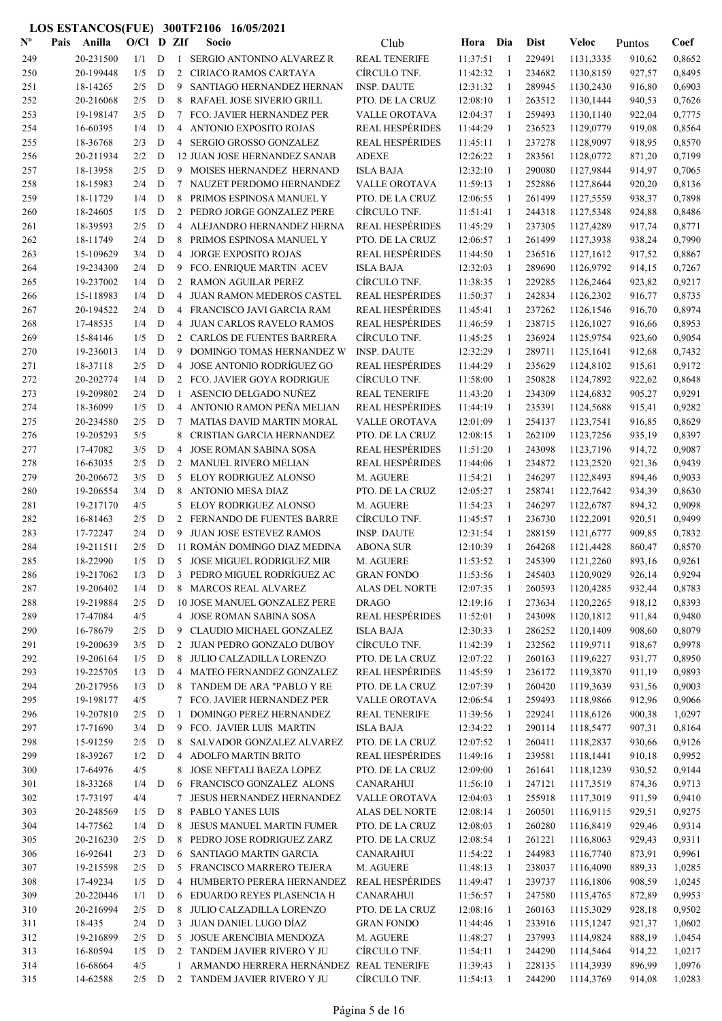| $N^{\text{o}}$ | Pais | Anilla                 | $O/CI$ D ZIf |                  |                | Socio                                                   | Club                                      | Hora                 | Dia               | <b>Dist</b>      | Veloc                  | Puntos           | Coef             |
|----------------|------|------------------------|--------------|------------------|----------------|---------------------------------------------------------|-------------------------------------------|----------------------|-------------------|------------------|------------------------|------------------|------------------|
| 249            |      | 20-231500              | 1/1          | D                |                | 1 SERGIO ANTONINO ALVAREZ R                             | <b>REAL TENERIFE</b>                      | 11:37:51             | $\mathbf{1}$      | 229491           | 1131,3335              | 910,62           | 0,8652           |
| 250            |      | 20-199448              | 1/5          | D                |                | 2 CIRIACO RAMOS CARTAYA                                 | CÍRCULO TNF.                              | 11:42:32             | -1                | 234682           | 1130,8159              | 927,57           | 0,8495           |
| 251            |      | 18-14265               | 2/5          | D                | 9              | SANTIAGO HERNANDEZ HERNAN                               | <b>INSP. DAUTE</b>                        | 12:31:32             | 1                 | 289945           | 1130,2430              | 916,80           | 0,6903           |
| 252            |      | 20-216068              | 2/5          | D                | 8              | RAFAEL JOSE SIVERIO GRILL                               | PTO. DE LA CRUZ                           | 12:08:10             | $\mathbf{1}$      | 263512           | 1130,1444              | 940,53           | 0,7626           |
| 253            |      | 19-198147              | 3/5          | D                | 7              | FCO. JAVIER HERNANDEZ PER                               | VALLE OROTAVA                             | 12:04:37             | -1                | 259493           | 1130,1140              | 922,04           | 0,7775           |
| 254            |      | 16-60395               | 1/4          | D                | 4              | ANTONIO EXPOSITO ROJAS                                  | <b>REAL HESPÉRIDES</b>                    | 11:44:29             | $\mathbf{1}$      | 236523           | 1129,0779              | 919,08           | 0,8564           |
| 255            |      | 18-36768               | 2/3          | D                | $\overline{4}$ | SERGIO GROSSO GONZALEZ                                  | <b>REAL HESPÉRIDES</b>                    | 11:45:11             | $\mathbf{1}$      | 237278           | 1128,9097              | 918,95           | 0,8570           |
| 256            |      | 20-211934              | 2/2          | D                |                | <b>12 JUAN JOSE HERNANDEZ SANAB</b>                     | <b>ADEXE</b>                              | 12:26:22             | $\mathbf{1}$      | 283561           | 1128,0772              | 871,20           | 0,7199           |
| 257            |      | 18-13958               | 2/5          | D                |                | 9 MOISES HERNANDEZ HERNAND                              | <b>ISLA BAJA</b>                          | 12:32:10             | -1                | 290080           | 1127,9844              | 914,97           | 0,7065           |
| 258            |      | 18-15983               | 2/4          | D                | 7              | NAUZET PERDOMO HERNANDEZ                                | VALLE OROTAVA                             | 11:59:13             | 1                 | 252886           | 1127,8644              | 920,20           | 0,8136           |
| 259            |      | 18-11729               | 1/4          | D                | 8              | PRIMOS ESPINOSA MANUEL Y                                | PTO. DE LA CRUZ                           | 12:06:55             | 1                 | 261499           | 1127,5559              | 938,37           | 0,7898           |
| 260            |      | 18-24605               | 1/5          | D                |                | 2 PEDRO JORGE GONZALEZ PERE                             | CÍRCULO TNF.                              | 11:51:41             | 1                 | 244318           | 1127,5348              | 924,88           | 0,8486           |
| 261            |      | 18-39593               | 2/5          | D                | 4              | ALEJANDRO HERNANDEZ HERNA                               | <b>REAL HESPÉRIDES</b>                    | 11:45:29             | 1                 | 237305           | 1127,4289              | 917,74           | 0,8771           |
| 262            |      | 18-11749<br>15-109629  | 2/4<br>3/4   | D<br>D           | 8<br>4         | PRIMOS ESPINOSA MANUEL Y                                | PTO. DE LA CRUZ<br><b>REAL HESPÉRIDES</b> | 12:06:57<br>11:44:50 | 1<br>$\mathbf{1}$ | 261499           | 1127,3938              | 938,24           | 0,7990<br>0,8867 |
| 263<br>264     |      | 19-234300              | 2/4          | D                | 9              | <b>JORGE EXPOSITO ROJAS</b><br>FCO. ENRIQUE MARTIN ACEV | <b>ISLA BAJA</b>                          | 12:32:03             | $\mathbf{1}$      | 236516<br>289690 | 1127,1612<br>1126,9792 | 917,52<br>914,15 | 0,7267           |
| 265            |      | 19-237002              | 1/4          | D                |                | 2 RAMON AGUILAR PEREZ                                   | CÍRCULO TNF.                              | 11:38:35             | 1                 | 229285           | 1126,2464              | 923,82           | 0,9217           |
| 266            |      | 15-118983              | 1/4          | D                | 4              | JUAN RAMON MEDEROS CASTEL                               | <b>REAL HESPÉRIDES</b>                    | 11:50:37             | $\mathbf{1}$      | 242834           | 1126,2302              | 916,77           | 0,8735           |
| 267            |      | 20-194522              | 2/4          | D                | 4              | FRANCISCO JAVI GARCIA RAM                               | <b>REAL HESPÉRIDES</b>                    | 11:45:41             | $\mathbf{1}$      | 237262           | 1126,1546              | 916,70           | 0,8974           |
| 268            |      | 17-48535               | 1/4          | D                | 4              | <b>JUAN CARLOS RAVELO RAMOS</b>                         | <b>REAL HESPÉRIDES</b>                    | 11:46:59             | $\mathbf{1}$      | 238715           | 1126,1027              | 916,66           | 0,8953           |
| 269            |      | 15-84146               | 1/5          | D                |                | 2 CARLOS DE FUENTES BARRERA                             | CÍRCULO TNF.                              | 11:45:25             | 1                 | 236924           | 1125,9754              | 923,60           | 0,9054           |
| 270            |      | 19-236013              | 1/4          | D                | 9              | DOMINGO TOMAS HERNANDEZ W                               | <b>INSP. DAUTE</b>                        | 12:32:29             | 1                 | 289711           | 1125,1641              | 912,68           | 0,7432           |
| 271            |      | 18-37118               | 2/5          | D                |                | 4 JOSE ANTONIO RODRÍGUEZ GO                             | <b>REAL HESPÉRIDES</b>                    | 11:44:29             | 1                 | 235629           | 1124,8102              | 915,61           | 0,9172           |
| 272            |      | 20-202774              | 1/4          | D                |                | 2 FCO. JAVIER GOYA RODRIGUE                             | CÍRCULO TNF.                              | 11:58:00             | 1                 | 250828           | 1124,7892              | 922,62           | 0,8648           |
| 273            |      | 19-209802              | 2/4          | D                | 1              | ASENCIO DELGADO NUÑEZ                                   | <b>REAL TENERIFE</b>                      | 11:43:20             | 1                 | 234309           | 1124,6832              | 905,27           | 0,9291           |
| 274            |      | 18-36099               | 1/5          | D                |                | 4 ANTONIO RAMON PEÑA MELIAN                             | <b>REAL HESPÉRIDES</b>                    | 11:44:19             | 1                 | 235391           | 1124,5688              | 915,41           | 0,9282           |
| 275            |      | 20-234580              | 2/5          | D                | 7              | <b>MATIAS DAVID MARTIN MORAL</b>                        | <b>VALLE OROTAVA</b>                      | 12:01:09             | -1                | 254137           | 1123,7541              | 916,85           | 0,8629           |
| 276            |      | 19-205293              | 5/5          |                  | 8              | CRISTIAN GARCIA HERNANDEZ                               | PTO. DE LA CRUZ                           | 12:08:15             | -1                | 262109           | 1123,7256              | 935,19           | 0,8397           |
| 277            |      | 17-47082               | 3/5          | D                | 4              | JOSE ROMAN SABINA SOSA                                  | <b>REAL HESPÉRIDES</b>                    | 11:51:20             | -1                | 243098           | 1123,7196              | 914,72           | 0,9087           |
| 278            |      | 16-63035               | 2/5          | D                |                | 2 MANUEL RIVERO MELIAN                                  | <b>REAL HESPÉRIDES</b>                    | 11:44:06             | -1                | 234872           | 1123,2520              | 921,36           | 0,9439           |
| 279            |      | 20-206672              | 3/5          | D                | 5              | ELOY RODRIGUEZ ALONSO                                   | M. AGUERE                                 | 11:54:21             | $\mathbf{1}$      | 246297           | 1122,8493              | 894,46           | 0,9033           |
| 280            |      | 19-206554              | 3/4          | D                | 8              | <b>ANTONIO MESA DIAZ</b>                                | PTO. DE LA CRUZ                           | 12:05:27             | -1                | 258741           | 1122,7642              | 934,39           | 0,8630           |
| 281            |      | 19-217170              | 4/5          |                  | 5              | ELOY RODRIGUEZ ALONSO                                   | M. AGUERE                                 | 11:54:23             | 1                 | 246297           | 1122,6787              | 894,32           | 0,9098           |
| 282            |      | 16-81463               | 2/5          | D                | $\overline{2}$ | FERNANDO DE FUENTES BARRE                               | CÍRCULO TNF.                              | 11:45:57             | 1                 | 236730           | 1122,2091              | 920,51           | 0,9499           |
| 283            |      | 17-72247               | 2/4          | D                |                | 9 JUAN JOSE ESTEVEZ RAMOS                               | <b>INSP. DAUTE</b>                        | 12:31:54             | 1                 | 288159           | 1121,6777              | 909,85           | 0,7832           |
| 284            |      | 19-211511              | 2/5          | D                |                | 11 ROMÁN DOMINGO DIAZ MEDINA                            | <b>ABONA SUR</b>                          | 12:10:39             | 1                 | 264268           | 1121,4428              | 860,47           | 0,8570           |
| 285            |      | 18-22990               | 1/5          | D                |                | 5 JOSE MIGUEL RODRIGUEZ MIR                             | M. AGUERE                                 | 11:53:52             | $\mathbf{1}$      | 245399           | 1121,2260              | 893,16           | 0,9261           |
| 286            |      | 19-217062              | 1/3          | D                |                | 3 PEDRO MIGUEL RODRÍGUEZ AC                             | <b>GRAN FONDO</b>                         | 11:53:56             |                   | 245403           | 1120,9029              | 926,14           | 0,9294           |
| 287            |      | 19-206402              | 1/4          | D                |                | 8 MARCOS REAL ALVAREZ                                   | <b>ALAS DEL NORTE</b>                     | 12:07:35             | 1                 | 260593           | 1120,4285              | 932,44           | 0,8783           |
| 288            |      | 19-219884              | 2/5          | D                |                | 10 JOSE MANUEL GONZALEZ PERE                            | <b>DRAGO</b>                              | 12:19:16             | 1                 | 273634           | 1120,2265              | 918,12           | 0,8393           |
| 289            |      | 17-47084               | 4/5          |                  |                | 4 JOSE ROMAN SABINA SOSA                                | <b>REAL HESPÉRIDES</b>                    | 11:52:01             | 1                 | 243098           | 1120,1812              | 911,84           | 0,9480           |
| 290            |      | 16-78679               | 2/5          | $\mathbf D$      | 9              | CLAUDIO MICHAEL GONZALEZ                                | <b>ISLA BAJA</b>                          | 12:30:33             | 1                 | 286252           | 1120,1409              | 908,60           | 0,8079           |
| 291            |      | 19-200639              | 3/5          | D                |                | 2 JUAN PEDRO GONZALO DUBOY                              | CÍRCULO TNF.                              | 11:42:39             | $\mathbf{1}$      | 232562           | 1119,9711              | 918,67           | 0,9978           |
| 292            |      | 19-206164              | 1/5          | D                | 8              | JULIO CALZADILLA LORENZO                                | PTO. DE LA CRUZ                           | 12:07:22             | -1                | 260163           | 1119,6227              | 931,77           | 0,8950           |
| 293<br>294     |      | 19-225705<br>20-217956 | 1/3<br>1/3   | D<br>$\mathbf D$ | 8              | 4 MATEO FERNANDEZ GONZALEZ<br>TANDEM DE ARA "PABLO Y RE | <b>REAL HESPÉRIDES</b><br>PTO. DE LA CRUZ | 11:45:59             | 1<br>1            | 236172<br>260420 | 1119,3870              | 911,19           | 0,9893<br>0,9003 |
| 295            |      | 19-198177              | 4/5          |                  |                | 7 FCO. JAVIER HERNANDEZ PER                             | VALLE OROTAVA                             | 12:07:39<br>12:06:54 | 1                 | 259493           | 1119,3639<br>1118,9866 | 931,56<br>912,96 | 0,9066           |
| 296            |      | 19-207810              | 2/5          | $\mathbf D$      | -1             | DOMINGO PEREZ HERNANDEZ                                 | <b>REAL TENERIFE</b>                      | 11:39:56             | 1                 | 229241           | 1118,6126              | 900,38           | 1,0297           |
| 297            |      | 17-71690               | 3/4          | D                |                | 9 FCO. JAVIER LUIS MARTIN                               | <b>ISLA BAJA</b>                          | 12:34:22             | $\mathbf{1}$      | 290114           | 1118,5477              | 907,31           | 0,8164           |
| 298            |      | 15-91259               | 2/5          | D                | 8              | SALVADOR GONZALEZ ALVAREZ                               | PTO. DE LA CRUZ                           | 12:07:52             | 1                 | 260411           | 1118,2837              | 930,66           | 0,9126           |
| 299            |      | 18-39267               | 1/2          | D                | $\overline{4}$ | ADOLFO MARTIN BRITO                                     | <b>REAL HESPÉRIDES</b>                    | 11:49:16             | 1                 | 239581           | 1118,1441              | 910,18           | 0,9952           |
| 300            |      | 17-64976               | 4/5          |                  | 8              | JOSE NEFTALI BAEZA LOPEZ                                | PTO. DE LA CRUZ                           | 12:09:00             | 1                 | 261641           | 1118,1239              | 930,52           | 0,9144           |
| 301            |      | 18-33268               | 1/4          | D                | 6              | FRANCISCO GONZALEZ ALONS                                | <b>CANARAHUI</b>                          | 11:56:10             | 1                 | 247121           | 1117,3519              | 874,36           | 0,9713           |
| 302            |      | 17-73197               | 4/4          |                  | 7              | JESUS HERNANDEZ HERNANDEZ                               | VALLE OROTAVA                             | 12:04:03             | 1                 | 255918           | 1117,3019              | 911,59           | 0,9410           |
| 303            |      | 20-248569              | 1/5          | D                | 8              | PABLO YANES LUIS                                        | ALAS DEL NORTE                            | 12:08:14             | 1                 | 260501           | 1116,9115              | 929,51           | 0,9275           |
| 304            |      | 14-77562               | 1/4          | D                | 8              | JESUS MANUEL MARTIN FUMER                               | PTO. DE LA CRUZ                           | 12:08:03             | $\mathbf{1}$      | 260280           | 1116,8419              | 929,46           | 0,9314           |
| 305            |      | 20-216230              | 2/5          | D                | 8              | PEDRO JOSE RODRIGUEZ ZARZ                               | PTO. DE LA CRUZ                           | 12:08:54             | 1                 | 261221           | 1116,8063              | 929,43           | 0,9311           |
| 306            |      | 16-92641               | 2/3          | D                | 6              | SANTIAGO MARTIN GARCIA                                  | <b>CANARAHUI</b>                          | 11:54:22             | $\mathbf{1}$      | 244983           | 1116,7740              | 873,91           | 0,9961           |
| 307            |      | 19-215598              | 2/5          | D                |                | 5 FRANCISCO MARRERO TEJERA                              | M. AGUERE                                 | 11:48:13             | $\mathbf{1}$      | 238037           | 1116,4090              | 889,33           | 1,0285           |
| 308            |      | 17-49234               | 1/5          | D                |                | 4 HUMBERTO PERERA HERNANDEZ                             | <b>REAL HESPÉRIDES</b>                    | 11:49:47             | $\mathbf{1}$      | 239737           | 1116,1806              | 908,59           | 1,0245           |
| 309            |      | 20-220446              | 1/1          | D                |                | 6 EDUARDO REYES PLASENCIA H                             | <b>CANARAHUI</b>                          | 11:56:57             | -1                | 247580           | 1115,4765              | 872,89           | 0,9953           |
| 310            |      | 20-216994              | 2/5          | D                |                | 8 JULIO CALZADILLA LORENZO                              | PTO. DE LA CRUZ                           | 12:08:16             | 1                 | 260163           | 1115,3029              | 928,18           | 0,9502           |
| 311            |      | 18-435                 | 2/4          | D                |                | 3 JUAN DANIEL LUGO DÍAZ                                 | <b>GRAN FONDO</b>                         | 11:44:46             | 1                 | 233916           | 1115,1247              | 921,37           | 1,0602           |
| 312            |      | 19-216899              | 2/5          | D                |                | 5 JOSUE ARENCIBIA MENDOZA                               | M. AGUERE                                 | 11:48:27             | $\mathbf{1}$      | 237993           | 1114,9824              | 888,19           | 1,0454           |
| 313            |      | 16-80594               | 1/5          | $\mathbf D$      |                | 2 TANDEM JAVIER RIVERO Y JU                             | CÍRCULO TNF.                              | 11:54:11             | 1                 | 244290           | 1114,5464              | 914,22           | 1,0217           |
| 314            |      | 16-68664               | 4/5          |                  | $\mathbf{1}$   | ARMANDO HERRERA HERNÁNDEZ REAL TENERIFE                 |                                           | 11:39:43             | 1                 | 228135           | 1114,3939              | 896,99           | 1,0976           |
| 315            |      | 14-62588               | $2/5$ D      |                  |                | 2 TANDEM JAVIER RIVERO Y JU                             | CÍRCULO TNF.                              | 11:54:13             | 1                 | 244290           | 1114,3769              | 914,08           | 1,0283           |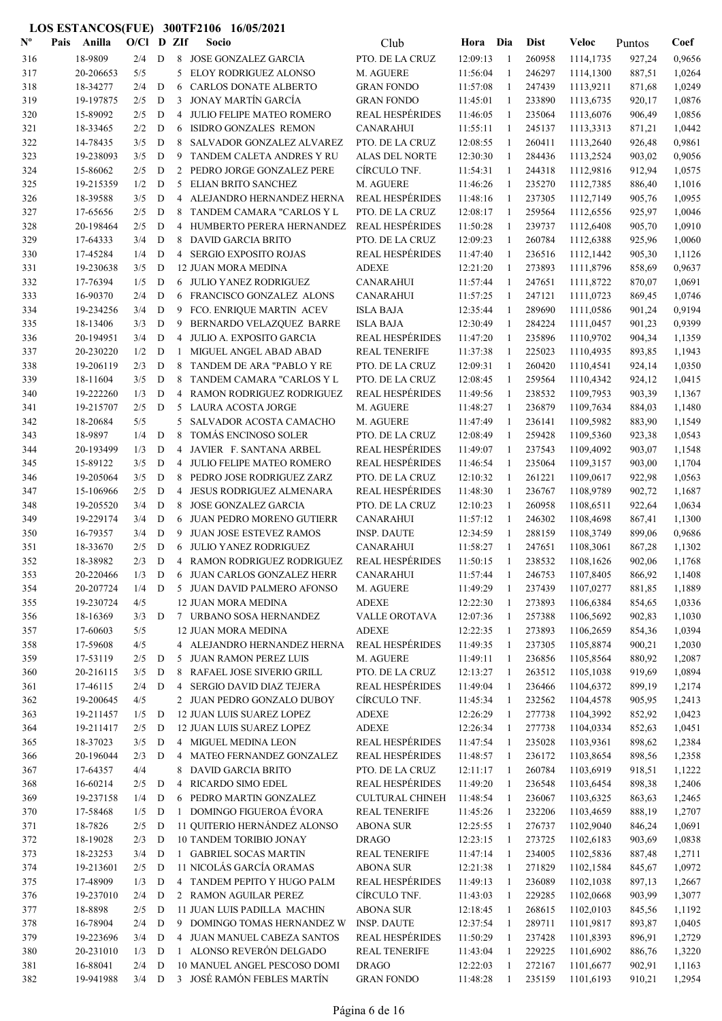| $\mathbf{N}^{\mathbf{o}}$ | Pais | Anilla              | $O/C1$ D ZIf |   |              | Socio                                           | Club                         | Hora                 | Dia            | <b>Dist</b>      | Veloc                  | Puntos           | Coef             |
|---------------------------|------|---------------------|--------------|---|--------------|-------------------------------------------------|------------------------------|----------------------|----------------|------------------|------------------------|------------------|------------------|
| 316                       |      | 18-9809             | 2/4          | D |              | 8 JOSE GONZALEZ GARCIA                          | PTO. DE LA CRUZ              | 12:09:13             | -1             | 260958           | 1114,1735              | 927,24           | 0,9656           |
| 317                       |      | 20-206653           | 5/5          |   | 5            | <b>ELOY RODRIGUEZ ALONSO</b>                    | M. AGUERE                    | 11:56:04             | -1             | 246297           | 1114,1300              | 887,51           | 1,0264           |
| 318                       |      | 18-34277            | 2/4          | D | 6            | <b>CARLOS DONATE ALBERTO</b>                    | <b>GRAN FONDO</b>            | 11:57:08             | -1             | 247439           | 1113,9211              | 871,68           | 1,0249           |
| 319                       |      | 19-197875           | 2/5          | D | 3            | JONAY MARTÍN GARCÍA                             | <b>GRAN FONDO</b>            | 11:45:01             | -1             | 233890           | 1113,6735              | 920,17           | 1,0876           |
| 320                       |      | 15-89092            | 2/5          | D | 4            | JULIO FELIPE MATEO ROMERO                       | <b>REAL HESPÉRIDES</b>       | 11:46:05             | $\overline{1}$ | 235064           | 1113,6076              | 906,49           | 1,0856           |
| 321                       |      | 18-33465            | 2/2          | D | 6            | ISIDRO GONZALES REMON                           | CANARAHUI                    | 11:55:11             | -1             | 245137           | 1113,3313              | 871,21           | 1,0442           |
| 322                       |      | 14-78435            | 3/5          | D | 8            | SALVADOR GONZALEZ ALVAREZ                       | PTO. DE LA CRUZ              | 12:08:55             | -1             | 260411           | 1113,2640              | 926,48           | 0,9861           |
| 323                       |      | 19-238093           | 3/5          | D | 9            | TANDEM CALETA ANDRES Y RU                       | <b>ALAS DEL NORTE</b>        | 12:30:30             | -1             | 284436           | 1113,2524              | 903,02           | 0,9056           |
| 324                       |      | 15-86062            | 2/5          | D | 2            | PEDRO JORGE GONZALEZ PERE                       | CÍRCULO TNF.                 | 11:54:31             | -1             | 244318           | 1112,9816              | 912,94           | 1,0575           |
| 325                       |      | 19-215359           | 1/2          | D | 5            | ELIAN BRITO SANCHEZ                             | M. AGUERE                    | 11:46:26             | 1              | 235270           | 1112,7385              | 886,40           | 1,1016           |
| 326                       |      | 18-39588            | 3/5          | D |              | 4 ALEJANDRO HERNANDEZ HERNA                     | <b>REAL HESPÉRIDES</b>       | 11:48:16             | -1             | 237305           | 1112,7149              | 905,76           | 1,0955           |
| 327                       |      | 17-65656            | 2/5          | D | 8            | TANDEM CAMARA "CARLOS Y L                       | PTO. DE LA CRUZ              | 12:08:17             | -1             | 259564           | 1112,6556              | 925,97           | 1,0046           |
| 328                       |      | 20-198464           | 2/5          | D |              | 4 HUMBERTO PERERA HERNANDEZ                     | <b>REAL HESPÉRIDES</b>       | 11:50:28             | -1             | 239737           | 1112,6408              | 905,70           | 1,0910           |
| 329                       |      | 17-64333            | 3/4          | D | 8            | DAVID GARCIA BRITO                              | PTO. DE LA CRUZ              | 12:09:23             | 1              | 260784           | 1112,6388              | 925,96           | 1,0060           |
| 330                       |      | 17-45284            | 1/4          | D |              | 4 SERGIO EXPOSITO ROJAS                         | <b>REAL HESPÉRIDES</b>       | 11:47:40             | 1              | 236516           | 1112,1442              | 905,30           | 1,1126           |
| 331                       |      | 19-230638           | 3/5          | D |              | 12 JUAN MORA MEDINA                             | <b>ADEXE</b>                 | 12:21:20             | 1              | 273893           | 1111,8796              | 858,69           | 0,9637           |
| 332                       |      | 17-76394            | 1/5          | D | 6            | JULIO YANEZ RODRIGUEZ                           | <b>CANARAHUI</b>             | 11:57:44             | $\overline{1}$ | 247651           | 1111,8722              | 870,07           | 1,0691           |
| 333                       |      | 16-90370            | 2/4          | D | 6            | FRANCISCO GONZALEZ ALONS                        | CANARAHUI                    | 11:57:25             | 1              | 247121           | 1111,0723              | 869,45           | 1,0746           |
| 334                       |      | 19-234256           | 3/4          | D | 9            | FCO. ENRIQUE MARTIN ACEV                        | <b>ISLA BAJA</b>             | 12:35:44             | $\mathbf{1}$   | 289690           | 1111,0586              | 901,24           | 0,9194           |
| 335                       |      | 18-13406            | 3/3          | D | 9            | BERNARDO VELAZQUEZ BARRE                        | <b>ISLA BAJA</b>             | 12:30:49             | 1              | 284224           | 1111,0457              | 901,23           | 0,9399           |
| 336                       |      | 20-194951           | 3/4          | D | 4            | JULIO A. EXPOSITO GARCIA                        | <b>REAL HESPÉRIDES</b>       | 11:47:20             | 1              | 235896           | 1110,9702              | 904,34           | 1,1359           |
| 337                       |      | 20-230220           | 1/2          | D | 1            | MIGUEL ANGEL ABAD ABAD                          | <b>REAL TENERIFE</b>         | 11:37:38             | -1             | 225023           | 1110,4935              | 893,85           | 1,1943           |
| 338                       |      | 19-206119           | 2/3          | D | 8            | TANDEM DE ARA "PABLO Y RE                       | PTO. DE LA CRUZ              | 12:09:31             | -1             | 260420           | 1110,4541              | 924,14           | 1,0350           |
| 339                       |      | 18-11604            | 3/5          | D | 8            | TANDEM CAMARA "CARLOS Y L                       | PTO. DE LA CRUZ              | 12:08:45             | 1              | 259564           | 1110,4342              | 924,12           | 1,0415           |
| 340                       |      | 19-222260           | 1/3          | D | 4            | RAMON RODRIGUEZ RODRIGUEZ                       | <b>REAL HESPÉRIDES</b>       | 11:49:56             | -1             | 238532           | 1109,7953              | 903,39           | 1,1367           |
| 341                       |      | 19-215707           | 2/5          | D | 5<br>5       | LAURA ACOSTA JORGE                              | M. AGUERE                    | 11:48:27<br>11:47:49 | -1<br>1        | 236879           | 1109,7634              | 884,03           | 1,1480<br>1,1549 |
| 342                       |      | 18-20684<br>18-9897 | 5/5<br>1/4   | D | 8            | SALVADOR ACOSTA CAMACHO<br>TOMÁS ENCINOSO SOLER | M. AGUERE<br>PTO. DE LA CRUZ | 12:08:49             | 1              | 236141<br>259428 | 1109,5982              | 883,90           | 1,0543           |
| 343<br>344                |      | 20-193499           | 1/3          | D | 4            | JAVIER F. SANTANA ARBEL                         | <b>REAL HESPÉRIDES</b>       | 11:49:07             | $\overline{1}$ | 237543           | 1109,5360<br>1109,4092 | 923,38<br>903,07 | 1,1548           |
| 345                       |      | 15-89122            | 3/5          | D | 4            | JULIO FELIPE MATEO ROMERO                       | <b>REAL HESPÉRIDES</b>       | 11:46:54             | -1             | 235064           | 1109,3157              | 903,00           | 1,1704           |
| 346                       |      | 19-205064           | 3/5          | D | 8            | PEDRO JOSE RODRIGUEZ ZARZ                       | PTO. DE LA CRUZ              | 12:10:32             | -1             | 261221           | 1109,0617              | 922,98           | 1,0563           |
| 347                       |      | 15-106966           | 2/5          | D | 4            | <b>JESUS RODRIGUEZ ALMENARA</b>                 | <b>REAL HESPÉRIDES</b>       | 11:48:30             | 1              | 236767           | 1108,9789              | 902,72           | 1,1687           |
| 348                       |      | 19-205520           | 3/4          | D | 8            | <b>JOSE GONZALEZ GARCIA</b>                     | PTO. DE LA CRUZ              | 12:10:23             | -1             | 260958           | 1108,6511              | 922,64           | 1,0634           |
| 349                       |      | 19-229174           | 3/4          | D | 6            | <b>JUAN PEDRO MORENO GUTIERR</b>                | <b>CANARAHUI</b>             | 11:57:12             | 1              | 246302           | 1108,4698              | 867,41           | 1,1300           |
| 350                       |      | 16-79357            | 3/4          | D | 9            | <b>JUAN JOSE ESTEVEZ RAMOS</b>                  | <b>INSP. DAUTE</b>           | 12:34:59             | 1              | 288159           | 1108,3749              | 899,06           | 0,9686           |
| 351                       |      | 18-33670            | 2/5          | D | 6            | JULIO YANEZ RODRIGUEZ                           | <b>CANARAHUI</b>             | 11:58:27             | 1              | 247651           | 1108,3061              | 867,28           | 1,1302           |
| 352                       |      | 18-38982            | 2/3          | D |              | 4 RAMON RODRIGUEZ RODRIGUEZ                     | <b>REAL HESPÉRIDES</b>       | 11:50:15             | 1              | 238532           | 1108,1626              | 902,06           | 1,1768           |
| 353                       |      | 20-220466           | 1/3          | D |              | 6 JUAN CARLOS GONZALEZ HERR                     | CANARAHUI                    | 11:57:44             |                | 246753           | 1107,8405              | 866,92           | 1,1408           |
| 354                       |      | 20-207724           | 1/4          | D |              | 5 JUAN DAVID PALMERO AFONSO                     | M. AGUERE                    | 11:49:29             | 1              | 237439           | 1107,0277              | 881,85           | 1,1889           |
| 355                       |      | 19-230724           | 4/5          |   |              | 12 JUAN MORA MEDINA                             | <b>ADEXE</b>                 | 12:22:30             | -1             | 273893           | 1106,6384              | 854,65           | 1,0336           |
| 356                       |      | 18-16369            | 3/3          | D |              | 7 URBANO SOSA HERNANDEZ                         | VALLE OROTAVA                | 12:07:36             | -1             | 257388           | 1106,5692              | 902,83           | 1,1030           |
| 357                       |      | 17-60603            | 5/5          |   |              | 12 JUAN MORA MEDINA                             | <b>ADEXE</b>                 | 12:22:35             | $\mathbf{1}$   | 273893           | 1106,2659              | 854,36           | 1,0394           |
| 358                       |      | 17-59608            | 4/5          |   |              | 4 ALEJANDRO HERNANDEZ HERNA                     | REAL HESPÉRIDES              | 11:49:35             | 1              | 237305           | 1105,8874              | 900,21           | 1,2030           |
| 359                       |      | 17-53119            | 2/5          | D |              | 5 JUAN RAMON PEREZ LUIS                         | M. AGUERE                    | 11:49:11             | -1             | 236856           | 1105,8564              | 880,92           | 1,2087           |
| 360                       |      | 20-216115           | 3/5          | D |              | 8 RAFAEL JOSE SIVERIO GRILL                     | PTO. DE LA CRUZ              | 12:13:27             | 1              | 263512           | 1105,1038              | 919,69           | 1,0894           |
| 361                       |      | 17-46115            | 2/4          | D | 4            | SERGIO DAVID DIAZ TEJERA                        | <b>REAL HESPÉRIDES</b>       | 11:49:04             | -1             | 236466           | 1104,6372              | 899,19           | 1,2174           |
| 362                       |      | 19-200645           | 4/5          |   |              | 2 JUAN PEDRO GONZALO DUBOY                      | CÍRCULO TNF.                 | 11:45:34             | -1             | 232562           | 1104,4578              | 905,95           | 1,2413           |
| 363                       |      | 19-211457           | 1/5          | D |              | 12 JUAN LUIS SUAREZ LOPEZ                       | <b>ADEXE</b>                 | 12:26:29             | 1              | 277738           | 1104,3992              | 852,92           | 1,0423           |
| 364                       |      | 19-211417           | 2/5          | D |              | 12 JUAN LUIS SUAREZ LOPEZ                       | <b>ADEXE</b>                 | 12:26:34             | 1              | 277738           | 1104,0334              | 852,63           | 1,0451           |
| 365                       |      | 18-37023            | 3/5          | D |              | 4 MIGUEL MEDINA LEON                            | <b>REAL HESPÉRIDES</b>       | 11:47:54             | $\mathbf{1}$   | 235028           | 1103,9361              | 898,62           | 1,2384           |
| 366                       |      | 20-196044           | 2/3          | D |              | 4 MATEO FERNANDEZ GONZALEZ                      | <b>REAL HESPÉRIDES</b>       | 11:48:57             | $\mathbf{1}$   | 236172           | 1103,8654              | 898,56           | 1,2358           |
| 367                       |      | 17-64357            | 4/4          |   | 8            | DAVID GARCIA BRITO                              | PTO. DE LA CRUZ              | 12:11:17             | -1             | 260784           | 1103,6919              | 918,51           | 1,1222           |
| 368                       |      | 16-60214            | 2/5          | D | 4            | RICARDO SIMO EDEL                               | <b>REAL HESPÉRIDES</b>       | 11:49:20             | -1             | 236548           | 1103,6454              | 898,38           | 1,2406           |
| 369                       |      | 19-237158           | 1/4          | D | 6            | PEDRO MARTIN GONZALEZ                           | <b>CULTURAL CHINEH</b>       | 11:48:54             | -1             | 236067           | 1103,6325              | 863,63           | 1,2465           |
| 370                       |      | 17-58468            | 1/5          | D | $\mathbf{1}$ | DOMINGO FIGUEROA ÉVORA                          | <b>REAL TENERIFE</b>         | 11:45:26             | -1             | 232206           | 1103,4659              | 888,19           | 1,2707           |
| 371                       |      | 18-7826             | 2/5          | D |              | 11 QUITERIO HERNÁNDEZ ALONSO                    | <b>ABONA SUR</b>             | 12:25:55             | -1             | 276737           | 1102,9040              | 846,24           | 1,0691           |
| 372                       |      | 18-19028            | 2/3          | D |              | 10 TANDEM TORIBIO JONAY                         | <b>DRAGO</b>                 | 12:23:15             | -1             | 273725           | 1102,6183              | 903,69           | 1,0838           |
| 373                       |      | 18-23253            | 3/4          | D |              | 1 GABRIEL SOCAS MARTIN                          | <b>REAL TENERIFE</b>         | 11:47:14             | 1              | 234005           | 1102,5836              | 887,48           | 1,2711           |
| 374                       |      | 19-213601           | 2/5          | D |              | 11 NICOLÁS GARCÍA ORAMAS                        | <b>ABONA SUR</b>             | 12:21:38             | 1              | 271829           | 1102,1584              | 845,67           | 1,0972           |
| 375                       |      | 17-48909            | 1/3          | D |              | 4 TANDEM PEPITO Y HUGO PALM                     | <b>REAL HESPÉRIDES</b>       | 11:49:13             | -1             | 236089           | 1102,1038              | 897,13           | 1,2667           |
| 376                       |      | 19-237010           | 2/4          | D |              | 2 RAMON AGUILAR PEREZ                           | CÍRCULO TNF.                 | 11:43:03             | 1              | 229285           | 1102,0668              | 903,99           | 1,3077           |
| 377                       |      | 18-8898             | 2/5          | D |              | 11 JUAN LUIS PADILLA MACHIN                     | <b>ABONA SUR</b>             | 12:18:45             | $\mathbf{1}$   | 268615           | 1102,0103              | 845,56           | 1,1192           |
| 378                       |      | 16-78904            | 2/4          | D |              | 9 DOMINGO TOMAS HERNANDEZ W                     | <b>INSP. DAUTE</b>           | 12:37:54             | $\mathbf{1}$   | 289711           | 1101,9817              | 893,87           | 1,0405           |
| 379                       |      | 19-223696           | 3/4          | D |              | 4 JUAN MANUEL CABEZA SANTOS                     | <b>REAL HESPÉRIDES</b>       | 11:50:29             | 1              | 237428           | 1101,8393              | 896,91           | 1,2729           |
| 380                       |      | 20-231010           | 1/3          | D |              | 1 ALONSO REVERÓN DELGADO                        | <b>REAL TENERIFE</b>         | 11:43:04             | -1             | 229225           | 1101,6902              | 886,76           | 1,3220           |
| 381                       |      | 16-88041            | 2/4          | D |              | 10 MANUEL ANGEL PESCOSO DOMI                    | <b>DRAGO</b>                 | 12:22:03             | $\mathbf{1}$   | 272167           | 1101,6677              | 902,91           | 1,1163           |
| 382                       |      | 19-941988           | $3/4$ D      |   |              | 3 JOSÉ RAMÓN FEBLES MARTÍN                      | <b>GRAN FONDO</b>            | 11:48:28             | -1             | 235159           | 1101,6193              | 910,21           | 1,2954           |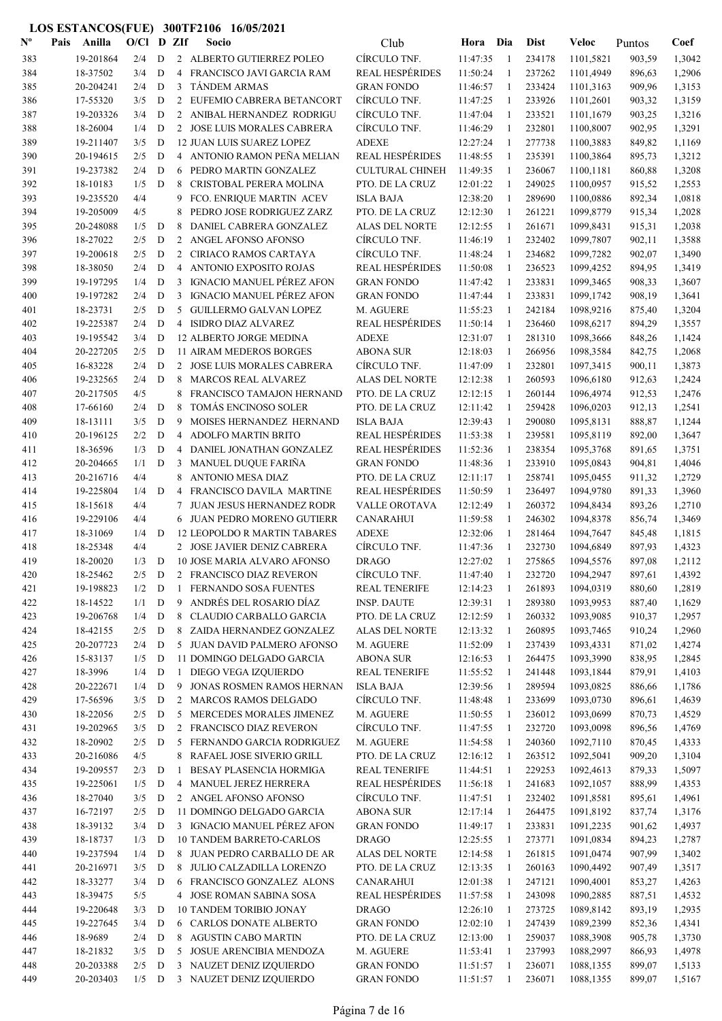| $\mathbf{N}^{\mathbf{o}}$ | Pais | Anilla                 | $O/C1$ D ZIf |        |              | Socio                                                    | Club                                           | Hora Dia             |                | <b>Dist</b>      | Veloc                  | Puntos           | Coef             |
|---------------------------|------|------------------------|--------------|--------|--------------|----------------------------------------------------------|------------------------------------------------|----------------------|----------------|------------------|------------------------|------------------|------------------|
| 383                       |      | 19-201864              | 2/4          | D      |              | 2 ALBERTO GUTIERREZ POLEO                                | CÍRCULO TNF.                                   | 11:47:35             | -1             | 234178           | 1101,5821              | 903,59           | 1,3042           |
| 384                       |      | 18-37502               | 3/4          | D      |              | 4 FRANCISCO JAVI GARCIA RAM                              | <b>REAL HESPÉRIDES</b>                         | 11:50:24             | 1              | 237262           | 1101,4949              | 896,63           | 1,2906           |
| 385                       |      | 20-204241              | 2/4          | D      | 3            | <b>TÁNDEM ARMAS</b>                                      | <b>GRAN FONDO</b>                              | 11:46:57             | -1             | 233424           | 1101,3163              | 909,96           | 1,3153           |
| 386                       |      | 17-55320               | 3/5          | D      |              | 2 EUFEMIO CABRERA BETANCORT                              | CIRCULO TNF.                                   | 11:47:25             | -1             | 233926           | 1101,2601              | 903,32           | 1,3159           |
| 387                       |      | 19-203326              | 3/4          | D      |              | 2 ANIBAL HERNANDEZ RODRIGU                               | CÍRCULO TNF.                                   | 11:47:04             | $\overline{1}$ | 233521           | 1101,1679              | 903,25           | 1,3216           |
| 388                       |      | 18-26004               | 1/4          | D      |              | 2 JOSE LUIS MORALES CABRERA                              | CÍRCULO TNF.                                   | 11:46:29             | $\overline{1}$ | 232801           | 1100,8007              | 902,95           | 1,3291           |
| 389                       |      | 19-211407              | 3/5          | D      |              | 12 JUAN LUIS SUAREZ LOPEZ                                | <b>ADEXE</b>                                   | 12:27:24             | -1             | 277738           | 1100,3883              | 849,82           | 1,1169           |
| 390                       |      | 20-194615              | 2/5          | D      |              | 4 ANTONIO RAMON PEÑA MELIAN                              | <b>REAL HESPÉRIDES</b>                         | 11:48:55             | -1             | 235391           | 1100,3864              | 895,73           | 1,3212           |
| 391                       |      | 19-237382              | 2/4          | D      | 6            | PEDRO MARTIN GONZALEZ                                    | <b>CULTURAL CHINEH</b>                         | 11:49:35             | 1              | 236067           | 1100,1181              | 860,88           | 1,3208           |
| 392                       |      | 18-10183               | 1/5          | D      | 8            | CRISTOBAL PERERA MOLINA                                  | PTO. DE LA CRUZ                                | 12:01:22             | 1              | 249025           | 1100,0957              | 915,52           | 1,2553           |
| 393                       |      | 19-235520              | 4/4<br>4/5   |        | 9            | FCO. ENRIQUE MARTIN ACEV                                 | <b>ISLA BAJA</b>                               | 12:38:20             | -1             | 289690           | 1100,0886              | 892,34           | 1,0818           |
| 394<br>395                |      | 19-205009<br>20-248088 | 1/5          | D      | 8<br>8       | PEDRO JOSE RODRIGUEZ ZARZ<br>DANIEL CABRERA GONZALEZ     | PTO. DE LA CRUZ<br>ALAS DEL NORTE              | 12:12:30<br>12:12:55 | 1<br>1         | 261221<br>261671 | 1099,8779<br>1099,8431 | 915,34<br>915,31 | 1,2028<br>1,2038 |
| 396                       |      | 18-27022               | 2/5          | D      |              | 2 ANGEL AFONSO AFONSO                                    | CÍRCULO TNF.                                   | 11:46:19             | 1              | 232402           | 1099,7807              | 902,11           | 1,3588           |
| 397                       |      | 19-200618              | 2/5          | D      | 2            | CIRIACO RAMOS CARTAYA                                    | CÍRCULO TNF.                                   | 11:48:24             | -1             | 234682           | 1099,7282              | 902,07           | 1,3490           |
| 398                       |      | 18-38050               | 2/4          | D      | 4            | ANTONIO EXPOSITO ROJAS                                   | <b>REAL HESPÉRIDES</b>                         | 11:50:08             | -1             | 236523           | 1099,4252              | 894,95           | 1,3419           |
| 399                       |      | 19-197295              | 1/4          | D      | 3            | IGNACIO MANUEL PÉREZ AFON                                | <b>GRAN FONDO</b>                              | 11:47:42             | 1              | 233831           | 1099,3465              | 908,33           | 1,3607           |
| 400                       |      | 19-197282              | 2/4          | D      | 3            | IGNACIO MANUEL PÉREZ AFON                                | <b>GRAN FONDO</b>                              | 11:47:44             | -1             | 233831           | 1099,1742              | 908,19           | 1,3641           |
| 401                       |      | 18-23731               | 2/5          | D      | 5            | <b>GUILLERMO GALVAN LOPEZ</b>                            | M. AGUERE                                      | 11:55:23             | -1             | 242184           | 1098,9216              | 875,40           | 1,3204           |
| 402                       |      | 19-225387              | 2/4          | D      |              | 4 ISIDRO DIAZ ALVAREZ                                    | <b>REAL HESPÉRIDES</b>                         | 11:50:14             | -1             | 236460           | 1098,6217              | 894,29           | 1,3557           |
| 403                       |      | 19-195542              | 3/4          | D      |              | 12 ALBERTO JORGE MEDINA                                  | <b>ADEXE</b>                                   | 12:31:07             | 1              | 281310           | 1098,3666              | 848,26           | 1,1424           |
| 404                       |      | 20-227205              | 2/5          | D      |              | <b>11 AIRAM MEDEROS BORGES</b>                           | <b>ABONA SUR</b>                               | 12:18:03             | 1              | 266956           | 1098,3584              | 842,75           | 1,2068           |
| 405                       |      | 16-83228               | 2/4          | D      |              | 2 JOSE LUIS MORALES CABRERA                              | CÍRCULO TNF.                                   | 11:47:09             | 1              | 232801           | 1097,3415              | 900,11           | 1,3873           |
| 406                       |      | 19-232565              | 2/4          | D      | 8            | <b>MARCOS REAL ALVAREZ</b>                               | ALAS DEL NORTE                                 | 12:12:38             | -1             | 260593           | 1096,6180              | 912,63           | 1,2424           |
| 407                       |      | 20-217505              | 4/5          |        | 8            | FRANCISCO TAMAJON HERNAND                                | PTO. DE LA CRUZ                                | 12:12:15             | 1              | 260144           | 1096,4974              | 912,53           | 1,2476           |
| 408                       |      | 17-66160               | 2/4          | D      | 8            | TOMÁS ENCINOSO SOLER                                     | PTO. DE LA CRUZ                                | 12:11:42             | 1              | 259428           | 1096,0203              | 912,13           | 1,2541           |
| 409                       |      | 18-13111               | 3/5          | D      | 9            | MOISES HERNANDEZ HERNAND                                 | <b>ISLA BAJA</b>                               | 12:39:43             | -1             | 290080           | 1095,8131              | 888,87           | 1,1244           |
| 410                       |      | 20-196125              | 2/2          | D      | 4            | <b>ADOLFO MARTIN BRITO</b>                               | <b>REAL HESPÉRIDES</b>                         | 11:53:38             | -1             | 239581           | 1095,8119              | 892,00           | 1,3647           |
| 411                       |      | 18-36596               | 1/3          | D      | 4            | DANIEL JONATHAN GONZALEZ                                 | <b>REAL HESPÉRIDES</b>                         | 11:52:36             | 1              | 238354           | 1095,3768              | 891,65           | 1,3751           |
| 412                       |      | 20-204665              | 1/1          | D      | 3            | MANUEL DUQUE FARIÑA                                      | <b>GRAN FONDO</b>                              | 11:48:36             | 1              | 233910           | 1095,0843              | 904,81           | 1,4046           |
| 413                       |      | 20-216716              | 4/4          |        | 8            | <b>ANTONIO MESA DIAZ</b>                                 | PTO. DE LA CRUZ                                | 12:11:17             | 1              | 258741           | 1095,0455              | 911,32           | 1,2729           |
| 414                       |      | 19-225804              | 1/4          | D      | 4            | FRANCISCO DAVILA MARTINE                                 | <b>REAL HESPÉRIDES</b>                         | 11:50:59             | -1             | 236497           | 1094,9780              | 891,33           | 1,3960           |
| 415                       |      | 18-15618               | 4/4          |        | 7            | JUAN JESUS HERNANDEZ RODR<br>6 JUAN PEDRO MORENO GUTIERR | VALLE OROTAVA<br><b>CANARAHUI</b>              | 12:12:49             | -1             | 260372           | 1094,8434              | 893,26           | 1,2710           |
| 416<br>417                |      | 19-229106<br>18-31069  | 4/4<br>1/4   | D      |              | <b>12 LEOPOLDO R MARTIN TABARES</b>                      | <b>ADEXE</b>                                   | 11:59:58<br>12:32:06 | 1<br>1         | 246302<br>281464 | 1094,8378<br>1094,7647 | 856,74<br>845,48 | 1,3469<br>1,1815 |
| 418                       |      | 18-25348               | 4/4          |        |              | 2 JOSE JAVIER DENIZ CABRERA                              | CÍRCULO TNF.                                   | 11:47:36             | -1             | 232730           | 1094,6849              | 897,93           | 1,4323           |
| 419                       |      | 18-20020               | 1/3          | D      |              | 10 JOSE MARIA ALVARO AFONSO                              | <b>DRAGO</b>                                   | 12:27:02             | 1              | 275865           | 1094,5576              | 897,08           | 1,2112           |
| 420                       |      | 18-25462               | 2/5          |        |              | D 2 FRANCISCO DIAZ REVERON                               | <b>CIRCULO TNF.</b>                            | 11:47:40             | -1             | 232720           | 1094,2947              | 897,61           | 1,4392           |
| 421                       |      | 19-198823              | $1/2$ D      |        |              | 1 FERNANDO SOSA FUENTES                                  | <b>REAL TENERIFE</b>                           | 12:14:23             | -1             | 261893           | 1094,0319              | 880,60           | 1,2819           |
| 422                       |      | 18-14522               | 1/1          | D      | 9            | ANDRÉS DEL ROSARIO DÍAZ                                  | <b>INSP. DAUTE</b>                             | 12:39:31             | -1             | 289380           | 1093,9953              | 887,40           | 1,1629           |
| 423                       |      | 19-206768              | 1/4          | D      |              | 8 CLAUDIO CARBALLO GARCIA                                | PTO. DE LA CRUZ                                | 12:12:59             | -1             | 260332           | 1093,9085              | 910,37           | 1,2957           |
| 424                       |      | 18-42155               | 2/5          | D      |              | 8 ZAIDA HERNANDEZ GONZALEZ                               | <b>ALAS DEL NORTE</b>                          | 12:13:32             | -1             | 260895           | 1093,7465              | 910,24           | 1,2960           |
| 425                       |      | 20-207723              | 2/4          | D      |              | 5 JUAN DAVID PALMERO AFONSO                              | M. AGUERE                                      | 11:52:09             | -1             | 237439           | 1093,4331              | 871,02           | 1,4274           |
| 426                       |      | 15-83137               | 1/5          | D      |              | 11 DOMINGO DELGADO GARCIA                                | <b>ABONA SUR</b>                               | 12:16:53             | -1             | 264475           | 1093,3990              | 838,95           | 1,2845           |
| 427                       |      | 18-3996                | 1/4          | D      | $\mathbf{1}$ | DIEGO VEGA IZQUIERDO                                     | <b>REAL TENERIFE</b>                           | 11:55:52             | -1             | 241448           | 1093,1844              | 879,91           | 1,4103           |
| 428                       |      | 20-222671              | 1/4          | D      | 9            | JONAS ROSMEN RAMOS HERNAN                                | <b>ISLA BAJA</b>                               | 12:39:56             | -1             | 289594           | 1093,0825              | 886,66           | 1,1786           |
| 429                       |      | 17-56596               | 3/5          | D      |              | 2 MARCOS RAMOS DELGADO                                   | CÍRCULO TNF.                                   | 11:48:48             | -1             | 233699           | 1093,0730              | 896,61           | 1,4639           |
| 430                       |      | 18-22056               | 2/5          | D      |              | 5 MERCEDES MORALES JIMENEZ                               | M. AGUERE                                      | 11:50:55             | -1             | 236012           | 1093,0699              | 870,73           | 1,4529           |
| 431                       |      | 19-202965              | 3/5          | D      |              | 2 FRANCISCO DIAZ REVERON                                 | CÍRCULO TNF.                                   | 11:47:55             | -1             | 232720           | 1093,0098              | 896,56           | 1,4769           |
| 432                       |      | 18-20902               | 2/5          | D      |              | 5 FERNANDO GARCIA RODRIGUEZ                              | M. AGUERE                                      | 11:54:58             | -1             | 240360           | 1092,7110              | 870,45           | 1,4333           |
| 433                       |      | 20-216086              | 4/5          |        | 8            | RAFAEL JOSE SIVERIO GRILL                                | PTO. DE LA CRUZ                                | 12:16:12             | -1             | 263512           | 1092,5041              | 909,20           | 1,3104           |
| 434                       |      | 19-209557              | 2/3          | D      | 1            | BESAY PLASENCIA HORMIGA                                  | <b>REAL TENERIFE</b><br><b>REAL HESPÉRIDES</b> | 11:44:51<br>11:56:18 | -1             | 229253<br>241683 | 1092,4613              | 879,33           | 1,5097           |
| 435<br>436                |      | 19-225061<br>18-27040  | 1/5<br>3/5   | D<br>D | 4            | MANUEL JEREZ HERRERA<br>2 ANGEL AFONSO AFONSO            | CÍRCULO TNF.                                   | 11:47:51             | 1<br>-1        | 232402           | 1092,1057<br>1091,8581 | 888,99<br>895,61 | 1,4353<br>1,4961 |
| 437                       |      | 16-72197               | 2/5          | D      |              | 11 DOMINGO DELGADO GARCIA                                | <b>ABONA SUR</b>                               | 12:17:14             | -1             | 264475           | 1091,8192              | 837,74           | 1,3176           |
| 438                       |      | 18-39132               | 3/4          | D      |              | 3 IGNACIO MANUEL PÉREZ AFON                              | <b>GRAN FONDO</b>                              | 11:49:17             | -1             | 233831           | 1091,2235              | 901,62           | 1,4937           |
| 439                       |      | 18-18737               | 1/3          | D      |              | <b>10 TANDEM BARRETO-CARLOS</b>                          | <b>DRAGO</b>                                   | 12:25:55             | -1             | 273771           | 1091,0834              | 894,23           | 1,2787           |
| 440                       |      | 19-237594              | 1/4          | D      |              | 8 JUAN PEDRO CARBALLO DE AR                              | ALAS DEL NORTE                                 | 12:14:58             | -1             | 261815           | 1091,0474              | 907,99           | 1,3402           |
| 441                       |      | 20-216971              | 3/5          | D      |              | 8 JULIO CALZADILLA LORENZO                               | PTO. DE LA CRUZ                                | 12:13:35             | $\mathbf{1}$   | 260163           | 1090,4492              | 907,49           | 1,3517           |
| 442                       |      | 18-33277               | 3/4          | D      |              | 6 FRANCISCO GONZALEZ ALONS                               | CANARAHUI                                      | 12:01:38             | -1             | 247121           | 1090,4001              | 853,27           | 1,4263           |
| 443                       |      | 18-39475               | 5/5          |        |              | 4 JOSE ROMAN SABINA SOSA                                 | <b>REAL HESPÉRIDES</b>                         | 11:57:58             | -1             | 243098           | 1090,2885              | 887,51           | 1,4532           |
| 444                       |      | 19-220648              | 3/3          | D      |              | 10 TANDEM TORIBIO JONAY                                  | <b>DRAGO</b>                                   | 12:26:10             | $\mathbf{1}$   | 273725           | 1089,8142              | 893,19           | 1,2935           |
| 445                       |      | 19-227645              | 3/4          | D      |              | 6 CARLOS DONATE ALBERTO                                  | <b>GRAN FONDO</b>                              | 12:02:10             | -1             | 247439           | 1089,2399              | 852,36           | 1,4341           |
| 446                       |      | 18-9689                | 2/4          | D      |              | 8 AGUSTIN CABO MARTIN                                    | PTO. DE LA CRUZ                                | 12:13:00             | -1             | 259037           | 1088,3908              | 905,78           | 1,3730           |
| 447                       |      | 18-21832               | 3/5          | D      | 5            | JOSUE ARENCIBIA MENDOZA                                  | M. AGUERE                                      | 11:53:41             | -1             | 237993           | 1088,2997              | 866,93           | 1,4978           |
| 448                       |      | 20-203388              | 2/5          | D      | 3            | NAUZET DENIZ IZQUIERDO                                   | <b>GRAN FONDO</b>                              | 11:51:57             | -1             | 236071           | 1088,1355              | 899,07           | 1,5133           |
| 449                       |      | 20-203403              | $1/5$ D      |        |              | 3 NAUZET DENIZ IZQUIERDO                                 | <b>GRAN FONDO</b>                              | 11:51:57             | -1             | 236071           | 1088,1355              | 899,07           | 1,5167           |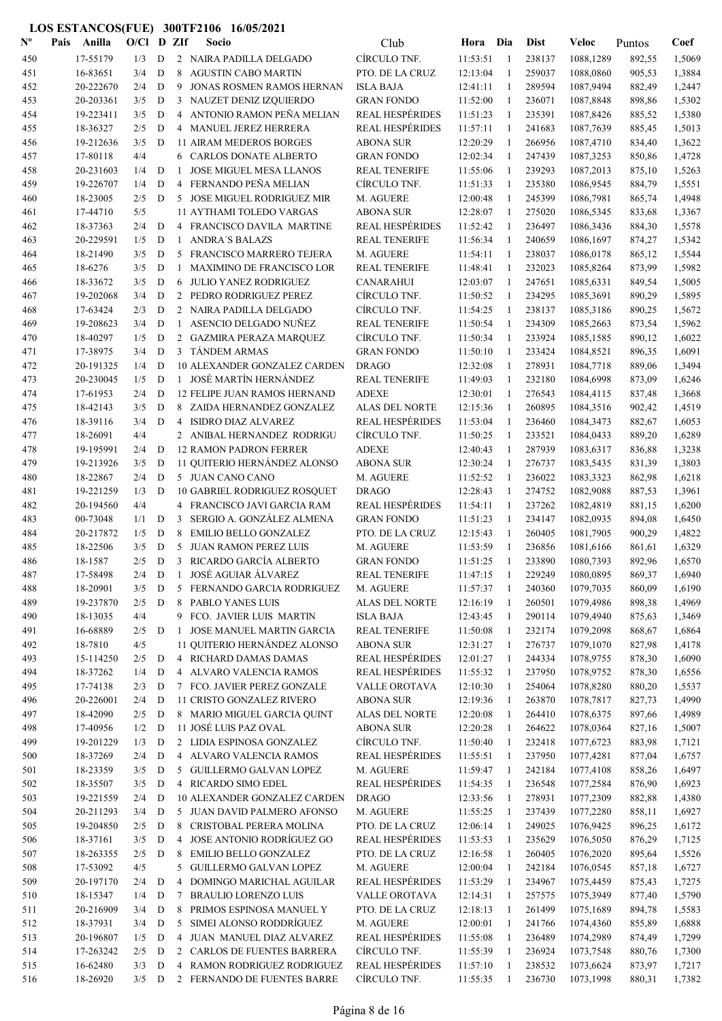| $\mathbf{N}^{\mathbf{o}}$ | Pais | Anilla                 | O/Cl       |                  | D ZIf               | Socio                                                       | Club                                       | Hora                 | Dia          | <b>Dist</b>      | Veloc                  | Puntos           | Coef             |
|---------------------------|------|------------------------|------------|------------------|---------------------|-------------------------------------------------------------|--------------------------------------------|----------------------|--------------|------------------|------------------------|------------------|------------------|
| 450                       |      | 17-55179               | 1/3        | D                |                     | 2 NAIRA PADILLA DELGADO                                     | CÍRCULO TNF.                               | 11:53:51             | -1           | 238137           | 1088,1289              | 892,55           | 1,5069           |
| 451                       |      | 16-83651               | 3/4        | D                | 8                   | <b>AGUSTIN CABO MARTIN</b>                                  | PTO. DE LA CRUZ                            | 12:13:04             | 1            | 259037           | 1088,0860              | 905,53           | 1,3884           |
| 452                       |      | 20-222670              | 2/4        | D                | 9                   | JONAS ROSMEN RAMOS HERNAN                                   | <b>ISLA BAJA</b>                           | 12:41:11             | -1           | 289594           | 1087,9494              | 882,49           | 1,2447           |
| 453                       |      | 20-203361              | 3/5        | D                | 3                   | NAUZET DENIZ IZQUIERDO                                      | <b>GRAN FONDO</b>                          | 11:52:00             | -1           | 236071           | 1087,8848              | 898,86           | 1,5302           |
| 454                       |      | 19-223411              | 3/5        | D                | $\overline{4}$      | ANTONIO RAMON PEÑA MELIAN                                   | <b>REAL HESPÉRIDES</b>                     | 11:51:23             | -1           | 235391           | 1087,8426              | 885,52           | 1,5380           |
| 455                       |      | 18-36327               | 2/5        | D                |                     | 4 MANUEL JEREZ HERRERA                                      | <b>REAL HESPÉRIDES</b>                     | 11:57:11             | 1            | 241683           | 1087,7639              | 885,45           | 1,5013           |
| 456                       |      | 19-212636              | 3/5        | D                |                     | <b>11 AIRAM MEDEROS BORGES</b>                              | <b>ABONA SUR</b>                           | 12:20:29             | -1           | 266956           | 1087,4710              | 834,40           | 1,3622           |
| 457                       |      | 17-80118               | 4/4        |                  |                     | 6 CARLOS DONATE ALBERTO                                     | <b>GRAN FONDO</b>                          | 12:02:34             | 1            | 247439           | 1087,3253              | 850,86           | 1,4728           |
| 458                       |      | 20-231603              | 1/4        | D                | 1                   | <b>JOSE MIGUEL MESA LLANOS</b>                              | <b>REAL TENERIFE</b>                       | 11:55:06             | 1            | 239293           | 1087,2013              | 875,10           | 1,5263           |
| 459                       |      | 19-226707              | 1/4        | $\mathbf D$      | 4                   | FERNANDO PEÑA MELIAN                                        | CÍRCULO TNF.                               | 11:51:33             | 1            | 235380           | 1086,9545              | 884,79           | 1,5551           |
| 460                       |      | 18-23005<br>17-44710   | 2/5        | D                | 5                   | <b>JOSE MIGUEL RODRIGUEZ MIR</b>                            | M. AGUERE                                  | 12:00:48             | 1            | 245399           | 1086,7981              | 865,74           | 1,4948           |
| 461                       |      | 18-37363               | 5/5<br>2/4 | D                | 4                   | <b>11 AYTHAMI TOLEDO VARGAS</b><br>FRANCISCO DAVILA MARTINE | <b>ABONA SUR</b><br><b>REAL HESPÉRIDES</b> | 12:28:07<br>11:52:42 | 1<br>1       | 275020<br>236497 | 1086,5345              | 833,68           | 1,3367<br>1,5578 |
| 462<br>463                |      | 20-229591              | 1/5        | D                | -1                  | <b>ANDRA'S BALAZS</b>                                       | <b>REAL TENERIFE</b>                       | 11:56:34             | $\mathbf{1}$ | 240659           | 1086,3436<br>1086,1697 | 884,30<br>874,27 | 1,5342           |
| 464                       |      | 18-21490               | 3/5        | D                | 5                   | FRANCISCO MARRERO TEJERA                                    | M. AGUERE                                  | 11:54:11             | 1            | 238037           | 1086,0178              | 865,12           | 1,5544           |
| 465                       |      | 18-6276                | 3/5        | D                | 1                   | MAXIMINO DE FRANCISCO LOR                                   | <b>REAL TENERIFE</b>                       | 11:48:41             | 1            | 232023           | 1085,8264              | 873,99           | 1,5982           |
| 466                       |      | 18-33672               | 3/5        | D                | 6                   | <b>JULIO YANEZ RODRIGUEZ</b>                                | <b>CANARAHUI</b>                           | 12:03:07             | -1           | 247651           | 1085,6331              | 849,54           | 1,5005           |
| 467                       |      | 19-202068              | 3/4        | D                |                     | 2 PEDRO RODRIGUEZ PEREZ                                     | CÍRCULO TNF.                               | 11:50:52             | -1           | 234295           | 1085,3691              | 890,29           | 1,5895           |
| 468                       |      | 17-63424               | 2/3        | D                |                     | 2 NAIRA PADILLA DELGADO                                     | CÍRCULO TNF.                               | 11:54:25             | -1           | 238137           | 1085,3186              | 890,25           | 1,5672           |
| 469                       |      | 19-208623              | 3/4        | D                | 1                   | ASENCIO DELGADO NUÑEZ                                       | <b>REAL TENERIFE</b>                       | 11:50:54             | 1            | 234309           | 1085,2663              | 873,54           | 1,5962           |
| 470                       |      | 18-40297               | 1/5        | D                |                     | 2 GAZMIRA PERAZA MARQUEZ                                    | CÍRCULO TNF.                               | 11:50:34             | 1            | 233924           | 1085,1585              | 890,12           | 1,6022           |
| 471                       |      | 17-38975               | 3/4        | D                |                     | 3 TÁNDEM ARMAS                                              | <b>GRAN FONDO</b>                          | 11:50:10             | 1            | 233424           | 1084,8521              | 896,35           | 1,6091           |
| 472                       |      | 20-191325              | 1/4        | D                |                     | 10 ALEXANDER GONZALEZ CARDEN                                | <b>DRAGO</b>                               | 12:32:08             | 1            | 278931           | 1084,7718              | 889,06           | 1,3494           |
| 473                       |      | 20-230045              | 1/5        | D                |                     | 1 JOSÉ MARTÍN HERNÁNDEZ                                     | <b>REAL TENERIFE</b>                       | 11:49:03             | 1            | 232180           | 1084,6998              | 873,09           | 1,6246           |
| 474                       |      | 17-61953               | 2/4        | D                |                     | <b>12 FELIPE JUAN RAMOS HERNAND</b>                         | <b>ADEXE</b>                               | 12:30:01             | 1            | 276543           | 1084,4115              | 837,48           | 1,3668           |
| 475                       |      | 18-42143               | 3/5        | D                |                     | 8 ZAIDA HERNANDEZ GONZALEZ                                  | ALAS DEL NORTE                             | 12:15:36             | -1           | 260895           | 1084,3516              | 902,42           | 1,4519           |
| 476                       |      | 18-39116               | 3/4        | D                | 4                   | <b>ISIDRO DIAZ ALVAREZ</b>                                  | <b>REAL HESPÉRIDES</b>                     | 11:53:04             | 1            | 236460           | 1084,3473              | 882,67           | 1,6053           |
| 477                       |      | 18-26091               | 4/4        |                  |                     | 2 ANIBAL HERNANDEZ RODRIGU                                  | CÍRCULO TNF.                               | 11:50:25             | -1           | 233521           | 1084,0433              | 889,20           | 1,6289           |
| 478                       |      | 19-195991              | 2/4        | D                |                     | <b>12 RAMON PADRON FERRER</b>                               | <b>ADEXE</b>                               | 12:40:43             | $\mathbf{1}$ | 287939           | 1083,6317              | 836,88           | 1,3238           |
| 479                       |      | 19-213926              | 3/5        | D                |                     | 11 QUITERIO HERNÁNDEZ ALONSO                                | <b>ABONA SUR</b>                           | 12:30:24             | -1           | 276737           | 1083,5435              | 831,39           | 1,3803           |
| 480                       |      | 18-22867               | 2/4        | D                |                     | 5 JUAN CANO CANO                                            | M. AGUERE                                  | 11:52:52             | -1           | 236022           | 1083,3323              | 862,98           | 1,6218           |
| 481                       |      | 19-221259              | 1/3        | D                |                     | <b>10 GABRIEL RODRIGUEZ ROSQUET</b>                         | <b>DRAGO</b>                               | 12:28:43             | 1            | 274752           | 1082,9088              | 887,53           | 1,3961           |
| 482                       |      | 20-194560              | 4/4        |                  | 4                   | FRANCISCO JAVI GARCIA RAM                                   | <b>REAL HESPÉRIDES</b>                     | 11:54:11             | 1            | 237262           | 1082,4819              | 881,15           | 1,6200           |
| 483                       |      | 00-73048               | 1/1        | $\mathbf D$      | 3                   | SERGIO A. GONZÁLEZ ALMENA                                   | <b>GRAN FONDO</b>                          | 11:51:23             | 1            | 234147           | 1082,0935              | 894,08           | 1,6450           |
| 484                       |      | 20-217872              | 1/5        | D                | 8                   | <b>EMILIO BELLO GONZALEZ</b>                                | PTO. DE LA CRUZ                            | 12:15:43             | 1            | 260405           | 1081,7905              | 900,29           | 1,4822           |
| 485                       |      | 18-22506               | 3/5        | D                | 5                   | <b>JUAN RAMON PEREZ LUIS</b>                                | M. AGUERE                                  | 11:53:59             | 1            | 236856           | 1081,6166              | 861,61           | 1,6329           |
| 486                       |      | 18-1587                | 2/5        | D                | 3                   | RICARDO GARCÍA ALBERTO                                      | <b>GRAN FONDO</b>                          | 11:51:25             | 1            | 233890           | 1080,7393              | 892,96           | 1,6570           |
| 487                       |      | 17-58498               | 2/4        | D                | $\mathbf{1}$        | JOSÉ AGUIAR ÁLVAREZ                                         | <b>REAL TENERIFE</b>                       | 11:47:15             | -1           | 229249           | 1080,0895              | 869,37           | 1,6940           |
| 488<br>489                |      | 18-20901<br>19-237870  | 3/5<br>2/5 | D                | 8                   | 5 FERNANDO GARCIA RODRIGUEZ<br>PABLO YANES LUIS             | M. AGUERE<br>ALAS DEL NORTE                | 11:57:37             | 1<br>-1      | 240360<br>260501 | 1079,7035<br>1079,4986 | 860,09<br>898,38 | 1,6190<br>1,4969 |
| 490                       |      | 18-13035               | 4/4        | D                |                     | 9 FCO. JAVIER LUIS MARTIN                                   | <b>ISLA BAJA</b>                           | 12:16:19<br>12:43:45 | -1           | 290114           | 1079,4940              | 875,63           | 1,3469           |
| 491                       |      | 16-68889               | 2/5        | D                | $\mathbf{1}$        | JOSE MANUEL MARTIN GARCIA                                   | <b>REAL TENERIFE</b>                       | 11:50:08             | -1           | 232174           | 1079,2098              | 868,67           | 1,6864           |
| 492                       |      | 18-7810                | 4/5        |                  |                     | 11 QUITERIO HERNÁNDEZ ALONSO                                | <b>ABONA SUR</b>                           | 12:31:27             | -1           | 276737           | 1079,1070              | 827,98           | 1,4178           |
| 493                       |      | 15-114250              | 2/5        | D                |                     | 4 RICHARD DAMAS DAMAS                                       | <b>REAL HESPÉRIDES</b>                     | 12:01:27             | 1            | 244334           | 1078,9755              | 878,30           | 1,6090           |
| 494                       |      | 18-37262               | 1/4        | $\mathbf D$      |                     | 4 ALVARO VALENCIA RAMOS                                     | <b>REAL HESPÉRIDES</b>                     | 11:55:32             | 1            | 237950           | 1078,9752              | 878,30           | 1,6556           |
| 495                       |      | 17-74138               | 2/3        | D                |                     | 7 FCO. JAVIER PEREZ GONZALE                                 | VALLE OROTAVA                              | 12:10:30             | 1            | 254064           | 1078,8280              | 880,20           | 1,5537           |
| 496                       |      | 20-226001              | 2/4        | D                |                     | 11 CRISTO GONZALEZ RIVERO                                   | <b>ABONA SUR</b>                           | 12:19:36             | 1            | 263870           | 1078,7817              | 827,73           | 1,4990           |
| 497                       |      | 18-42090               | 2/5        | D                |                     | 8 MARIO MIGUEL GARCIA QUINT                                 | ALAS DEL NORTE                             | 12:20:08             | 1            | 264410           | 1078,6375              | 897,66           | 1,4989           |
| 498                       |      | 17-40956               | 1/2        | D                |                     | 11 JOSÉ LUIS PAZ OVAL                                       | <b>ABONA SUR</b>                           | 12:20:28             | 1            | 264622           | 1078,0364              | 827,16           | 1,5007           |
| 499                       |      | 19-201229              | 1/3        | D                |                     | 2 LIDIA ESPINOSA GONZALEZ                                   | CÍRCULO TNF.                               | 11:50:40             | 1            | 232418           | 1077,6723              | 883,98           | 1,7121           |
| 500                       |      | 18-37269               | 2/4        | $\mathbf D$      |                     | 4 ALVARO VALENCIA RAMOS                                     | <b>REAL HESPÉRIDES</b>                     | 11:55:51             | 1            | 237950           | 1077,4281              | 877,04           | 1,6757           |
| 501                       |      | 18-23359               | 3/5        | D                |                     | 5 GUILLERMO GALVAN LOPEZ                                    | M. AGUERE                                  | 11:59:47             | -1           | 242184           | 1077,4108              | 858,26           | 1,6497           |
| 502                       |      | 18-35507               | 3/5        | D                |                     | 4 RICARDO SIMO EDEL                                         | <b>REAL HESPÉRIDES</b>                     | 11:54:35             | -1           | 236548           | 1077,2584              | 876,90           | 1,6923           |
| 503                       |      | 19-221559              | 2/4        | D                |                     | 10 ALEXANDER GONZALEZ CARDEN                                | <b>DRAGO</b>                               | 12:33:56             | -1           | 278931           | 1077,2309              | 882,88           | 1,4380           |
| 504                       |      | 20-211293              | 3/4        | D                |                     | 5 JUAN DAVID PALMERO AFONSO                                 | M. AGUERE                                  | 11:55:25             | -1           | 237439           | 1077,2280              | 858,11           | 1,6927           |
| 505                       |      | 19-204850              | 2/5        | D                | 8                   | CRISTOBAL PERERA MOLINA                                     | PTO. DE LA CRUZ                            | 12:06:14             | 1            | 249025           | 1076,9425              | 896,25           | 1,6172           |
| 506                       |      | 18-37161               | 3/5        | D                | 4                   | JOSE ANTONIO RODRÍGUEZ GO                                   | <b>REAL HESPÉRIDES</b>                     | 11:53:53             | 1            | 235629           | 1076,5050              | 876,29           | 1,7125           |
| 507                       |      | 18-263355              | 2/5        | $\mathbf D$      | 8                   | <b>EMILIO BELLO GONZALEZ</b>                                | PTO. DE LA CRUZ                            | 12:16:58             | 1            | 260405           | 1076,2020              | 895,64           | 1,5526           |
| 508                       |      | 17-53092               | 4/5        |                  |                     | 5 GUILLERMO GALVAN LOPEZ                                    | M. AGUERE                                  | 12:00:04             | 1            | 242184           | 1076,0545              | 857,18           | 1,6727           |
| 509                       |      | 20-197170              | 2/4        | D                | 4                   | DOMINGO MARICHAL AGUILAR                                    | <b>REAL HESPÉRIDES</b>                     | 11:53:29             | 1            | 234967           | 1075,4459              | 875,43           | 1,7275           |
| 510                       |      | 18-15347               | 1/4        | D                | 7                   | <b>BRAULIO LORENZO LUIS</b>                                 | VALLE OROTAVA                              | 12:14:31             | 1            | 257575           | 1075,3949              | 877,40           | 1,5790           |
| 511                       |      | 20-216909              | 3/4        | D                | 8                   | PRIMOS ESPINOSA MANUEL Y                                    | PTO. DE LA CRUZ                            | 12:18:13             | 1            | 261499           | 1075,1689              | 894,78           | 1,5583           |
| 512                       |      | 18-37931               | 3/4        | D                | 5<br>$\overline{4}$ | SIMEI ALONSO RODDRÍGUEZ                                     | M. AGUERE<br><b>REAL HESPÉRIDES</b>        | 12:00:01             | 1            | 241766           | 1074,4360              | 855,89           | 1,6888           |
| 513<br>514                |      | 20-196807<br>17-263242 | 1/5<br>2/5 | $\mathbf D$<br>D |                     | JUAN MANUEL DIAZ ALVAREZ<br>2 CARLOS DE FUENTES BARRERA     | CÍRCULO TNF.                               | 11:55:08<br>11:55:39 | -1<br>-1     | 236489<br>236924 | 1074,2989<br>1073,7548 | 874,49<br>880,76 | 1,7299<br>1,7300 |
| 515                       |      | 16-62480               | 3/3        | D                | $\overline{4}$      | RAMON RODRIGUEZ RODRIGUEZ                                   | <b>REAL HESPÉRIDES</b>                     | 11:57:10             | -1           | 238532           | 1073,6624              | 873,97           | 1,7217           |
| 516                       |      | 18-26920               | $3/5$ D    |                  |                     | 2 FERNANDO DE FUENTES BARRE                                 | CÍRCULO TNF.                               | 11:55:35             | -1           | 236730           | 1073,1998              | 880,31           | 1,7382           |
|                           |      |                        |            |                  |                     |                                                             |                                            |                      |              |                  |                        |                  |                  |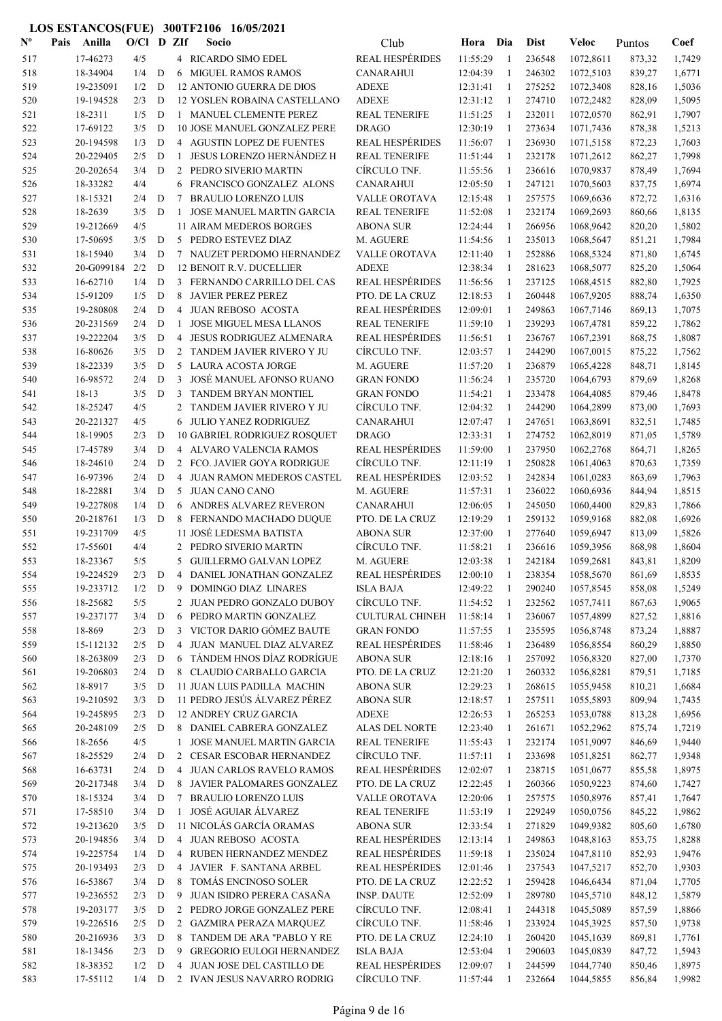| $\mathbf{N}^{\mathbf{o}}$ | Pais | Anilla                 | $O/C1$ D ZIf |             |                | Socio                                                     | Club                             | Hora                 | Dia               | <b>Dist</b>      | <b>Veloc</b>           | Puntos           | Coef             |
|---------------------------|------|------------------------|--------------|-------------|----------------|-----------------------------------------------------------|----------------------------------|----------------------|-------------------|------------------|------------------------|------------------|------------------|
| 517                       |      | 17-46273               | 4/5          |             |                | 4 RICARDO SIMO EDEL                                       | <b>REAL HESPÉRIDES</b>           | 11:55:29             | -1                | 236548           | 1072,8611              | 873,32           | 1,7429           |
| 518                       |      | 18-34904               | 1/4          | D           |                | 6 MIGUEL RAMOS RAMOS                                      | <b>CANARAHUI</b>                 | 12:04:39             | 1                 | 246302           | 1072,5103              | 839,27           | 1,6771           |
| 519                       |      | 19-235091              | 1/2          | D           |                | 12 ANTONIO GUERRA DE DIOS                                 | <b>ADEXE</b>                     | 12:31:41             | 1                 | 275252           | 1072,3408              | 828,16           | 1,5036           |
| 520                       |      | 19-194528              | 2/3          | D           |                | 12 YOSLEN ROBAINA CASTELLANO                              | <b>ADEXE</b>                     | 12:31:12             | $\overline{1}$    | 274710           | 1072,2482              | 828,09           | 1,5095           |
| 521                       |      | 18-2311                | 1/5          | D           |                | 1 MANUEL CLEMENTE PEREZ                                   | <b>REAL TENERIFE</b>             | 11:51:25             | -1                | 232011           | 1072,0570              | 862,91           | 1,7907           |
| 522                       |      | 17-69122               | 3/5          | D           |                | 10 JOSE MANUEL GONZALEZ PERE                              | <b>DRAGO</b>                     | 12:30:19             | -1                | 273634           | 1071,7436              | 878,38           | 1,5213           |
| 523                       |      | 20-194598              | 1/3          | D           |                | 4 AGUSTIN LOPEZ DE FUENTES                                | <b>REAL HESPÉRIDES</b>           | 11:56:07             | -1                | 236930           | 1071,5158              | 872,23           | 1,7603           |
| 524                       |      | 20-229405              | 2/5          | D           | $\mathbf{1}$   | <b>JESUS LORENZO HERNÁNDEZ H</b>                          | <b>REAL TENERIFE</b>             | 11:51:44             | -1                | 232178           | 1071,2612              | 862,27           | 1,7998           |
| 525                       |      | 20-202654              | 3/4          | D           | 2              | PEDRO SIVERIO MARTIN                                      | CÍRCULO TNF.                     | 11:55:56             | -1                | 236616           | 1070,9837              | 878,49           | 1,7694           |
| 526                       |      | 18-33282               | 4/4          |             | 6              | FRANCISCO GONZALEZ ALONS                                  | <b>CANARAHUI</b>                 | 12:05:50             | 1                 | 247121           | 1070,5603              | 837,75           | 1,6974           |
| 527                       |      | 18-15321               | 2/4          | D           | 7              | <b>BRAULIO LORENZO LUIS</b>                               | <b>VALLE OROTAVA</b>             | 12:15:48             | 1                 | 257575           | 1069,6636              | 872,72           | 1,6316           |
| 528                       |      | 18-2639                | 3/5          | D           | 1              | JOSE MANUEL MARTIN GARCIA                                 | <b>REAL TENERIFE</b>             | 11:52:08             | 1                 | 232174           | 1069,2693              | 860,66           | 1,8135           |
| 529                       |      | 19-212669              | 4/5          |             |                | 11 AIRAM MEDEROS BORGES                                   | <b>ABONA SUR</b>                 | 12:24:44             | 1                 | 266956           | 1068,9642              | 820,20           | 1,5802           |
| 530                       |      | 17-50695<br>18-15940   | 3/5          | D<br>D      | 5              | PEDRO ESTEVEZ DIAZ<br>7 NAUZET PERDOMO HERNANDEZ          | M. AGUERE                        | 11:54:56<br>12:11:40 | 1<br>$\mathbf{1}$ | 235013<br>252886 | 1068,5647              | 851,21           | 1,7984<br>1,6745 |
| 531<br>532                |      | 20-G099184             | 3/4<br>2/2   | D           |                | 12 BENOIT R.V. DUCELLIER                                  | VALLE OROTAVA<br><b>ADEXE</b>    | 12:38:34             | 1                 | 281623           | 1068,5324              | 871,80           |                  |
| 533                       |      | 16-62710               | 1/4          | D           | 3              | FERNANDO CARRILLO DEL CAS                                 | <b>REAL HESPÉRIDES</b>           | 11:56:56             | 1                 | 237125           | 1068,5077<br>1068,4515 | 825,20<br>882,80 | 1,5064<br>1,7925 |
| 534                       |      | 15-91209               | 1/5          | D           | 8              | <b>JAVIER PEREZ PEREZ</b>                                 | PTO. DE LA CRUZ                  | 12:18:53             | -1                | 260448           | 1067,9205              | 888,74           | 1,6350           |
| 535                       |      | 19-280808              | 2/4          | D           | 4              | <b>JUAN REBOSO ACOSTA</b>                                 | <b>REAL HESPÉRIDES</b>           | 12:09:01             | $\mathbf{1}$      | 249863           | 1067,7146              | 869,13           | 1,7075           |
| 536                       |      | 20-231569              | 2/4          | D           | -1             | <b>JOSE MIGUEL MESA LLANOS</b>                            | <b>REAL TENERIFE</b>             | 11:59:10             | -1                | 239293           | 1067,4781              | 859,22           | 1,7862           |
| 537                       |      | 19-222204              | 3/5          | D           | 4              | <b>JESUS RODRIGUEZ ALMENARA</b>                           | <b>REAL HESPÉRIDES</b>           | 11:56:51             | 1                 | 236767           | 1067,2391              | 868,75           | 1,8087           |
| 538                       |      | 16-80626               | 3/5          | $\mathbf D$ |                | 2 TANDEM JAVIER RIVERO Y JU                               | CÍRCULO TNF.                     | 12:03:57             | 1                 | 244290           | 1067,0015              | 875,22           | 1,7562           |
| 539                       |      | 18-22339               | 3/5          | D           |                | 5 LAURA ACOSTA JORGE                                      | M. AGUERE                        | 11:57:20             | 1                 | 236879           | 1065,4228              | 848,71           | 1,8145           |
| 540                       |      | 16-98572               | 2/4          | $\mathbf D$ | 3              | JOSÉ MANUEL AFONSO RUANO                                  | <b>GRAN FONDO</b>                | 11:56:24             | -1                | 235720           | 1064,6793              | 879,69           | 1,8268           |
| 541                       |      | $18-13$                | 3/5          | D           | 3              | <b>TANDEM BRYAN MONTIEL</b>                               | <b>GRAN FONDO</b>                | 11:54:21             | -1                | 233478           | 1064,4085              | 879,46           | 1,8478           |
| 542                       |      | 18-25247               | 4/5          |             |                | 2 TANDEM JAVIER RIVERO Y JU                               | CIRCULO TNF.                     | 12:04:32             | 1                 | 244290           | 1064,2899              | 873,00           | 1,7693           |
| 543                       |      | 20-221327              | 4/5          |             | 6              | JULIO YANEZ RODRIGUEZ                                     | CANARAHUI                        | 12:07:47             | 1                 | 247651           | 1063,8691              | 832,51           | 1,7485           |
| 544                       |      | 18-19905               | 2/3          | D           |                | <b>10 GABRIEL RODRIGUEZ ROSQUET</b>                       | <b>DRAGO</b>                     | 12:33:31             | -1                | 274752           | 1062,8019              | 871,05           | 1,5789           |
| 545                       |      | 17-45789               | 3/4          | D           |                | 4 ALVARO VALENCIA RAMOS                                   | <b>REAL HESPÉRIDES</b>           | 11:59:00             | -1                | 237950           | 1062,2768              | 864,71           | 1,8265           |
| 546                       |      | 18-24610               | 2/4          | D           |                | 2 FCO. JAVIER GOYA RODRIGUE                               | CÍRCULO TNF.                     | 12:11:19             | -1                | 250828           | 1061,4063              | 870,63           | 1,7359           |
| 547                       |      | 16-97396               | 2/4          | D           | $\overline{4}$ | JUAN RAMON MEDEROS CASTEL                                 | <b>REAL HESPÉRIDES</b>           | 12:03:52             | $\mathbf{1}$      | 242834           | 1061,0283              | 863,69           | 1,7963           |
| 548                       |      | 18-22881               | 3/4          | D           | 5              | <b>JUAN CANO CANO</b>                                     | M. AGUERE                        | 11:57:31             | 1                 | 236022           | 1060,6936              | 844,94           | 1,8515           |
| 549                       |      | 19-227808              | 1/4          | D           |                | 6 ANDRES ALVAREZ REVERON                                  | <b>CANARAHUI</b>                 | 12:06:05             | -1                | 245050           | 1060,4400              | 829,83           | 1,7866           |
| 550                       |      | 20-218761              | 1/3          | D           | 8              | FERNANDO MACHADO DUQUE                                    | PTO. DE LA CRUZ                  | 12:19:29             | 1                 | 259132           | 1059,9168              | 882,08           | 1,6926           |
| 551                       |      | 19-231709              | 4/5          |             |                | 11 JOSÉ LEDESMA BATISTA                                   | <b>ABONA SUR</b>                 | 12:37:00             | 1                 | 277640           | 1059,6947              | 813,09           | 1,5826           |
| 552                       |      | 17-55601               | 4/4          |             |                | 2 PEDRO SIVERIO MARTIN                                    | CÍRCULO TNF.                     | 11:58:21             | 1                 | 236616           | 1059,3956              | 868,98           | 1,8604           |
| 553                       |      | 18-23367               | 5/5          |             |                | 5 GUILLERMO GALVAN LOPEZ                                  | M. AGUERE                        | 12:03:38             | 1                 | 242184           | 1059,2681              | 843,81           | 1,8209           |
| 554                       |      | 19-224529              | 2/3          | D           |                | 4 DANIEL JONATHAN GONZALEZ                                | <b>REAL HESPÉRIDES</b>           | 12:00:10             |                   | 238354           | 1058,5670              | 861,69           | 1,8535           |
| 555                       |      | 19-233712              | 1/2          | D           | 9              | DOMINGO DIAZ LINARES                                      | <b>ISLA BAJA</b>                 | 12:49:22             | 1                 | 290240           | 1057,8545              | 858,08           | 1,5249           |
| 556                       |      | 18-25682               | 5/5          |             | 2              | JUAN PEDRO GONZALO DUBOY                                  | CÍRCULO TNF.                     | 11:54:52             | 1                 | 232562           | 1057,7411              | 867,63           | 1,9065           |
| 557                       |      | 19-237177              | 3/4          | $\mathbf D$ | 6              | PEDRO MARTIN GONZALEZ                                     | <b>CULTURAL CHINEH</b>           | 11:58:14             | -1                | 236067           | 1057,4899              | 827,52           | 1,8816           |
| 558                       |      | 18-869                 | 2/3          | D           | 3              | VICTOR DARIO GÓMEZ BAUTE                                  | <b>GRAN FONDO</b>                | 11:57:55             | -1                | 235595           | 1056,8748              | 873,24           | 1,8887           |
| 559                       |      | 15-112132              | 2/5          | D           |                | 4 JUAN MANUEL DIAZ ALVAREZ                                | <b>REAL HESPÉRIDES</b>           | 11:58:46             | -1                | 236489           | 1056,8554              | 860,29           | 1,8850           |
| 560                       |      | 18-263809              | 2/3          | $\mathbf D$ |                | 6 TÁNDEM HNOS DÍAZ RODRÍGUE                               | <b>ABONA SUR</b>                 | 12:18:16             | -1                | 257092           | 1056,8320              | 827,00           | 1,7370           |
| 561                       |      | 19-206803              | 2/4          | D           |                | 8 CLAUDIO CARBALLO GARCIA                                 | PTO. DE LA CRUZ                  | 12:21:20             | -1                | 260332           | 1056,8281              | 879,51           | 1,7185           |
| 562                       |      | 18-8917                | 3/5          | $\mathbf D$ |                | 11 JUAN LUIS PADILLA MACHIN                               | <b>ABONA SUR</b>                 | 12:29:23             | 1                 | 268615           | 1055,9458              | 810,21           | 1,6684           |
| 563                       |      | 19-210592              | 3/3          | D           |                | 11 PEDRO JESÚS ÁLVAREZ PÉREZ                              | <b>ABONA SUR</b><br><b>ADEXE</b> | 12:18:57             | $\mathbf{1}$      | 257511           | 1055,5893              | 809,94           | 1,7435           |
| 564<br>565                |      | 19-245895<br>20-248109 | 2/3<br>2/5   | D<br>D      |                | <b>12 ANDREY CRUZ GARCIA</b><br>8 DANIEL CABRERA GONZALEZ | ALAS DEL NORTE                   | 12:26:53<br>12:23:40 | 1                 | 265253<br>261671 | 1053,0788<br>1052,2962 | 813,28<br>875,74 | 1,6956<br>1,7219 |
| 566                       |      | 18-2656                | 4/5          |             | $\mathbf{1}$   | JOSE MANUEL MARTIN GARCIA                                 | <b>REAL TENERIFE</b>             | 11:55:43             | 1<br>1            | 232174           | 1051,9097              | 846,69           | 1,9440           |
| 567                       |      | 18-25529               | 2/4          | D           | 2              | CESAR ESCOBAR HERNANDEZ                                   | CÍRCULO TNF.                     | 11:57:11             | 1                 | 233698           | 1051,8251              | 862,77           | 1,9348           |
| 568                       |      | 16-63731               | 2/4          | $\mathbf D$ | $\overline{4}$ | JUAN CARLOS RAVELO RAMOS                                  | <b>REAL HESPÉRIDES</b>           | 12:02:07             | 1                 | 238715           | 1051,0677              | 855,58           | 1,8975           |
| 569                       |      | 20-217348              | 3/4          | D           | 8              | JAVIER PALOMARES GONZALEZ                                 | PTO. DE LA CRUZ                  | 12:22:45             | 1                 | 260366           | 1050,9223              | 874,60           | 1,7427           |
| 570                       |      | 18-15324               | 3/4          | D           | 7              | <b>BRAULIO LORENZO LUIS</b>                               | VALLE OROTAVA                    | 12:20:06             | -1                | 257575           | 1050,8976              | 857,41           | 1,7647           |
| 571                       |      | 17-58510               | 3/4          | D           | $\mathbf{1}$   | JOSÉ AGUIAR ÁLVAREZ                                       | REAL TENERIFE                    | 11:53:19             | -1                | 229249           | 1050,0756              | 845,22           | 1,9862           |
| 572                       |      | 19-213620              | 3/5          | D           |                | 11 NICOLÁS GARCÍA ORAMAS                                  | <b>ABONA SUR</b>                 | 12:33:54             | -1                | 271829           | 1049,9382              | 805,60           | 1,6780           |
| 573                       |      | 20-194856              | 3/4          | D           |                | 4 JUAN REBOSO ACOSTA                                      | <b>REAL HESPÉRIDES</b>           | 12:13:14             | -1                | 249863           | 1048,8163              | 853,75           | 1,8288           |
| 574                       |      | 19-225754              | 1/4          | D           |                | 4 RUBEN HERNANDEZ MENDEZ                                  | <b>REAL HESPÉRIDES</b>           | 11:59:18             | 1                 | 235024           | 1047,8110              | 852,93           | 1,9476           |
| 575                       |      | 20-193493              | 2/3          | D           |                | 4 JAVIER F. SANTANA ARBEL                                 | <b>REAL HESPÉRIDES</b>           | 12:01:46             | 1                 | 237543           | 1047,5217              | 852,70           | 1,9303           |
| 576                       |      | 16-53867               | 3/4          | $\mathbf D$ |                | 8 TOMÁS ENCINOSO SOLER                                    | PTO. DE LA CRUZ                  | 12:22:52             | 1                 | 259428           | 1046,6434              | 871,04           | 1,7705           |
| 577                       |      | 19-236552              | 2/3          | D           | 9              | JUAN ISIDRO PERERA CASAÑA                                 | <b>INSP. DAUTE</b>               | 12:52:09             | 1                 | 289780           | 1045,5710              | 848,12           | 1,5879           |
| 578                       |      | 19-203177              | 3/5          | D           |                | 2 PEDRO JORGE GONZALEZ PERE                               | CÍRCULO TNF.                     | 12:08:41             | 1                 | 244318           | 1045,5089              | 857,59           | 1,8866           |
| 579                       |      | 19-226516              | 2/5          | D           |                | 2 GAZMIRA PERAZA MARQUEZ                                  | CÍRCULO TNF.                     | 11:58:46             | 1                 | 233924           | 1045,3925              | 857,50           | 1,9738           |
| 580                       |      | 20-216936              | 3/3          | D           | 8              | TANDEM DE ARA "PABLO Y RE                                 | PTO. DE LA CRUZ                  | 12:24:10             | -1                | 260420           | 1045,1639              | 869,81           | 1,7761           |
| 581                       |      | 18-13456               | 2/3          | D           | 9              | <b>GREGORIO EULOGI HERNANDEZ</b>                          | <b>ISLA BAJA</b>                 | 12:53:04             | 1                 | 290603           | 1045,0839              | 847,72           | 1,5943           |
| 582                       |      | 18-38352               | 1/2          | $\mathbf D$ |                | 4 JUAN JOSE DEL CASTILLO DE                               | <b>REAL HESPÉRIDES</b>           | 12:09:07             | -1                | 244599           | 1044,7740              | 850,46           | 1,8975           |
| 583                       |      | 17-55112               | $1/4$ D      |             |                | 2 IVAN JESUS NAVARRO RODRIG                               | CÍRCULO TNF.                     | 11:57:44             | -1                | 232664           | 1044,5855              | 856,84           | 1,9982           |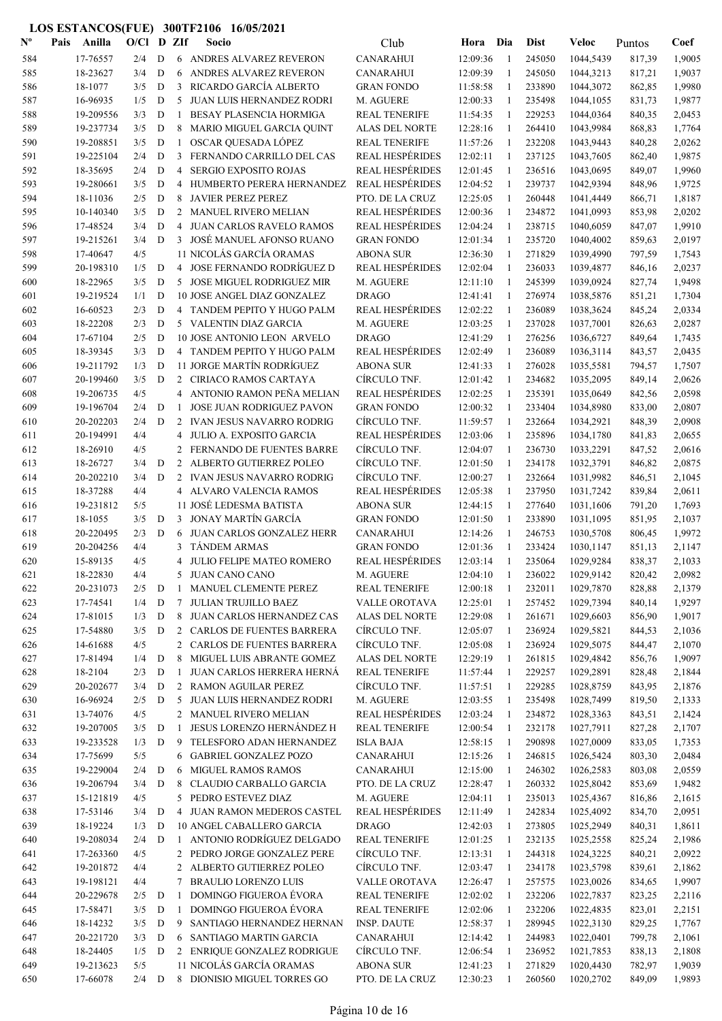| $\mathbf{N}^{\mathbf{o}}$ | Pais | Anilla                | O/Cl       |             | D ZIf          | Socio                                                 | Club                                       | Hora                 | Dia            | <b>Dist</b>      | Veloc                  | Puntos           | Coef             |
|---------------------------|------|-----------------------|------------|-------------|----------------|-------------------------------------------------------|--------------------------------------------|----------------------|----------------|------------------|------------------------|------------------|------------------|
| 584                       |      | 17-76557              | 2/4        | D           |                | 6 ANDRES ALVAREZ REVERON                              | <b>CANARAHUI</b>                           | 12:09:36             | $\overline{1}$ | 245050           | 1044,5439              | 817,39           | 1,9005           |
| 585                       |      | 18-23627              | 3/4        | D           | 6              | ANDRES ALVAREZ REVERON                                | <b>CANARAHUI</b>                           | 12:09:39             | -1             | 245050           | 1044,3213              | 817,21           | 1,9037           |
| 586                       |      | 18-1077               | 3/5        | D           | 3              | RICARDO GARCÍA ALBERTO                                | <b>GRAN FONDO</b>                          | 11:58:58             | -1             | 233890           | 1044,3072              | 862,85           | 1,9980           |
| 587                       |      | 16-96935              | 1/5        | D           | 5              | JUAN LUIS HERNANDEZ RODRI                             | M. AGUERE                                  | 12:00:33             | -1             | 235498           | 1044,1055              | 831,73           | 1,9877           |
| 588                       |      | 19-209556             | 3/3        | D           | $\mathbf{1}$   | <b>BESAY PLASENCIA HORMIGA</b>                        | <b>REAL TENERIFE</b>                       | 11:54:35             | -1             | 229253           | 1044,0364              | 840,35           | 2,0453           |
| 589                       |      | 19-237734             | 3/5        | D           | 8              | MARIO MIGUEL GARCIA QUINT                             | ALAS DEL NORTE                             | 12:28:16             | -1             | 264410           | 1043,9984              | 868,83           | 1,7764           |
| 590                       |      | 19-208851             | 3/5        | D           | 1              | OSCAR QUESADA LÓPEZ                                   | <b>REAL TENERIFE</b>                       | 11:57:26             | -1             | 232208           | 1043,9443              | 840,28           | 2,0262           |
| 591                       |      | 19-225104             | 2/4        | D           | 3              | FERNANDO CARRILLO DEL CAS                             | <b>REAL HESPÉRIDES</b>                     | 12:02:11             | -1             | 237125           | 1043,7605              | 862,40           | 1,9875           |
| 592                       |      | 18-35695              | 2/4        | D           | 4              | <b>SERGIO EXPOSITO ROJAS</b>                          | <b>REAL HESPÉRIDES</b>                     | 12:01:45             | 1              | 236516           | 1043,0695              | 849,07           | 1,9960           |
| 593                       |      | 19-280661             | 3/5        | D           | 4              | HUMBERTO PERERA HERNANDEZ                             | <b>REAL HESPÉRIDES</b>                     | 12:04:52             | 1              | 239737           | 1042,9394              | 848,96           | 1,9725           |
| 594                       |      | 18-11036              | 2/5        | ${\bf D}$   | 8              | <b>JAVIER PEREZ PEREZ</b>                             | PTO. DE LA CRUZ                            | 12:25:05             | 1              | 260448           | 1041,4449              | 866,71           | 1,8187           |
| 595                       |      | 10-140340             | 3/5        | D           | 2              | <b>MANUEL RIVERO MELIAN</b>                           | <b>REAL HESPÉRIDES</b>                     | 12:00:36             | 1              | 234872           | 1041,0993              | 853,98           | 2,0202           |
| 596                       |      | 17-48524              | 3/4        | D           | 4              | <b>JUAN CARLOS RAVELO RAMOS</b>                       | <b>REAL HESPÉRIDES</b>                     | 12:04:24             | 1              | 238715           | 1040,6059              | 847,07           | 1,9910           |
| 597                       |      | 19-215261             | 3/4        | D           | 3              | JOSÉ MANUEL AFONSO RUANO                              | <b>GRAN FONDO</b>                          | 12:01:34             | -1<br>1        | 235720           | 1040,4002              | 859,63           | 2,0197           |
| 598<br>599                |      | 17-40647<br>20-198310 | 4/5<br>1/5 | D           | $\overline{4}$ | 11 NICOLÁS GARCÍA ORAMAS<br>JOSE FERNANDO RODRÍGUEZ D | <b>ABONA SUR</b><br><b>REAL HESPÉRIDES</b> | 12:36:30<br>12:02:04 | -1             | 271829<br>236033 | 1039,4990              | 797,59           | 1,7543<br>2,0237 |
| 600                       |      | 18-22965              | 3/5        | D           | 5              | <b>JOSE MIGUEL RODRIGUEZ MIR</b>                      | M. AGUERE                                  | 12:11:10             | -1             | 245399           | 1039,4877<br>1039,0924 | 846,16<br>827,74 | 1,9498           |
| 601                       |      | 19-219524             | 1/1        | D           |                | 10 JOSE ANGEL DIAZ GONZALEZ                           | <b>DRAGO</b>                               | 12:41:41             | 1              | 276974           | 1038,5876              | 851,21           | 1,7304           |
| 602                       |      | 16-60523              | 2/3        | D           | 4              | TANDEM PEPITO Y HUGO PALM                             | <b>REAL HESPÉRIDES</b>                     | 12:02:22             | $\mathbf{1}$   | 236089           | 1038,3624              | 845,24           | 2,0334           |
| 603                       |      | 18-22208              | 2/3        | D           |                | 5 VALENTIN DIAZ GARCIA                                | M. AGUERE                                  | 12:03:25             | $\mathbf{1}$   | 237028           | 1037,7001              | 826,63           | 2,0287           |
| 604                       |      | 17-67104              | 2/5        | D           |                | 10 JOSE ANTONIO LEON ARVELO                           | <b>DRAGO</b>                               | 12:41:29             | 1              | 276256           | 1036,6727              | 849,64           | 1,7435           |
| 605                       |      | 18-39345              | 3/3        | D           |                | 4 TANDEM PEPITO Y HUGO PALM                           | <b>REAL HESPÉRIDES</b>                     | 12:02:49             | $\mathbf{1}$   | 236089           | 1036,3114              | 843,57           | 2,0435           |
| 606                       |      | 19-211792             | 1/3        | D           |                | 11 JORGE MARTÍN RODRÍGUEZ                             | <b>ABONA SUR</b>                           | 12:41:33             | 1              | 276028           | 1035,5581              | 794,57           | 1,7507           |
| 607                       |      | 20-199460             | 3/5        | D           |                | 2 CIRIACO RAMOS CARTAYA                               | CÍRCULO TNF.                               | 12:01:42             | 1              | 234682           | 1035,2095              | 849,14           | 2,0626           |
| 608                       |      | 19-206735             | 4/5        |             | 4              | ANTONIO RAMON PEÑA MELIAN                             | <b>REAL HESPÉRIDES</b>                     | 12:02:25             | 1              | 235391           | 1035,0649              | 842,56           | 2,0598           |
| 609                       |      | 19-196704             | 2/4        | D           | $\mathbf{1}$   | <b>JOSE JUAN RODRIGUEZ PAVON</b>                      | <b>GRAN FONDO</b>                          | 12:00:32             | -1             | 233404           | 1034,8980              | 833,00           | 2,0807           |
| 610                       |      | 20-202203             | 2/4        | D           | 2              | <b>IVAN JESUS NAVARRO RODRIG</b>                      | CÍRCULO TNF.                               | 11:59:57             | -1             | 232664           | 1034,2921              | 848,39           | 2,0908           |
| 611                       |      | 20-194991             | 4/4        |             | 4              | JULIO A. EXPOSITO GARCIA                              | <b>REAL HESPÉRIDES</b>                     | 12:03:06             | -1             | 235896           | 1034,1780              | 841,83           | 2,0655           |
| 612                       |      | 18-26910              | 4/5        |             | 2              | FERNANDO DE FUENTES BARRE                             | CÍRCULO TNF.                               | 12:04:07             | -1             | 236730           | 1033,2291              | 847,52           | 2,0616           |
| 613                       |      | 18-26727              | 3/4        | D           | 2              | ALBERTO GUTIERREZ POLEO                               | CÍRCULO TNF.                               | 12:01:50             | -1             | 234178           | 1032,3791              | 846,82           | 2,0875           |
| 614                       |      | 20-202210             | 3/4        | D           | 2              | <b>IVAN JESUS NAVARRO RODRIG</b>                      | CÍRCULO TNF.                               | 12:00:27             | $\mathbf{1}$   | 232664           | 1031,9982              | 846,51           | 2,1045           |
| 615                       |      | 18-37288              | 4/4        |             | 4              | ALVARO VALENCIA RAMOS                                 | <b>REAL HESPÉRIDES</b>                     | 12:05:38             | $\mathbf{1}$   | 237950           | 1031,7242              | 839,84           | 2,0611           |
| 616                       |      | 19-231812             | 5/5        |             |                | 11 JOSÉ LEDESMA BATISTA                               | <b>ABONA SUR</b>                           | 12:44:15             | 1              | 277640           | 1031,1606              | 791,20           | 1,7693           |
| 617                       |      | 18-1055               | 3/5        | D           | 3              | <b>JONAY MARTÍN GARCÍA</b>                            | <b>GRAN FONDO</b>                          | 12:01:50             | 1              | 233890           | 1031,1095              | 851,95           | 2,1037           |
| 618                       |      | 20-220495             | 2/3        | D           | 6              | <b>JUAN CARLOS GONZALEZ HERR</b>                      | <b>CANARAHUI</b>                           | 12:14:26             | 1              | 246753           | 1030,5708              | 806,45           | 1,9972           |
| 619                       |      | 20-204256             | 4/4        |             | 3              | TÁNDEM ARMAS                                          | <b>GRAN FONDO</b>                          | 12:01:36             | 1              | 233424           | 1030,1147              | 851,13           | 2,1147           |
| 620                       |      | 15-89135              | 4/5        |             | 4              | JULIO FELIPE MATEO ROMERO                             | <b>REAL HESPÉRIDES</b>                     | 12:03:14             | $\mathbf{1}$   | 235064           | 1029,9284              | 838,37           | 2,1033           |
| 621                       |      | 18-22830              | 4/4        |             | 5              | <b>JUAN CANO CANO</b>                                 | M. AGUERE                                  | 12:04:10             |                | 236022           | 1029,9142              | 820,42           | 2,0982           |
| 622                       |      | 20-231073             | 2/5        | D           | 1              | MANUEL CLEMENTE PEREZ                                 | <b>REAL TENERIFE</b>                       | 12:00:18             | 1              | 232011           | 1029,7870              | 828,88           | 2,1379           |
| 623                       |      | 17-74541              | 1/4        | $\mathbf D$ | 7              | <b>JULIAN TRUJILLO BAEZ</b>                           | VALLE OROTAVA                              | 12:25:01             | 1              | 257452           | 1029,7394              | 840,14           | 1,9297           |
| 624                       |      | 17-81015              | 1/3        | $\mathbf D$ | 8              | <b>JUAN CARLOS HERNANDEZ CAS</b>                      | <b>ALAS DEL NORTE</b>                      | 12:29:08             | -1             | 261671           | 1029,6603              | 856,90           | 1,9017           |
| 625                       |      | 17-54880              | 3/5        | D           |                | 2 CARLOS DE FUENTES BARRERA                           | CÍRCULO TNF.                               | 12:05:07             | -1             | 236924           | 1029,5821              | 844,53           | 2,1036           |
| 626                       |      | 14-61688              | 4/5        |             |                | 2 CARLOS DE FUENTES BARRERA                           | CÍRCULO TNF.                               | 12:05:08             | -1             | 236924           | 1029,5075              | 844,47           | 2,1070           |
| 627                       |      | 17-81494              | 1/4        | $\mathbf D$ | 8              | MIGUEL LUIS ABRANTE GOMEZ                             | ALAS DEL NORTE                             | 12:29:19             | $\mathbf{1}$   | 261815           | 1029,4842              | 856,76           | 1,9097           |
| 628                       |      | 18-2104               | 2/3        | D           | 1              | JUAN CARLOS HERRERA HERNÁ<br>2 RAMON AGUILAR PEREZ    | <b>REAL TENERIFE</b>                       | 11:57:44             | -1             | 229257           | 1029,2891              | 828,48           | 2,1844           |
| 629                       |      | 20-202677             | 3/4        | D           |                |                                                       | CÍRCULO TNF.                               | 11:57:51             | 1              | 229285           | 1028,8759              | 843,95           | 2,1876           |
| 630                       |      | 16-96924<br>13-74076  | 2/5<br>4/5 | $\mathbf D$ |                | 5 JUAN LUIS HERNANDEZ RODRI<br>2 MANUEL RIVERO MELIAN | M. AGUERE<br><b>REAL HESPÉRIDES</b>        | 12:03:55<br>12:03:24 | 1<br>1         | 235498<br>234872 | 1028,7499<br>1028,3363 | 819,50           | 2,1333<br>2,1424 |
| 631<br>632                |      | 19-207005             | 3/5        | $\mathbf D$ | 1              | <b>JESUS LORENZO HERNÁNDEZ H</b>                      | <b>REAL TENERIFE</b>                       | 12:00:54             | 1              | 232178           | 1027,7911              | 843,51<br>827,28 | 2,1707           |
| 633                       |      | 19-233528             | 1/3        | D           | 9              | TELESFORO ADAN HERNANDEZ                              | <b>ISLA BAJA</b>                           | 12:58:15             | 1              | 290898           | 1027,0009              | 833,05           | 1,7353           |
| 634                       |      | 17-75699              | 5/5        |             | 6              | <b>GABRIEL GONZALEZ POZO</b>                          | <b>CANARAHUI</b>                           | 12:15:26             | 1              | 246815           | 1026,5424              | 803,30           | 2,0484           |
| 635                       |      | 19-229004             | 2/4        | D           | 6              | <b>MIGUEL RAMOS RAMOS</b>                             | <b>CANARAHUI</b>                           | 12:15:00             | 1              | 246302           | 1026,2583              | 803,08           | 2,0559           |
| 636                       |      | 19-206794             | 3/4        | D           | 8              | CLAUDIO CARBALLO GARCIA                               | PTO. DE LA CRUZ                            | 12:28:47             | 1              | 260332           | 1025,8042              | 853,69           | 1,9482           |
| 637                       |      | 15-121819             | 4/5        |             | 5              | PEDRO ESTEVEZ DIAZ                                    | M. AGUERE                                  | 12:04:11             | -1             | 235013           | 1025,4367              | 816,86           | 2,1615           |
| 638                       |      | 17-53146              | 3/4        | D           |                | 4 JUAN RAMON MEDEROS CASTEL                           | <b>REAL HESPÉRIDES</b>                     | 12:11:49             | -1             | 242834           | 1025,4092              | 834,70           | 2,0951           |
| 639                       |      | 18-19224              | 1/3        | D           |                | 10 ANGEL CABALLERO GARCIA                             | <b>DRAGO</b>                               | 12:42:03             | $\mathbf{1}$   | 273805           | 1025,2949              | 840,31           | 1,8611           |
| 640                       |      | 19-208034             | 2/4        | D           | $\mathbf{1}$   | ANTONIO RODRÍGUEZ DELGADO                             | <b>REAL TENERIFE</b>                       | 12:01:25             | -1             | 232135           | 1025,2558              | 825,24           | 2,1986           |
| 641                       |      | 17-263360             | 4/5        |             |                | 2 PEDRO JORGE GONZALEZ PERE                           | CÍRCULO TNF.                               | 12:13:31             | 1              | 244318           | 1024,3225              | 840,21           | 2,0922           |
| 642                       |      | 19-201872             | 4/4        |             |                | 2 ALBERTO GUTIERREZ POLEO                             | CÍRCULO TNF.                               | 12:03:47             | 1              | 234178           | 1023,5798              | 839,61           | 2,1862           |
| 643                       |      | 19-198121             | 4/4        |             | 7              | <b>BRAULIO LORENZO LUIS</b>                           | VALLE OROTAVA                              | 12:26:47             | 1              | 257575           | 1023,0026              | 834,65           | 1,9907           |
| 644                       |      | 20-229678             | 2/5        | $\mathbf D$ | 1              | <b>DOMINGO FIGUEROA ÉVORA</b>                         | <b>REAL TENERIFE</b>                       | 12:02:02             | 1              | 232206           | 1022,7837              | 823,25           | 2,2116           |
| 645                       |      | 17-58471              | 3/5        | D           | 1              | <b>DOMINGO FIGUEROA ÉVORA</b>                         | <b>REAL TENERIFE</b>                       | 12:02:06             | 1              | 232206           | 1022,4835              | 823,01           | 2,2151           |
| 646                       |      | 18-14232              | 3/5        | D           | 9              | SANTIAGO HERNANDEZ HERNAN                             | <b>INSP. DAUTE</b>                         | 12:58:37             | 1              | 289945           | 1022,3130              | 829,25           | 1,7767           |
| 647                       |      | 20-221720             | 3/3        | D           |                | 6 SANTIAGO MARTIN GARCIA                              | <b>CANARAHUI</b>                           | 12:14:42             | 1              | 244983           | 1022,0401              | 799,78           | 2,1061           |
| 648                       |      | 18-24405              | 1/5        | D           |                | 2 ENRIQUE GONZALEZ RODRIGUE                           | CÍRCULO TNF.                               | 12:06:54             | 1              | 236952           | 1021,7853              | 838,13           | 2,1808           |
| 649                       |      | 19-213623             | 5/5        |             |                | 11 NICOLÁS GARCÍA ORAMAS                              | <b>ABONA SUR</b>                           | 12:41:23             | -1             | 271829           | 1020,4430              | 782,97           | 1,9039           |
| 650                       |      | 17-66078              | $2/4$ D    |             |                | 8 DIONISIO MIGUEL TORRES GO                           | PTO. DE LA CRUZ                            | 12:30:23             | -1             | 260560           | 1020,2702              | 849,09           | 1,9893           |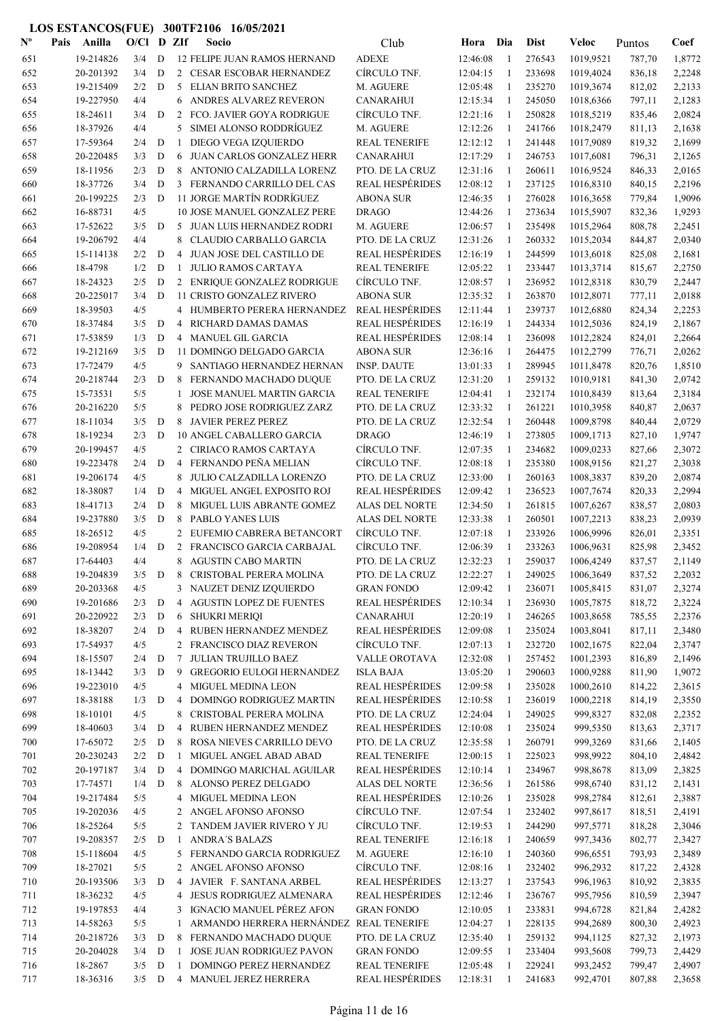| $\mathbf{N}^{\mathbf{o}}$ | Pais | Anilla               | $O/CI$ D ZIf |        |                | Socio                                                     | Club                                   | Hora Dia             |              | <b>Dist</b>      | <b>Veloc</b>           | Puntos           | Coef             |
|---------------------------|------|----------------------|--------------|--------|----------------|-----------------------------------------------------------|----------------------------------------|----------------------|--------------|------------------|------------------------|------------------|------------------|
| 651                       |      | 19-214826            | 3/4          | D      |                | 12 FELIPE JUAN RAMOS HERNAND                              | <b>ADEXE</b>                           | 12:46:08             | -1           | 276543           | 1019,9521              | 787,70           | 1,8772           |
| 652                       |      | 20-201392            | 3/4          | D      |                | 2 CESAR ESCOBAR HERNANDEZ                                 | CÍRCULO TNF.                           | 12:04:15             | -1           | 233698           | 1019,4024              | 836,18           | 2,2248           |
| 653                       |      | 19-215409            | 2/2          | D      |                | 5 ELIAN BRITO SANCHEZ                                     | M. AGUERE                              | 12:05:48             | -1           | 235270           | 1019,3674              | 812,02           | 2,2133           |
| 654                       |      | 19-227950            | 4/4          |        | 6              | ANDRES ALVAREZ REVERON                                    | CANARAHUI                              | 12:15:34             | -1           | 245050           | 1018,6366              | 797,11           | 2,1283           |
| 655                       |      | 18-24611             | 3/4          | D      | 2              | FCO. JAVIER GOYA RODRIGUE                                 | CÍRCULO TNF.                           | 12:21:16             | -1           | 250828           | 1018,5219              | 835,46           | 2,0824           |
| 656                       |      | 18-37926             | 4/4          |        | 5              | SIMEI ALONSO RODDRÍGUEZ                                   | M. AGUERE                              | 12:12:26             | 1            | 241766           | 1018,2479              | 811,13           | 2,1638           |
| 657                       |      | 17-59364             | 2/4          | D      | 1              | DIEGO VEGA IZQUIERDO                                      | <b>REAL TENERIFE</b>                   | 12:12:12             | -1           | 241448           | 1017,9089              | 819,32           | 2,1699           |
| 658                       |      | 20-220485            | 3/3          | D      | 6              | JUAN CARLOS GONZALEZ HERR                                 | <b>CANARAHUI</b>                       | 12:17:29             | -1           | 246753           | 1017,6081              | 796,31           | 2,1265           |
| 659                       |      | 18-11956             | 2/3          | D      | 8              | ANTONIO CALZADILLA LORENZ                                 | PTO. DE LA CRUZ                        | 12:31:16             | -1           | 260611           | 1016,9524              | 846,33           | 2,0165           |
| 660                       |      | 18-37726             | 3/4          | D      | 3              | FERNANDO CARRILLO DEL CAS                                 | <b>REAL HESPÉRIDES</b>                 | 12:08:12             | 1            | 237125           | 1016,8310              | 840,15           | 2,2196           |
| 661                       |      | 20-199225            | 2/3          | D      |                | 11 JORGE MARTÍN RODRÍGUEZ                                 | <b>ABONA SUR</b>                       | 12:46:35             | -1           | 276028           | 1016,3658              | 779,84           | 1,9096           |
| 662                       |      | 16-88731             | 4/5          |        |                | 10 JOSE MANUEL GONZALEZ PERE                              | <b>DRAGO</b>                           | 12:44:26             | 1            | 273634           | 1015,5907              | 832,36           | 1,9293           |
| 663                       |      | 17-52622             | 3/5          | D      |                | 5 JUAN LUIS HERNANDEZ RODRI                               | M. AGUERE                              | 12:06:57             | -1           | 235498           | 1015,2964              | 808,78           | 2,2451           |
| 664                       |      | 19-206792            | 4/4          |        | 8              | CLAUDIO CARBALLO GARCIA                                   | PTO. DE LA CRUZ                        | 12:31:26             | -1           | 260332           | 1015,2034              | 844,87           | 2,0340           |
| 665                       |      | 15-114138<br>18-4798 | 2/2<br>1/2   | D      | 4<br>1         | JUAN JOSE DEL CASTILLO DE                                 | <b>REAL HESPÉRIDES</b>                 | 12:16:19<br>12:05:22 | -1<br>1      | 244599           | 1013,6018              | 825,08           | 2,1681<br>2,2750 |
| 666                       |      | 18-24323             | 2/5          | D<br>D |                | <b>JULIO RAMOS CARTAYA</b><br>2 ENRIQUE GONZALEZ RODRIGUE | <b>REAL TENERIFE</b><br>CÍRCULO TNF.   | 12:08:57             | 1            | 233447<br>236952 | 1013,3714<br>1012,8318 | 815,67           | 2,2447           |
| 667<br>668                |      | 20-225017            | 3/4          | D      |                | 11 CRISTO GONZALEZ RIVERO                                 | <b>ABONA SUR</b>                       | 12:35:32             | -1           | 263870           | 1012,8071              | 830,79<br>777,11 | 2,0188           |
| 669                       |      | 18-39503             | 4/5          |        |                | 4 HUMBERTO PERERA HERNANDEZ                               | <b>REAL HESPÉRIDES</b>                 | 12:11:44             | -1           | 239737           | 1012,6880              | 824,34           | 2,2253           |
| 670                       |      | 18-37484             | 3/5          | D      | 4              | RICHARD DAMAS DAMAS                                       | <b>REAL HESPÉRIDES</b>                 | 12:16:19             | -1           | 244334           | 1012,5036              | 824,19           | 2,1867           |
| 671                       |      | 17-53859             | 1/3          | D      | 4              | MANUEL GIL GARCIA                                         | <b>REAL HESPÉRIDES</b>                 | 12:08:14             | 1            | 236098           | 1012,2824              | 824,01           | 2,2664           |
| 672                       |      | 19-212169            | 3/5          | D      |                | 11 DOMINGO DELGADO GARCIA                                 | <b>ABONA SUR</b>                       | 12:36:16             | 1            | 264475           | 1012,2799              | 776,71           | 2,0262           |
| 673                       |      | 17-72479             | 4/5          |        | 9              | SANTIAGO HERNANDEZ HERNAN                                 | <b>INSP. DAUTE</b>                     | 13:01:33             | -1           | 289945           | 1011,8478              | 820,76           | 1,8510           |
| 674                       |      | 20-218744            | 2/3          | D      | 8              | FERNANDO MACHADO DUQUE                                    | PTO. DE LA CRUZ                        | 12:31:20             | -1           | 259132           | 1010,9181              | 841,30           | 2,0742           |
| 675                       |      | 15-73531             | 5/5          |        | 1              | <b>JOSE MANUEL MARTIN GARCIA</b>                          | <b>REAL TENERIFE</b>                   | 12:04:41             | -1           | 232174           | 1010,8439              | 813,64           | 2,3184           |
| 676                       |      | 20-216220            | 5/5          |        | 8              | PEDRO JOSE RODRIGUEZ ZARZ                                 | PTO. DE LA CRUZ                        | 12:33:32             | -1           | 261221           | 1010,3958              | 840,87           | 2,0637           |
| 677                       |      | 18-11034             | 3/5          | D      |                | 8 JAVIER PEREZ PEREZ                                      | PTO. DE LA CRUZ                        | 12:32:54             | -1           | 260448           | 1009,8798              | 840,44           | 2,0729           |
| 678                       |      | 18-19234             | 2/3          | D      |                | 10 ANGEL CABALLERO GARCIA                                 | <b>DRAGO</b>                           | 12:46:19             | -1           | 273805           | 1009,1713              | 827,10           | 1,9747           |
| 679                       |      | 20-199457            | 4/5          |        |                | 2 CIRIACO RAMOS CARTAYA                                   | CÍRCULO TNF.                           | 12:07:35             | -1           | 234682           | 1009,0233              | 827,66           | 2,3072           |
| 680                       |      | 19-223478            | 2/4          | D      | 4              | FERNANDO PEÑA MELIAN                                      | CÍRCULO TNF.                           | 12:08:18             | -1           | 235380           | 1008,9156              | 821,27           | 2,3038           |
| 681                       |      | 19-206174            | 4/5          |        | 8              | JULIO CALZADILLA LORENZO                                  | PTO. DE LA CRUZ                        | 12:33:00             | 1            | 260163           | 1008,3837              | 839,20           | 2,0874           |
| 682                       |      | 18-38087             | 1/4          | D      | 4              | MIGUEL ANGEL EXPOSITO ROJ                                 | <b>REAL HESPÉRIDES</b>                 | 12:09:42             | -1           | 236523           | 1007,7674              | 820,33           | 2,2994           |
| 683                       |      | 18-41713             | 2/4          | D      | 8              | MIGUEL LUIS ABRANTE GOMEZ                                 | ALAS DEL NORTE                         | 12:34:50             | 1            | 261815           | 1007,6267              | 838,57           | 2,0803           |
| 684                       |      | 19-237880            | 3/5          | D      | 8              | PABLO YANES LUIS                                          | <b>ALAS DEL NORTE</b>                  | 12:33:38             | -1           | 260501           | 1007,2213              | 838,23           | 2,0939           |
| 685                       |      | 18-26512             | 4/5          |        | 2              | EUFEMIO CABRERA BETANCORT                                 | CÍRCULO TNF.                           | 12:07:18             | 1            | 233926           | 1006,9996              | 826,01           | 2,3351           |
| 686                       |      | 19-208954            | 1/4          | D      | 2              | FRANCISCO GARCIA CARBAJAL                                 | CÍRCULO TNF.                           | 12:06:39             | 1            | 233263           | 1006,9631              | 825,98           | 2,3452           |
| 687                       |      | 17-64403             | 4/4          |        |                | 8 AGUSTIN CABO MARTIN                                     | PTO. DE LA CRUZ                        | 12:32:23             | 1            | 259037           | 1006,4249              | 837,57           | 2,1149           |
| 688                       |      | 19-204839            | $3/5$ D      |        | 8              | CRISTOBAL PERERA MOLINA                                   | PTO. DE LA CRUZ                        | 12:22:27             |              | 249025           | 1006,3649              | 837,52           | 2,2032           |
| 689                       |      | 20-203368            | 4/5          |        |                | 3 NAUZET DENIZ IZQUIERDO                                  | <b>GRAN FONDO</b>                      | 12:09:42             | 1            | 236071           | 1005,8415              | 831,07           | 2,3274           |
| 690                       |      | 19-201686            | 2/3          | D      | 4              | <b>AGUSTIN LOPEZ DE FUENTES</b>                           | <b>REAL HESPÉRIDES</b>                 | 12:10:34             | 1            | 236930           | 1005,7875              | 818,72           | 2,3224           |
| 691                       |      | 20-220922            | 2/3          | D      | 6              | <b>SHUKRI MERIQI</b>                                      | <b>CANARAHUI</b>                       | 12:20:19             | -1           | 246265           | 1003,8658              | 785,55           | 2,2376           |
| 692                       |      | 18-38207             | 2/4          | D      | 4              | RUBEN HERNANDEZ MENDEZ                                    | <b>REAL HESPÉRIDES</b><br>CÍRCULO TNF. | 12:09:08             | -1           | 235024           | 1003,8041              | 817,11           | 2,3480           |
| 693<br>694                |      | 17-54937<br>18-15507 | 4/5<br>2/4   | D      | 7              | 2 FRANCISCO DIAZ REVERON<br>JULIAN TRUJILLO BAEZ          | VALLE OROTAVA                          | 12:07:13<br>12:32:08 | -1<br>-1     | 232720<br>257452 | 1002,1675<br>1001,2393 | 822,04           | 2,3747<br>2,1496 |
| 695                       |      | 18-13442             | 3/3          | D      | 9              | <b>GREGORIO EULOGI HERNANDEZ</b>                          | <b>ISLA BAJA</b>                       | 13:05:20             | -1           | 290603           | 1000,9288              | 816,89<br>811,90 | 1,9072           |
| 696                       |      | 19-223010            | 4/5          |        | 4              | <b>MIGUEL MEDINA LEON</b>                                 | <b>REAL HESPÉRIDES</b>                 | 12:09:58             | 1            | 235028           | 1000,2610              | 814,22           | 2,3615           |
| 697                       |      | 18-38188             | 1/3          | D      | 4              | DOMINGO RODRIGUEZ MARTIN                                  | <b>REAL HESPÉRIDES</b>                 | 12:10:58             | -1           | 236019           | 1000,2218              | 814,19           | 2,3550           |
| 698                       |      | 18-10101             | 4/5          |        | 8              | CRISTOBAL PERERA MOLINA                                   | PTO. DE LA CRUZ                        | 12:24:04             | 1            | 249025           | 999,8327               | 832,08           | 2,2352           |
| 699                       |      | 18-40603             | 3/4          | D      | 4              | RUBEN HERNANDEZ MENDEZ                                    | <b>REAL HESPÉRIDES</b>                 | 12:10:08             | 1            | 235024           | 999,5350               | 813,63           | 2,3717           |
| 700                       |      | 17-65072             | 2/5          | D      |                | 8 ROSA NIEVES CARRILLO DEVO                               | PTO. DE LA CRUZ                        | 12:35:58             | $\mathbf{1}$ | 260791           | 999,3269               | 831,66           | 2,1405           |
| 701                       |      | 20-230243            | 2/2          | D      | 1              | MIGUEL ANGEL ABAD ABAD                                    | <b>REAL TENERIFE</b>                   | 12:00:15             | -1           | 225023           | 998,9922               | 804,10           | 2,4842           |
| 702                       |      | 20-197187            | 3/4          | D      | 4              | DOMINGO MARICHAL AGUILAR                                  | <b>REAL HESPÉRIDES</b>                 | 12:10:14             | 1            | 234967           | 998,8678               | 813,09           | 2,3825           |
| 703                       |      | 17-74571             | 1/4          | D      | 8              | ALONSO PEREZ DELGADO                                      | <b>ALAS DEL NORTE</b>                  | 12:36:56             | $\mathbf{1}$ | 261586           | 998,6740               | 831,12           | 2,1431           |
| 704                       |      | 19-217484            | 5/5          |        | 4              | MIGUEL MEDINA LEON                                        | <b>REAL HESPÉRIDES</b>                 | 12:10:26             | 1            | 235028           | 998,2784               | 812,61           | 2,3887           |
| 705                       |      | 19-202036            | 4/5          |        |                | 2 ANGEL AFONSO AFONSO                                     | CÍRCULO TNF.                           | 12:07:54             | -1           | 232402           | 997,8617               | 818,51           | 2,4191           |
| 706                       |      | 18-25264             | 5/5          |        |                | 2 TANDEM JAVIER RIVERO Y JU                               | CÍRCULO TNF.                           | 12:19:53             | -1           | 244290           | 997,5771               | 818,28           | 2,3046           |
| 707                       |      | 19-208357            | 2/5          | D      | -1             | <b>ANDRA'S BALAZS</b>                                     | <b>REAL TENERIFE</b>                   | 12:16:18             | -1           | 240659           | 997,3436               | 802,77           | 2,3427           |
| 708                       |      | 15-118604            | 4/5          |        | 5              | FERNANDO GARCIA RODRIGUEZ                                 | M. AGUERE                              | 12:16:10             | 1            | 240360           | 996,6551               | 793,93           | 2,3489           |
| 709                       |      | 18-27021             | 5/5          |        | $\overline{2}$ | ANGEL AFONSO AFONSO                                       | CÍRCULO TNF.                           | 12:08:16             | $\mathbf{1}$ | 232402           | 996,2932               | 817,22           | 2,4328           |
| $710\,$                   |      | 20-193506            | 3/3          | D      | 4              | JAVIER F. SANTANA ARBEL                                   | <b>REAL HESPÉRIDES</b>                 | 12:13:27             | $\mathbf{1}$ | 237543           | 996,1963               | 810,92           | 2,3835           |
| 711                       |      | 18-36232             | 4/5          |        |                | 4 JESUS RODRIGUEZ ALMENARA                                | <b>REAL HESPÉRIDES</b>                 | 12:12:46             | 1            | 236767           | 995,7956               | 810,59           | 2,3947           |
| 712                       |      | 19-197853            | 4/4          |        |                | 3 IGNACIO MANUEL PÉREZ AFON                               | <b>GRAN FONDO</b>                      | 12:10:05             | $\mathbf{1}$ | 233831           | 994,6728               | 821,84           | 2,4282           |
| 713                       |      | 14-58263             | 5/5          |        | 1              | ARMANDO HERRERA HERNÁNDEZ                                 | <b>REAL TENERIFE</b>                   | 12:04:27             | -1           | 228135           | 994,2689               | 800,30           | 2,4923           |
| 714                       |      | 20-218726            | 3/3          | D      | 8              | FERNANDO MACHADO DUQUE                                    | PTO. DE LA CRUZ                        | 12:35:40             | 1            | 259132           | 994,1125               | 827,32           | 2,1973           |
| 715                       |      | 20-204028            | 3/4          | D      | 1              | <b>JOSE JUAN RODRIGUEZ PAVON</b>                          | <b>GRAN FONDO</b>                      | 12:09:55             | -1           | 233404           | 993,5608               | 799,73           | 2,4429           |
| 716                       |      | 18-2867              | 3/5          | D      | 1              | DOMINGO PEREZ HERNANDEZ                                   | <b>REAL TENERIFE</b>                   | 12:05:48             | 1            | 229241           | 993,2452               | 799,47           | 2,4907           |
| 717                       |      | 18-36316             | 3/5          | D      |                | 4 MANUEL JEREZ HERRERA                                    | <b>REAL HESPÉRIDES</b>                 | 12:18:31             | 1            | 241683           | 992,4701               | 807,88           | 2,3658           |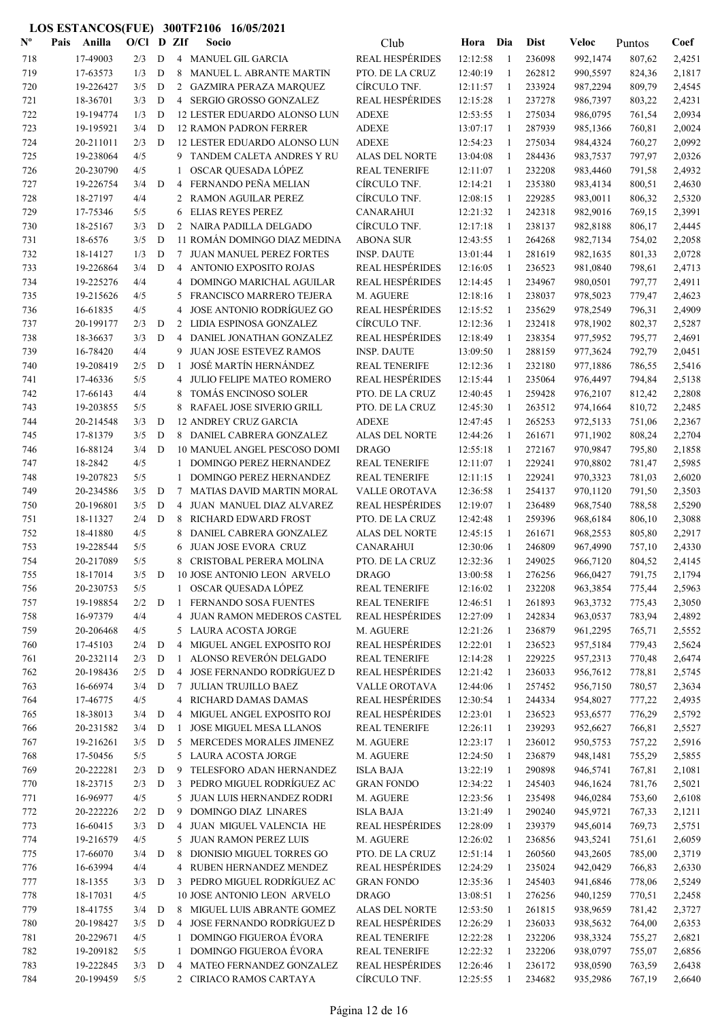| $\mathbf{N}^{\mathbf{o}}$ | Pais | Anilla                 | $O/Cl$ D ZIf |                  |                | Socio                                                 | Club                                             | Hora Dia             |                   | <b>Dist</b>      | <b>Veloc</b>         | Puntos           | Coef             |
|---------------------------|------|------------------------|--------------|------------------|----------------|-------------------------------------------------------|--------------------------------------------------|----------------------|-------------------|------------------|----------------------|------------------|------------------|
| 718                       |      | 17-49003               | 2/3          | D                |                | 4 MANUEL GIL GARCIA                                   | <b>REAL HESPÉRIDES</b>                           | 12:12:58             | -1                | 236098           | 992,1474             | 807,62           | 2,4251           |
| 719                       |      | 17-63573               | 1/3          | D                | 8              | MANUEL L. ABRANTE MARTIN                              | PTO. DE LA CRUZ                                  | 12:40:19             | 1                 | 262812           | 990,5597             | 824,36           | 2,1817           |
| 720                       |      | 19-226427              | 3/5          | D                |                | 2 GAZMIRA PERAZA MARQUEZ                              | CÍRCULO TNF.                                     | 12:11:57             | -1                | 233924           | 987,2294             | 809,79           | 2,4545           |
| 721                       |      | 18-36701               | 3/3          | D                |                | 4 SERGIO GROSSO GONZALEZ                              | <b>REAL HESPÉRIDES</b>                           | 12:15:28             | 1                 | 237278           | 986,7397             | 803,22           | 2,4231           |
| 722                       |      | 19-194774              | 1/3          | D                |                | 12 LESTER EDUARDO ALONSO LUN                          | <b>ADEXE</b>                                     | 12:53:55             | $\mathbf{1}$      | 275034           | 986,0795             | 761,54           | 2,0934           |
| 723                       |      | 19-195921              | 3/4          | D                |                | <b>12 RAMON PADRON FERRER</b>                         | <b>ADEXE</b>                                     | 13:07:17             | 1                 | 287939           | 985,1366             | 760,81           | 2,0024           |
| 724                       |      | 20-211011              | 2/3          | D                |                | 12 LESTER EDUARDO ALONSO LUN                          | <b>ADEXE</b>                                     | 12:54:23             | -1                | 275034           | 984,4324             | 760,27           | 2,0992           |
| 725                       |      | 19-238064              | 4/5          |                  |                | 9 TANDEM CALETA ANDRES Y RU                           | ALAS DEL NORTE                                   | 13:04:08             | -1                | 284436           | 983,7537             | 797,97           | 2,0326           |
| 726                       |      | 20-230790              | 4/5          |                  | 1              | OSCAR QUESADA LÓPEZ                                   | <b>REAL TENERIFE</b>                             | 12:11:07             | 1                 | 232208           | 983,4460             | 791,58           | 2,4932           |
| 727                       |      | 19-226754              | 3/4          | D                | 4              | FERNANDO PEÑA MELIAN                                  | CÍRCULO TNF.                                     | 12:14:21             | $\mathbf{1}$      | 235380           | 983,4134             | 800,51           | 2,4630           |
| 728                       |      | 18-27197               | 4/4          |                  | $\overline{2}$ | <b>RAMON AGUILAR PEREZ</b>                            | CÍRCULO TNF.                                     | 12:08:15             | -1                | 229285           | 983,0011             | 806,32           | 2,5320           |
| 729                       |      | 17-75346               | 5/5          |                  | 6              | <b>ELIAS REYES PEREZ</b>                              | <b>CANARAHUI</b>                                 | 12:21:32             | -1                | 242318           | 982,9016             | 769,15           | 2,3991           |
| 730                       |      | 18-25167               | 3/3          | D                |                | 2 NAIRA PADILLA DELGADO                               | CÍRCULO TNF.                                     | 12:17:18             | 1                 | 238137           | 982,8188             | 806,17           | 2,4445           |
| 731                       |      | 18-6576                | 3/5          | $\mathbf D$      |                | 11 ROMÁN DOMINGO DIAZ MEDINA                          | <b>ABONA SUR</b>                                 | 12:43:55             | -1                | 264268           | 982,7134             | 754,02           | 2,2058           |
| 732                       |      | 18-14127               | 1/3<br>3/4   | D<br>D           |                | 7 JUAN MANUEL PEREZ FORTES                            | <b>INSP. DAUTE</b>                               | 13:01:44             | 1                 | 281619           | 982,1635             | 801,33           | 2,0728           |
| 733                       |      | 19-226864<br>19-225276 | 4/4          |                  |                | 4 ANTONIO EXPOSITO ROJAS                              | <b>REAL HESPÉRIDES</b><br><b>REAL HESPÉRIDES</b> | 12:16:05<br>12:14:45 | 1<br>$\mathbf{1}$ | 236523<br>234967 | 981,0840<br>980,0501 | 798,61           | 2,4713<br>2,4911 |
| 734<br>735                |      | 19-215626              | 4/5          |                  | 4<br>5         | DOMINGO MARICHAL AGUILAR<br>FRANCISCO MARRERO TEJERA  | M. AGUERE                                        | 12:18:16             | $\mathbf{1}$      | 238037           | 978,5023             | 797,77<br>779,47 | 2,4623           |
| 736                       |      | 16-61835               | 4/5          |                  | 4              | JOSE ANTONIO RODRÍGUEZ GO                             | <b>REAL HESPÉRIDES</b>                           | 12:15:52             | -1                | 235629           | 978,2549             | 796,31           | 2,4909           |
| 737                       |      | 20-199177              | 2/3          | D                |                | 2 LIDIA ESPINOSA GONZALEZ                             | CÍRCULO TNF.                                     | 12:12:36             | -1                | 232418           | 978,1902             | 802,37           | 2,5287           |
| 738                       |      | 18-36637               | 3/3          | D                | $\overline{4}$ | DANIEL JONATHAN GONZALEZ                              | <b>REAL HESPÉRIDES</b>                           | 12:18:49             | 1                 | 238354           | 977,5952             | 795,77           | 2,4691           |
| 739                       |      | 16-78420               | 4/4          |                  | 9              | <b>JUAN JOSE ESTEVEZ RAMOS</b>                        | <b>INSP. DAUTE</b>                               | 13:09:50             | 1                 | 288159           | 977,3624             | 792,79           | 2,0451           |
| 740                       |      | 19-208419              | 2/5          | D                | -1             | JOSÉ MARTÍN HERNÁNDEZ                                 | <b>REAL TENERIFE</b>                             | 12:12:36             | 1                 | 232180           | 977,1886             | 786,55           | 2,5416           |
| 741                       |      | 17-46336               | 5/5          |                  | 4              | JULIO FELIPE MATEO ROMERO                             | <b>REAL HESPÉRIDES</b>                           | 12:15:44             | 1                 | 235064           | 976,4497             | 794,84           | 2,5138           |
| 742                       |      | 17-66143               | 4/4          |                  | 8              | TOMÁS ENCINOSO SOLER                                  | PTO. DE LA CRUZ                                  | 12:40:45             | 1                 | 259428           | 976,2107             | 812,42           | 2,2808           |
| 743                       |      | 19-203855              | 5/5          |                  |                | 8 RAFAEL JOSE SIVERIO GRILL                           | PTO. DE LA CRUZ                                  | 12:45:30             | 1                 | 263512           | 974,1664             | 810,72           | 2,2485           |
| 744                       |      | 20-214548              | 3/3          | D                |                | <b>12 ANDREY CRUZ GARCIA</b>                          | <b>ADEXE</b>                                     | 12:47:45             | 1                 | 265253           | 972,5133             | 751,06           | 2,2367           |
| 745                       |      | 17-81379               | 3/5          | D                |                | 8 DANIEL CABRERA GONZALEZ                             | ALAS DEL NORTE                                   | 12:44:26             | 1                 | 261671           | 971,1902             | 808,24           | 2,2704           |
| 746                       |      | 16-88124               | 3/4          | D                |                | 10 MANUEL ANGEL PESCOSO DOMI                          | <b>DRAGO</b>                                     | 12:55:18             | 1                 | 272167           | 970,9847             | 795,80           | 2,1858           |
| 747                       |      | 18-2842                | 4/5          |                  | 1              | DOMINGO PEREZ HERNANDEZ                               | <b>REAL TENERIFE</b>                             | 12:11:07             | $\mathbf{1}$      | 229241           | 970,8802             | 781,47           | 2,5985           |
| 748                       |      | 19-207823              | 5/5          |                  | 1              | DOMINGO PEREZ HERNANDEZ                               | <b>REAL TENERIFE</b>                             | 12:11:15             | -1                | 229241           | 970,3323             | 781,03           | 2,6020           |
| 749                       |      | 20-234586              | 3/5          | D                | 7              | MATIAS DAVID MARTIN MORAL                             | VALLE OROTAVA                                    | 12:36:58             | -1                | 254137           | 970,1120             | 791,50           | 2,3503           |
| 750                       |      | 20-196801              | 3/5          | D                | 4              | JUAN MANUEL DIAZ ALVAREZ                              | <b>REAL HESPÉRIDES</b>                           | 12:19:07             | $\mathbf{1}$      | 236489           | 968,7540             | 788,58           | 2,5290           |
| 751                       |      | 18-11327               | 2/4          | D                | 8              | <b>RICHARD EDWARD FROST</b>                           | PTO. DE LA CRUZ                                  | 12:42:48             | $\mathbf{1}$      | 259396           | 968,6184             | 806,10           | 2,3088           |
| 752                       |      | 18-41880               | 4/5          |                  | 8              | DANIEL CABRERA GONZALEZ                               | ALAS DEL NORTE                                   | 12:45:15             | -1                | 261671           | 968,2553             | 805,80           | 2,2917           |
| 753                       |      | 19-228544              | 5/5          |                  | 6              | <b>JUAN JOSE EVORA CRUZ</b>                           | <b>CANARAHUI</b>                                 | 12:30:06             | 1                 | 246809           | 967,4990             | 757,10           | 2,4330           |
| 754                       |      | 20-217089              | 5/5          |                  | 8              | CRISTOBAL PERERA MOLINA                               | PTO. DE LA CRUZ                                  | 12:32:36             | 1                 | 249025           | 966,7120             | 804,52           | 2,4145           |
| 755                       |      | 18-17014               | 3/5          | D                |                | <b>10 JOSE ANTONIO LEON ARVELO</b>                    | <b>DRAGO</b>                                     | 13:00:58             | - 1               | 276256           | 966,0427             | 791,75           | 2,1794           |
| 756                       |      | 20-230753              | 5/5          |                  |                | 1 OSCAR QUESADA LÓPEZ                                 | <b>REAL TENERIFE</b>                             | 12:16:02             | -1                | 232208           | 963,3854             | 775,44           | 2,5963           |
| 757                       |      | 19-198854              | 2/2          | D                | 1              | FERNANDO SOSA FUENTES                                 | <b>REAL TENERIFE</b>                             | 12:46:51             | 1                 | 261893           | 963,3732             | 775,43           | 2,3050           |
| 758                       |      | 16-97379               | 4/4          |                  |                | 4 JUAN RAMON MEDEROS CASTEL                           | <b>REAL HESPÉRIDES</b>                           | 12:27:09             | 1                 | 242834           | 963,0537             | 783,94           | 2,4892           |
| 759                       |      | 20-206468              | 4/5          |                  |                | 5 LAURA ACOSTA JORGE                                  | M. AGUERE                                        | 12:21:26             | 1                 | 236879           | 961,2295             | 765,71           | 2,5552           |
| 760                       |      | 17-45103<br>20-232114  | 2/4          | D                |                | 4 MIGUEL ANGEL EXPOSITO ROJ                           | <b>REAL HESPÉRIDES</b>                           | 12:22:01             | $\mathbf{1}$      | 236523           | 957,5184             | 779,43           | 2,5624           |
| 761                       |      |                        | 2/3          | D                | 1              | ALONSO REVERÓN DELGADO<br>4 JOSE FERNANDO RODRÍGUEZ D | <b>REAL TENERIFE</b><br><b>REAL HESPÉRIDES</b>   | 12:14:28             | $\mathbf{1}$      | 229225           | 957,2313             | 770,48           | 2,6474           |
| 762<br>763                |      | 20-198436<br>16-66974  | 2/5<br>3/4   | D<br>$\mathbf D$ | $7^{\circ}$    | <b>JULIAN TRUJILLO BAEZ</b>                           | VALLE OROTAVA                                    | 12:21:42<br>12:44:06 | -1<br>1           | 236033<br>257452 | 956,7612<br>956,7150 | 778,81<br>780,57 | 2,5745<br>2,3634 |
| 764                       |      | 17-46775               | 4/5          |                  |                | 4 RICHARD DAMAS DAMAS                                 | <b>REAL HESPÉRIDES</b>                           | 12:30:54             | 1                 | 244334           | 954,8027             | 777,22           | 2,4935           |
| 765                       |      | 18-38013               | 3/4          | D                | 4              | MIGUEL ANGEL EXPOSITO ROJ                             | <b>REAL HESPÉRIDES</b>                           | 12:23:01             | 1                 | 236523           | 953,6577             | 776,29           | 2,5792           |
| 766                       |      | 20-231582              | 3/4          | D                | -1             | <b>JOSE MIGUEL MESA LLANOS</b>                        | <b>REAL TENERIFE</b>                             | 12:26:11             | 1                 | 239293           | 952,6627             | 766,81           | 2,5527           |
| 767                       |      | 19-216261              | 3/5          | $\mathbf D$      |                | 5 MERCEDES MORALES JIMENEZ                            | M. AGUERE                                        | 12:23:17             | $\mathbf{1}$      | 236012           | 950,5753             | 757,22           | 2,5916           |
| 768                       |      | 17-50456               | 5/5          |                  |                | 5 LAURA ACOSTA JORGE                                  | M. AGUERE                                        | 12:24:50             | 1                 | 236879           | 948,1481             | 755,29           | 2,5855           |
| 769                       |      | 20-222281              | 2/3          | D                |                | 9 TELESFORO ADAN HERNANDEZ                            | <b>ISLA BAJA</b>                                 | 13:22:19             | 1                 | 290898           | 946,5741             | 767,81           | 2,1081           |
| 770                       |      | 18-23715               | 2/3          | D                |                | 3 PEDRO MIGUEL RODRÍGUEZ AC                           | <b>GRAN FONDO</b>                                | 12:34:22             | 1                 | 245403           | 946,1624             | 781,76           | 2,5021           |
| 771                       |      | 16-96977               | 4/5          |                  |                | 5 JUAN LUIS HERNANDEZ RODRI                           | M. AGUERE                                        | 12:23:56             |                   | 235498           | 946,0284             | 753,60           | 2,6108           |
| 772                       |      | 20-222226              | 2/2          | D                | 9              | DOMINGO DIAZ LINARES                                  | <b>ISLA BAJA</b>                                 | 13:21:49             | $\mathbf{1}$      | 290240           | 945,9721             | 767,33           | 2,1211           |
| 773                       |      | 16-60415               | 3/3          | D                |                | 4 JUAN MIGUEL VALENCIA HE                             | <b>REAL HESPÉRIDES</b>                           | 12:28:09             | $\mathbf{1}$      | 239379           | 945,6014             | 769,73           | 2,5751           |
| 774                       |      | 19-216579              | 4/5          |                  |                | 5 JUAN RAMON PEREZ LUIS                               | M. AGUERE                                        | 12:26:02             | -1                | 236856           | 943,5241             | 751,61           | 2,6059           |
| 775                       |      | 17-66070               | 3/4          | D                | 8              | DIONISIO MIGUEL TORRES GO                             | PTO. DE LA CRUZ                                  | 12:51:14             | $\mathbf{1}$      | 260560           | 943,2605             | 785,00           | 2,3719           |
| 776                       |      | 16-63994               | 4/4          |                  |                | 4 RUBEN HERNANDEZ MENDEZ                              | <b>REAL HESPÉRIDES</b>                           | 12:24:29             | 1                 | 235024           | 942,0429             | 766,83           | 2,6330           |
| 777                       |      | 18-1355                | 3/3          | D                |                | 3 PEDRO MIGUEL RODRÍGUEZ AC                           | <b>GRAN FONDO</b>                                | 12:35:36             | 1                 | 245403           | 941,6846             | 778,06           | 2,5249           |
| 778                       |      | 18-17031               | 4/5          |                  |                | 10 JOSE ANTONIO LEON ARVELO                           | <b>DRAGO</b>                                     | 13:08:51             | 1                 | 276256           | 940,1259             | 770,51           | 2,2458           |
| 779                       |      | 18-41755               | 3/4          | D                |                | 8 MIGUEL LUIS ABRANTE GOMEZ                           | ALAS DEL NORTE                                   | 12:53:50             | $\mathbf{1}$      | 261815           | 938,9659             | 781,42           | 2,3727           |
| 780                       |      | 20-198427              | 3/5          | D                |                | 4 JOSE FERNANDO RODRÍGUEZ D                           | <b>REAL HESPÉRIDES</b>                           | 12:26:29             | 1                 | 236033           | 938,5632             | 764,00           | 2,6353           |
| 781                       |      | 20-229671              | 4/5          |                  | 1              | <b>DOMINGO FIGUEROA ÉVORA</b>                         | <b>REAL TENERIFE</b>                             | 12:22:28             | 1                 | 232206           | 938,3324             | 755,27           | 2,6821           |
| 782                       |      | 19-209182              | 5/5          |                  | 1              | DOMINGO FIGUEROA ÉVORA                                | <b>REAL TENERIFE</b>                             | 12:22:32             | 1                 | 232206           | 938,0797             | 755,07           | 2,6856           |
| 783                       |      | 19-222845              | 3/3          | D                | 4              | MATEO FERNANDEZ GONZALEZ                              | <b>REAL HESPÉRIDES</b>                           | 12:26:46             |                   | 236172           | 938,0590             | 763,59           | 2,6438           |
| 784                       |      | 20-199459              | 5/5          |                  |                | 2 CIRIACO RAMOS CARTAYA                               | CÍRCULO TNF.                                     | 12:25:55             | 1                 | 234682           | 935,2986             | 767,19           | 2,6640           |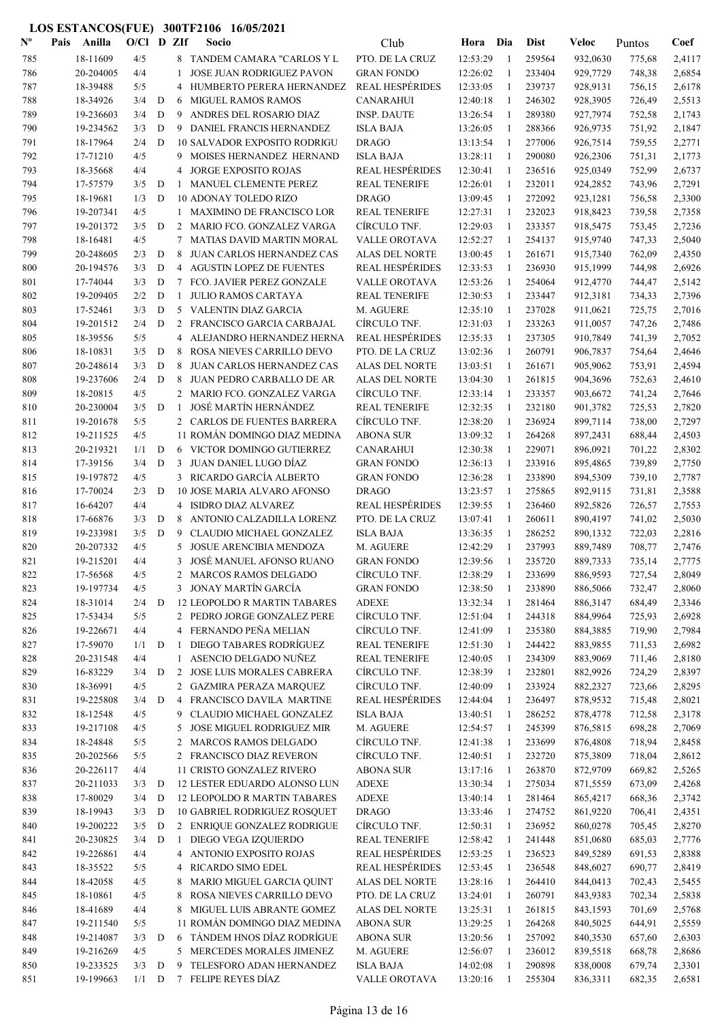| $N^{\text{o}}$ | Pais | Anilla                 | $O/C1$ D ZIf |             |              | Socio                                                       | Club                              | Hora                 | Dia                          | <b>Dist</b>      | Veloc                | Puntos           | Coef             |
|----------------|------|------------------------|--------------|-------------|--------------|-------------------------------------------------------------|-----------------------------------|----------------------|------------------------------|------------------|----------------------|------------------|------------------|
| 785            |      | 18-11609               | 4/5          |             |              | 8 TANDEM CAMARA "CARLOS Y L                                 | PTO. DE LA CRUZ                   | 12:53:29             | $\overline{1}$               | 259564           | 932,0630             | 775,68           | 2,4117           |
| 786            |      | 20-204005              | 4/4          |             | 1            | <b>JOSE JUAN RODRIGUEZ PAVON</b>                            | <b>GRAN FONDO</b>                 | 12:26:02             | $\mathbf{1}$                 | 233404           | 929,7729             | 748,38           | 2,6854           |
| 787            |      | 18-39488               | 5/5          |             | 4            | HUMBERTO PERERA HERNANDEZ                                   | <b>REAL HESPÉRIDES</b>            | 12:33:05             | 1                            | 239737           | 928,9131             | 756,15           | 2,6178           |
| 788            |      | 18-34926               | 3/4          | D           | 6            | <b>MIGUEL RAMOS RAMOS</b>                                   | <b>CANARAHUI</b>                  | 12:40:18             | -1                           | 246302           | 928,3905             | 726,49           | 2,5513           |
| 789            |      | 19-236603              | 3/4          | D           | 9            | ANDRES DEL ROSARIO DIAZ                                     | <b>INSP. DAUTE</b>                | 13:26:54             | -1                           | 289380           | 927,7974             | 752,58           | 2,1743           |
| 790            |      | 19-234562              | 3/3          | D           | 9            | DANIEL FRANCIS HERNANDEZ                                    | <b>ISLA BAJA</b>                  | 13:26:05             | $\mathbf{1}$                 | 288366           | 926,9735             | 751,92           | 2,1847           |
| 791            |      | 18-17964               | 2/4          | D           |              | <b>10 SALVADOR EXPOSITO RODRIGU</b>                         | <b>DRAGO</b>                      | 13:13:54             | $\mathbf{1}$                 | 277006           | 926,7514             | 759,55           | 2,2771           |
| 792            |      | 17-71210               | 4/5          |             | 9            | MOISES HERNANDEZ HERNAND                                    | <b>ISLA BAJA</b>                  | 13:28:11             | -1                           | 290080           | 926,2306             | 751,31           | 2,1773           |
| 793            |      | 18-35668               | 4/4          |             | 4            | <b>JORGE EXPOSITO ROJAS</b>                                 | <b>REAL HESPÉRIDES</b>            | 12:30:41             | $\mathbf{1}$                 | 236516           | 925,0349             | 752,99           | 2,6737           |
| 794            |      | 17-57579               | 3/5          | D           | -1           | MANUEL CLEMENTE PEREZ                                       | <b>REAL TENERIFE</b>              | 12:26:01             | 1                            | 232011           | 924,2852             | 743,96           | 2,7291           |
| 795            |      | 18-19681               | 1/3          | D           |              | <b>10 ADONAY TOLEDO RIZO</b>                                | <b>DRAGO</b>                      | 13:09:45             | 1                            | 272092           | 923,1281             | 756,58           | 2,3300           |
| 796            |      | 19-207341              | 4/5          |             | $\mathbf{1}$ | MAXIMINO DE FRANCISCO LOR                                   | <b>REAL TENERIFE</b>              | 12:27:31             | $\mathbf{1}$                 | 232023           | 918,8423             | 739,58           | 2,7358           |
| 797            |      | 19-201372              | 3/5          | D           |              | 2 MARIO FCO. GONZALEZ VARGA                                 | CÍRCULO TNF.                      | 12:29:03             | 1                            | 233357           | 918,5475             | 753,45           | 2,7236           |
| 798            |      | 18-16481               | 4/5          |             | $\tau$       | <b>MATIAS DAVID MARTIN MORAL</b>                            | <b>VALLE OROTAVA</b>              | 12:52:27             | $\mathbf{1}$                 | 254137           | 915,9740             | 747,33           | 2,5040           |
| 799            |      | 20-248605              | 2/3          | D           | 8            | JUAN CARLOS HERNANDEZ CAS                                   | ALAS DEL NORTE                    | 13:00:45             | 1                            | 261671           | 915,7340             | 762,09           | 2,4350           |
| 800            |      | 20-194576              | 3/3          | D           |              | 4 AGUSTIN LOPEZ DE FUENTES                                  | <b>REAL HESPÉRIDES</b>            | 12:33:53             | 1                            | 236930           | 915,1999             | 744,98           | 2,6926           |
| 801            |      | 17-74044               | 3/3          | D           | 7            | FCO. JAVIER PEREZ GONZALE                                   | VALLE OROTAVA                     | 12:53:26             | -1                           | 254064           | 912,4770             | 744,47           | 2,5142           |
| 802            |      | 19-209405              | 2/2          | D           | 1            | JULIO RAMOS CARTAYA                                         | <b>REAL TENERIFE</b>              | 12:30:53             | $\mathbf{1}$                 | 233447           | 912,3181             | 734,33           | 2,7396           |
| 803            |      | 17-52461               | 3/3          | D           |              | 5 VALENTIN DIAZ GARCIA                                      | M. AGUERE                         | 12:35:10             | 1                            | 237028           | 911,0621             | 725,75           | 2,7016           |
| 804            |      | 19-201512              | 2/4          | D           |              | 2 FRANCISCO GARCIA CARBAJAL                                 | CÍRCULO TNF.                      | 12:31:03             | -1                           | 233263           | 911,0057             | 747,26           | 2,7486           |
| 805            |      | 18-39556               | 5/5          |             |              | 4 ALEJANDRO HERNANDEZ HERNA                                 | <b>REAL HESPÉRIDES</b>            | 12:35:33             | 1                            | 237305           | 910,7849             | 741,39           | 2,7052           |
| 806            |      | 18-10831               | 3/5          | $\mathbf D$ | 8            | ROSA NIEVES CARRILLO DEVO                                   | PTO. DE LA CRUZ                   | 13:02:36             | 1                            | 260791           | 906,7837             | 754,64           | 2,4646           |
| 807            |      | 20-248614              | 3/3          | D           | 8            | <b>JUAN CARLOS HERNANDEZ CAS</b>                            | <b>ALAS DEL NORTE</b>             | 13:03:51             | 1                            | 261671           | 905,9062             | 753,91           | 2,4594           |
| 808            |      | 19-237606              | 2/4          | D           | 8            | JUAN PEDRO CARBALLO DE AR                                   | <b>ALAS DEL NORTE</b>             | 13:04:30             | 1                            | 261815           | 904,3696             | 752,63           | 2,4610           |
| 809            |      | 18-20815               | 4/5          |             |              | 2 MARIO FCO. GONZALEZ VARGA                                 | CIRCULO TNF.                      | 12:33:14             | 1                            | 233357           | 903,6672             | 741,24           | 2,7646           |
| 810            |      | 20-230004              | 3/5          | D           | -1           | <b>JOSÉ MARTÍN HERNÁNDEZ</b>                                | <b>REAL TENERIFE</b>              | 12:32:35             | $\mathbf{1}$<br>$\mathbf{1}$ | 232180           | 901,3782             | 725,53           | 2,7820           |
| 811<br>812     |      | 19-201678<br>19-211525 | 5/5<br>4/5   |             |              | 2 CARLOS DE FUENTES BARRERA<br>11 ROMÁN DOMINGO DIAZ MEDINA | CÍRCULO TNF.<br><b>ABONA SUR</b>  | 12:38:20<br>13:09:32 | -1                           | 236924<br>264268 | 899,7114             | 738,00           | 2,7297           |
|                |      | 20-219321              | 1/1          | D           | 6            | VICTOR DOMINGO GUTIERREZ                                    | <b>CANARAHUI</b>                  | 12:30:38             | -1                           | 229071           | 897,2431             | 688,44           | 2,4503<br>2,8302 |
| 813<br>814     |      | 17-39156               | 3/4          | D           | 3            | JUAN DANIEL LUGO DÍAZ                                       | <b>GRAN FONDO</b>                 | 12:36:13             | $\mathbf{1}$                 | 233916           | 896,0921<br>895,4865 | 701,22<br>739,89 | 2,7750           |
| 815            |      | 19-197872              | 4/5          |             |              | 3 RICARDO GARCÍA ALBERTO                                    | <b>GRAN FONDO</b>                 | 12:36:28             | $\mathbf{1}$                 | 233890           | 894,5309             | 739,10           | 2,7787           |
| 816            |      | 17-70024               | 2/3          | D           |              | 10 JOSE MARIA ALVARO AFONSO                                 | <b>DRAGO</b>                      | 13:23:57             | -1                           | 275865           | 892,9115             | 731,81           | 2,3588           |
| 817            |      | 16-64207               | 4/4          |             |              | 4 ISIDRO DIAZ ALVAREZ                                       | <b>REAL HESPÉRIDES</b>            | 12:39:55             | 1                            | 236460           | 892,5826             | 726,57           | 2,7553           |
| 818            |      | 17-66876               | 3/3          | $\mathbf D$ | 8            | ANTONIO CALZADILLA LORENZ                                   | PTO. DE LA CRUZ                   | 13:07:41             | 1                            | 260611           | 890,4197             | 741,02           | 2,5030           |
| 819            |      | 19-233981              | 3/5          | D           | 9            | CLAUDIO MICHAEL GONZALEZ                                    | <b>ISLA BAJA</b>                  | 13:36:35             | 1                            | 286252           | 890,1332             | 722,03           | 2,2816           |
| 820            |      | 20-207332              | 4/5          |             | 5            | <b>JOSUE ARENCIBIA MENDOZA</b>                              | M. AGUERE                         | 12:42:29             | 1                            | 237993           | 889,7489             | 708,77           | 2,7476           |
| 821            |      | 19-215201              | 4/4          |             | 3            | JOSÉ MANUEL AFONSO RUANO                                    | <b>GRAN FONDO</b>                 | 12:39:56             | 1                            | 235720           | 889,7333             | 735,14           | 2,7775           |
| 822            |      | 17-56568               | 4/5          |             | 2            | MARCOS RAMOS DELGADO                                        | CÍRCULO TNF.                      | 12:38:29             |                              | 233699           | 886,9593             | 727,54           | 2,8049           |
| 823            |      | 19-197734              | 4/5          |             |              | 3 JONAY MARTÍN GARCÍA                                       | <b>GRAN FONDO</b>                 | 12:38:50             | $\mathbf{1}$                 | 233890           | 886,5066             | 732,47           | 2,8060           |
| 824            |      | 18-31014               | 2/4          | D           |              | <b>12 LEOPOLDO R MARTIN TABARES</b>                         | <b>ADEXE</b>                      | 13:32:34             | $\mathbf{1}$                 | 281464           | 886,3147             | 684,49           | 2,3346           |
| 825            |      | 17-53434               | 5/5          |             |              | 2 PEDRO JORGE GONZALEZ PERE                                 | CÍRCULO TNF.                      | 12:51:04             | -1                           | 244318           | 884,9964             | 725,93           | 2,6928           |
| 826            |      | 19-226671              | 4/4          |             |              | 4 FERNANDO PEÑA MELIAN                                      | CÍRCULO TNF.                      | 12:41:09             | $\mathbf{1}$                 | 235380           | 884,3885             | 719,90           | 2,7984           |
| 827            |      | 17-59070               | 1/1          | D           | -1           | DIEGO TABARES RODRÍGUEZ                                     | <b>REAL TENERIFE</b>              | 12:51:30             | $\mathbf{1}$                 | 244422           | 883,9855             | 711,53           | 2,6982           |
| 828            |      | 20-231548              | 4/4          |             | 1            | ASENCIO DELGADO NUÑEZ                                       | <b>REAL TENERIFE</b>              | 12:40:05             | 1                            | 234309           | 883,9069             | 711,46           | 2,8180           |
| 829            |      | 16-83229               | 3/4          | D           | $2^{\circ}$  | JOSE LUIS MORALES CABRERA                                   | CÍRCULO TNF.                      | 12:38:39             | 1                            | 232801           | 882,9926             | 724,29           | 2,8397           |
| 830            |      | 18-36991               | 4/5          |             |              | 2 GAZMIRA PERAZA MARQUEZ                                    | CÍRCULO TNF.                      | 12:40:09             | 1                            | 233924           | 882,2327             | 723,66           | 2,8295           |
| 831            |      | 19-225808              | 3/4          | D           |              | 4 FRANCISCO DAVILA MARTINE                                  | <b>REAL HESPÉRIDES</b>            | 12:44:04             | 1                            | 236497           | 878,9532             | 715,48           | 2,8021           |
| 832            |      | 18-12548               | 4/5          |             | 9            | CLAUDIO MICHAEL GONZALEZ                                    | <b>ISLA BAJA</b>                  | 13:40:51             | 1                            | 286252           | 878,4778             | 712,58           | 2,3178           |
| 833            |      | 19-217108              | 4/5          |             | 5            | JOSE MIGUEL RODRIGUEZ MIR                                   | M. AGUERE                         | 12:54:57             | 1                            | 245399           | 876,5815             | 698,28           | 2,7069           |
| 834            |      | 18-24848               | 5/5          |             | $\mathbf{2}$ | <b>MARCOS RAMOS DELGADO</b>                                 | CÍRCULO TNF.                      | 12:41:38             | 1                            | 233699           | 876,4808             | 718,94           | 2,8458           |
| 835            |      | 20-202566              | 5/5          |             |              | 2 FRANCISCO DIAZ REVERON                                    | CÍRCULO TNF.                      | 12:40:51             | $\mathbf{1}$                 | 232720           | 875,3809             | 718,04           | 2,8612           |
| 836            |      | 20-226117              | 4/4          |             |              | 11 CRISTO GONZALEZ RIVERO                                   | <b>ABONA SUR</b>                  | 13:17:16             | $\mathbf{1}$                 | 263870           | 872,9709             | 669,82           | 2,5265           |
| 837            |      | 20-211033              | 3/3          | D           |              | 12 LESTER EDUARDO ALONSO LUN                                | <b>ADEXE</b>                      | 13:30:34             | $\mathbf{1}$                 | 275034           | 871,5559             | 673,09           | 2,4268           |
| 838            |      | 17-80029               | 3/4          | D           |              | 12 LEOPOLDO R MARTIN TABARES                                | <b>ADEXE</b>                      | 13:40:14             | -1                           | 281464           | 865,4217             | 668,36           | 2,3742           |
| 839            |      | 18-19943               | 3/3          | D           |              | <b>10 GABRIEL RODRIGUEZ ROSQUET</b>                         | <b>DRAGO</b>                      | 13:33:46             | $\mathbf{1}$                 | 274752           | 861,9220             | 706,41           | 2,4351           |
| 840            |      | 19-200222              | 3/5          | D           |              | 2 ENRIQUE GONZALEZ RODRIGUE                                 | CÍRCULO TNF.                      | 12:50:31             | 1                            | 236952           | 860,0278             | 705,45           | 2,8270           |
| 841            |      | 20-230825              | 3/4          | D           | $\mathbf{1}$ | DIEGO VEGA IZQUIERDO                                        | <b>REAL TENERIFE</b>              | 12:58:42             | 1                            | 241448           | 851,0680             | 685,03           | 2,7776           |
| 842            |      | 19-226861              | 4/4          |             |              | 4 ANTONIO EXPOSITO ROJAS                                    | <b>REAL HESPÉRIDES</b>            | 12:53:25             | 1                            | 236523           | 849,5289             | 691,53           | 2,8388           |
| 843            |      | 18-35522               | 5/5          |             |              | 4 RICARDO SIMO EDEL                                         | <b>REAL HESPÉRIDES</b>            | 12:53:45             | 1                            | 236548           | 848,6027             | 690,77           | 2,8419           |
| 844            |      | 18-42058               | 4/5          |             |              | 8 MARIO MIGUEL GARCIA QUINT                                 | ALAS DEL NORTE                    | 13:28:16             | 1                            | 264410           | 844,0413             | 702,43           | 2,5455           |
| 845            |      | 18-10861               | 4/5          |             | 8            | ROSA NIEVES CARRILLO DEVO                                   | PTO. DE LA CRUZ                   | 13:24:01             | -1                           | 260791           | 843,9383             | 702,34           | 2,5838           |
| 846            |      | 18-41689               | 4/4          |             |              | 8 MIGUEL LUIS ABRANTE GOMEZ                                 | <b>ALAS DEL NORTE</b>             | 13:25:31             | 1                            | 261815           | 843,1593             | 701,69           | 2,5768           |
| 847            |      | 19-211540              | 5/5          |             |              | 11 ROMÁN DOMINGO DIAZ MEDINA                                | <b>ABONA SUR</b>                  | 13:29:25             | $\mathbf{1}$                 | 264268           | 840,5025             | 644,91           | 2,5559           |
| 848            |      | 19-214087              | 3/3          | D           | 6            | TÁNDEM HNOS DÍAZ RODRÍGUE                                   | <b>ABONA SUR</b>                  | 13:20:56             | $\mathbf{1}$                 | 257092           | 840,3530             | 657,60           | 2,6303           |
| 849            |      | 19-216269<br>19-233525 | 4/5<br>3/3   | D           | 9            | 5 MERCEDES MORALES JIMENEZ<br>TELESFORO ADAN HERNANDEZ      | M. AGUERE                         | 12:56:07             | $\mathbf{1}$<br>-1           | 236012<br>290898 | 839,5518<br>838,0008 | 668,78           | 2,8686           |
| 850<br>851     |      | 19-199663              | $1/1$ D      |             |              | 7 FELIPE REYES DÍAZ                                         | <b>ISLA BAJA</b><br>VALLE OROTAVA | 14:02:08             | 1                            | 255304           |                      | 679,74           | 2,3301           |
|                |      |                        |              |             |              |                                                             |                                   | 13:20:16             |                              |                  | 836,3311             | 682,35           | 2,6581           |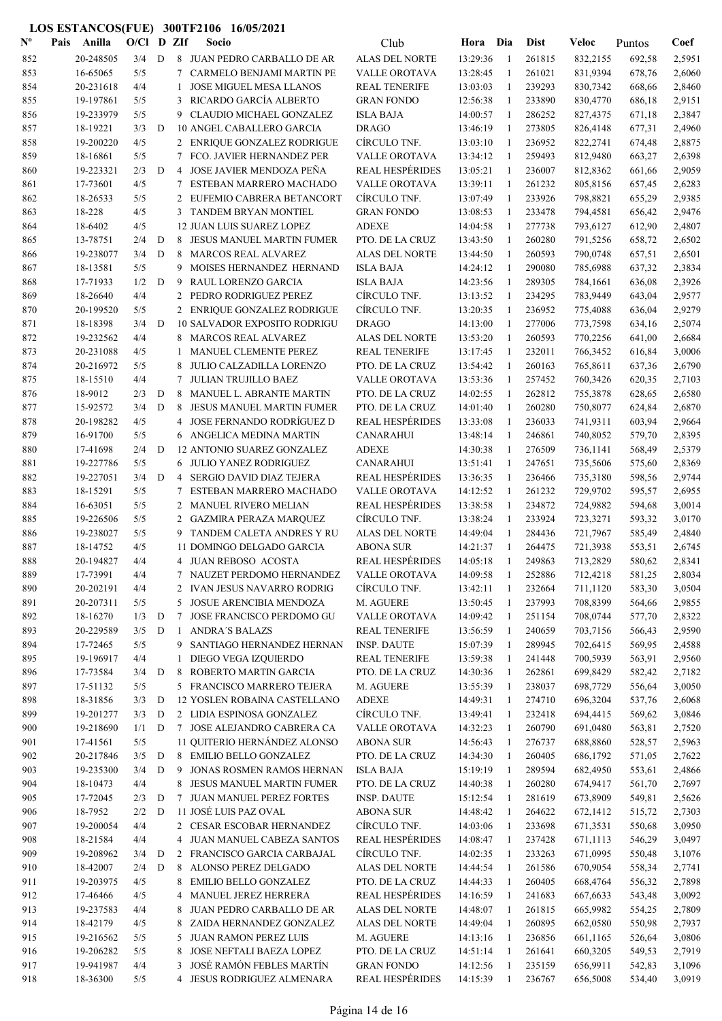| $\mathbf{N}^{\mathbf{o}}$ | Pais | Anilla               | $O/C1$ D ZIf |             |        | Socio                                                     | Club                               | Hora Dia             |                   | <b>Dist</b>      | <b>Veloc</b>         | Puntos           | Coef             |
|---------------------------|------|----------------------|--------------|-------------|--------|-----------------------------------------------------------|------------------------------------|----------------------|-------------------|------------------|----------------------|------------------|------------------|
| 852                       |      | 20-248505            | 3/4          | D           |        | 8 JUAN PEDRO CARBALLO DE AR                               | <b>ALAS DEL NORTE</b>              | 13:29:36             | -1                | 261815           | 832,2155             | 692,58           | 2,5951           |
| 853                       |      | 16-65065             | 5/5          |             | 7      | <b>CARMELO BENJAMI MARTIN PE</b>                          | VALLE OROTAVA                      | 13:28:45             | 1                 | 261021           | 831,9394             | 678,76           | 2,6060           |
| 854                       |      | 20-231618            | 4/4          |             | 1      | <b>JOSE MIGUEL MESA LLANOS</b>                            | <b>REAL TENERIFE</b>               | 13:03:03             | 1                 | 239293           | 830,7342             | 668,66           | 2,8460           |
| 855                       |      | 19-197861            | 5/5          |             | 3      | RICARDO GARCÍA ALBERTO                                    | <b>GRAN FONDO</b>                  | 12:56:38             | 1                 | 233890           | 830,4770             | 686,18           | 2,9151           |
| 856                       |      | 19-233979            | 5/5          |             | 9      | CLAUDIO MICHAEL GONZALEZ                                  | <b>ISLA BAJA</b>                   | 14:00:57             | 1                 | 286252           | 827,4375             | 671,18           | 2,3847           |
| 857                       |      | 18-19221             | 3/3          | D           |        | 10 ANGEL CABALLERO GARCIA                                 | <b>DRAGO</b>                       | 13:46:19             | 1                 | 273805           | 826,4148             | 677,31           | 2,4960           |
| 858                       |      | 19-200220            | 4/5          |             |        | 2 ENRIQUE GONZALEZ RODRIGUE                               | CÍRCULO TNF.                       | 13:03:10             | -1                | 236952           | 822,2741             | 674,48           | 2,8875           |
| 859                       |      | 18-16861             | 5/5          |             | 7      | FCO. JAVIER HERNANDEZ PER                                 | VALLE OROTAVA                      | 13:34:12             | -1                | 259493           | 812,9480             | 663,27           | 2,6398           |
| 860                       |      | 19-223321            | 2/3          | D           | 4      | JOSE JAVIER MENDOZA PEÑA                                  | <b>REAL HESPÉRIDES</b>             | 13:05:21             | $\mathbf{1}$      | 236007           | 812,8362             | 661,66           | 2,9059           |
| 861                       |      | 17-73601             | 4/5          |             | 7      | ESTEBAN MARRERO MACHADO                                   | <b>VALLE OROTAVA</b>               | 13:39:11             | -1                | 261232           | 805,8156             | 657,45           | 2,6283           |
| 862                       |      | 18-26533             | 5/5          |             | 2      | EUFEMIO CABRERA BETANCORT                                 | CÍRCULO TNF.                       | 13:07:49             | 1                 | 233926           | 798,8821             | 655,29           | 2,9385           |
| 863                       |      | 18-228               | 4/5          |             | 3      | TANDEM BRYAN MONTIEL                                      | <b>GRAN FONDO</b>                  | 13:08:53             | 1                 | 233478           | 794,4581             | 656,42           | 2,9476           |
| 864                       |      | 18-6402              | 4/5          |             |        | <b>12 JUAN LUIS SUAREZ LOPEZ</b>                          | <b>ADEXE</b>                       | 14:04:58             | 1                 | 277738           | 793,6127             | 612,90           | 2,4807           |
| 865                       |      | 13-78751             | 2/4          | $\mathbf D$ | 8      | JESUS MANUEL MARTIN FUMER                                 | PTO. DE LA CRUZ                    | 13:43:50             | 1                 | 260280           | 791,5256             | 658,72           | 2,6502           |
| 866                       |      | 19-238077            | 3/4          | D           | 8      | <b>MARCOS REAL ALVAREZ</b>                                | ALAS DEL NORTE<br><b>ISLA BAJA</b> | 13:44:50             | 1                 | 260593           | 790,0748             | 657,51           | 2,6501           |
| 867                       |      | 18-13581<br>17-71933 | 5/5<br>1/2   | D           | 9<br>9 | MOISES HERNANDEZ HERNAND                                  |                                    | 14:24:12<br>14:23:56 | 1<br>1            | 290080<br>289305 | 785,6988             | 637,32           | 2,3834           |
| 868<br>869                |      | 18-26640             | 4/4          |             | 2      | RAUL LORENZO GARCIA<br>PEDRO RODRIGUEZ PEREZ              | <b>ISLA BAJA</b><br>CÍRCULO TNF.   | 13:13:52             | 1                 | 234295           | 784,1661<br>783,9449 | 636,08<br>643,04 | 2,3926<br>2,9577 |
| 870                       |      | 20-199520            | 5/5          |             |        | 2 ENRIQUE GONZALEZ RODRIGUE                               | CÍRCULO TNF.                       | 13:20:35             | -1                | 236952           | 775,4088             | 636,04           | 2,9279           |
| 871                       |      | 18-18398             | 3/4          | D           |        | <b>10 SALVADOR EXPOSITO RODRIGU</b>                       | <b>DRAGO</b>                       | 14:13:00             | 1                 | 277006           | 773,7598             | 634,16           | 2,5074           |
| 872                       |      | 19-232562            | 4/4          |             | 8      | <b>MARCOS REAL ALVAREZ</b>                                | ALAS DEL NORTE                     | 13:53:20             | $\mathbf{1}$      | 260593           | 770,2256             | 641,00           | 2,6684           |
| 873                       |      | 20-231088            | 4/5          |             | 1      | MANUEL CLEMENTE PEREZ                                     | <b>REAL TENERIFE</b>               | 13:17:45             | -1                | 232011           | 766,3452             | 616,84           | 3,0006           |
| 874                       |      | 20-216972            | 5/5          |             | 8      | <b>JULIO CALZADILLA LORENZO</b>                           | PTO. DE LA CRUZ                    | 13:54:42             | -1                | 260163           | 765,8611             | 637,36           | 2,6790           |
| 875                       |      | 18-15510             | 4/4          |             | 7      | <b>JULIAN TRUJILLO BAEZ</b>                               | VALLE OROTAVA                      | 13:53:36             | 1                 | 257452           | 760,3426             | 620,35           | 2,7103           |
| 876                       |      | 18-9012              | 2/3          | $\mathbf D$ | 8      | MANUEL L. ABRANTE MARTIN                                  | PTO. DE LA CRUZ                    | 14:02:55             | 1                 | 262812           | 755,3878             | 628,65           | 2,6580           |
| 877                       |      | 15-92572             | 3/4          | D           | 8      | JESUS MANUEL MARTIN FUMER                                 | PTO. DE LA CRUZ                    | 14:01:40             | 1                 | 260280           | 750,8077             | 624,84           | 2,6870           |
| 878                       |      | 20-198282            | 4/5          |             | 4      | JOSE FERNANDO RODRÍGUEZ D                                 | <b>REAL HESPÉRIDES</b>             | 13:33:08             | 1                 | 236033           | 741,9311             | 603,94           | 2,9664           |
| 879                       |      | 16-91700             | 5/5          |             |        | 6 ANGELICA MEDINA MARTIN                                  | <b>CANARAHUI</b>                   | 13:48:14             | 1                 | 246861           | 740,8052             | 579,70           | 2,8395           |
| 880                       |      | 17-41698             | 2/4          | D           |        | 12 ANTONIO SUAREZ GONZALEZ                                | <b>ADEXE</b>                       | 14:30:38             | 1                 | 276509           | 736,1141             | 568,49           | 2,5379           |
| 881                       |      | 19-227786            | 5/5          |             |        | 6 JULIO YANEZ RODRIGUEZ                                   | <b>CANARAHUI</b>                   | 13:51:41             | -1                | 247651           | 735,5606             | 575,60           | 2,8369           |
| 882                       |      | 19-227051            | 3/4          | D           | 4      | SERGIO DAVID DIAZ TEJERA                                  | <b>REAL HESPÉRIDES</b>             | 13:36:35             | -1                | 236466           | 735,3180             | 598,56           | 2,9744           |
| 883                       |      | 18-15291             | 5/5          |             | 7      | ESTEBAN MARRERO MACHADO                                   | <b>VALLE OROTAVA</b>               | 14:12:52             | -1                | 261232           | 729,9702             | 595,57           | 2,6955           |
| 884                       |      | 16-63051             | $5/5$        |             | 2      | MANUEL RIVERO MELIAN                                      | <b>REAL HESPÉRIDES</b>             | 13:38:58             | -1                | 234872           | 724,9882             | 594,68           | 3,0014           |
| 885                       |      | 19-226506            | 5/5          |             | 2      | <b>GAZMIRA PERAZA MARQUEZ</b>                             | CÍRCULO TNF.                       | 13:38:24             | 1                 | 233924           | 723,3271             | 593,32           | 3,0170           |
| 886                       |      | 19-238027            | 5/5          |             | 9      | TANDEM CALETA ANDRES Y RU                                 | ALAS DEL NORTE                     | 14:49:04             | -1                | 284436           | 721,7967             | 585,49           | 2,4840           |
| 887                       |      | 18-14752             | 4/5          |             |        | 11 DOMINGO DELGADO GARCIA                                 | <b>ABONA SUR</b>                   | 14:21:37             | 1                 | 264475           | 721,3938             | 553,51           | 2,6745           |
| 888                       |      | 20-194827            | 4/4          |             |        | 4 JUAN REBOSO ACOSTA                                      | <b>REAL HESPÉRIDES</b>             | 14:05:18             | 1                 | 249863           | 713,2829             | 580,62           | 2,8341           |
| 889                       |      | 17-73991             | 4/4          |             |        | 7 NAUZET PERDOMO HERNANDEZ                                | VALLE OROTAVA                      | 14:09:58             |                   | 252886           | 712,4218             | 581,25           | 2,8034           |
| 890                       |      | 20-202191            | 4/4          |             |        | 2 IVAN JESUS NAVARRO RODRIG                               | CÍRCULO TNF.                       | 13:42:11             | -1                | 232664           | 711,1120             | 583,30           | 3,0504           |
| 891                       |      | 20-207311            | 5/5          |             |        | 5 JOSUE ARENCIBIA MENDOZA                                 | M. AGUERE                          | 13:50:45             | 1                 | 237993           | 708,8399             | 564,66           | 2,9855           |
| 892                       |      | 18-16270             | 1/3          | D           | 7      | JOSE FRANCISCO PERDOMO GU                                 | <b>VALLE OROTAVA</b>               | 14:09:42             | -1                | 251154           | 708,0744             | 577,70           | 2,8322           |
| 893                       |      | 20-229589            | 3/5          | D           | 1      | <b>ANDRA'S BALAZS</b>                                     | <b>REAL TENERIFE</b>               | 13:56:59             | -1                | 240659           | 703,7156             | 566,43           | 2,9590           |
| 894                       |      | 17-72465             | 5/5          |             |        | 9 SANTIAGO HERNANDEZ HERNAN                               | <b>INSP. DAUTE</b>                 | 15:07:39             | -1                | 289945           | 702,6415             | 569,95           | 2,4588           |
| 895                       |      | 19-196917            | 4/4          |             | 1      | DIEGO VEGA IZQUIERDO                                      | <b>REAL TENERIFE</b>               | 13:59:38             | -1                | 241448           | 700,5939             | 563,91           | 2,9560           |
| 896                       |      | 17-73584             | 3/4          | D           |        | 8 ROBERTO MARTIN GARCIA                                   | PTO. DE LA CRUZ                    | 14:30:36<br>13:55:39 | -1                | 262861           | 699,8429             | 582,42           | 2,7182           |
| 897                       |      | 17-51132<br>18-31856 | 5/5          |             |        | 5 FRANCISCO MARRERO TEJERA                                | M. AGUERE                          |                      | -1                | 238037           | 698,7729             | 556,64           | 3,0050           |
| 898<br>899                |      | 19-201277            | 3/3<br>3/3   | D<br>D      |        | 12 YOSLEN ROBAINA CASTELLANO<br>2 LIDIA ESPINOSA GONZALEZ | ADEXE<br>CÍRCULO TNF.              | 14:49:31<br>13:49:41 | $\mathbf{1}$<br>1 | 274710<br>232418 | 696,3204<br>694,4415 | 537,76<br>569,62 | 2,6068<br>3,0846 |
| 900                       |      | 19-218690            | 1/1          | D           |        | 7 JOSE ALEJANDRO CABRERA CA                               | VALLE OROTAVA                      | 14:32:23             | 1                 | 260790           | 691,0480             | 563,81           | 2,7520           |
| 901                       |      | 17-41561             | 5/5          |             |        | 11 QUITERIO HERNÁNDEZ ALONSO                              | <b>ABONA SUR</b>                   | 14:56:43             | $\mathbf{1}$      | 276737           | 688,8860             | 528,57           | 2,5963           |
| 902                       |      | 20-217846            | 3/5          | D           |        | 8 EMILIO BELLO GONZALEZ                                   | PTO. DE LA CRUZ                    | 14:34:30             | -1                | 260405           | 686,1792             | 571,05           | 2,7622           |
| 903                       |      | 19-235300            | 3/4          | D           |        | 9 JONAS ROSMEN RAMOS HERNAN                               | <b>ISLA BAJA</b>                   | 15:19:19             | 1                 | 289594           | 682,4950             | 553,61           | 2,4866           |
| 904                       |      | 18-10473             | 4/4          |             | 8      | JESUS MANUEL MARTIN FUMER                                 | PTO. DE LA CRUZ                    | 14:40:38             | 1                 | 260280           | 674,9417             | 561,70           | 2,7697           |
| 905                       |      | 17-72045             | 2/3          | D           |        | 7 JUAN MANUEL PEREZ FORTES                                | <b>INSP. DAUTE</b>                 | 15:12:54             | -1                | 281619           | 673,8909             | 549,81           | 2,5626           |
| 906                       |      | 18-7952              | 2/2          | D           |        | 11 JOSÉ LUIS PAZ OVAL                                     | <b>ABONA SUR</b>                   | 14:48:42             | 1                 | 264622           | 672,1412             | 515,72           | 2,7303           |
| 907                       |      | 19-200054            | 4/4          |             |        | 2 CESAR ESCOBAR HERNANDEZ                                 | CÍRCULO TNF.                       | 14:03:06             | -1                | 233698           | 671,3531             | 550,68           | 3,0950           |
| 908                       |      | 18-21584             | 4/4          |             |        | 4 JUAN MANUEL CABEZA SANTOS                               | <b>REAL HESPÉRIDES</b>             | 14:08:47             | -1                | 237428           | 671,1113             | 546,29           | 3,0497           |
| 909                       |      | 19-208962            | 3/4          | D           |        | 2 FRANCISCO GARCIA CARBAJAL                               | CÍRCULO TNF.                       | 14:02:35             | -1                | 233263           | 671,0995             | 550,48           | 3,1076           |
| 910                       |      | 18-42007             | 2/4          | D           |        | 8 ALONSO PEREZ DELGADO                                    | ALAS DEL NORTE                     | 14:44:54             | $\mathbf{1}$      | 261586           | 670,9054             | 558,34           | 2,7741           |
| 911                       |      | 19-203975            | 4/5          |             | 8      | <b>EMILIO BELLO GONZALEZ</b>                              | PTO. DE LA CRUZ                    | 14:44:33             | 1                 | 260405           | 668,4764             | 556,32           | 2,7898           |
| 912                       |      | 17-46466             | 4/5          |             | 4      | MANUEL JEREZ HERRERA                                      | <b>REAL HESPÉRIDES</b>             | 14:16:59             | 1                 | 241683           | 667,6633             | 543,48           | 3,0092           |
| 913                       |      | 19-237583            | 4/4          |             |        | 8 JUAN PEDRO CARBALLO DE AR                               | ALAS DEL NORTE                     | 14:48:07             | $\mathbf{1}$      | 261815           | 665,9982             | 554,25           | 2,7809           |
| 914                       |      | 18-42179             | 4/5          |             |        | 8 ZAIDA HERNANDEZ GONZALEZ                                | ALAS DEL NORTE                     | 14:49:04             | 1                 | 260895           | 662,0580             | 550,98           | 2,7937           |
| 915                       |      | 19-216562            | 5/5          |             |        | 5 JUAN RAMON PEREZ LUIS                                   | M. AGUERE                          | 14:13:16             | -1                | 236856           | 661,1165             | 526,64           | 3,0806           |
| 916                       |      | 19-206282            | 5/5          |             | 8      | JOSE NEFTALI BAEZA LOPEZ                                  | PTO. DE LA CRUZ                    | 14:51:14             | 1                 | 261641           | 660,3205             | 549,53           | 2,7919           |
| 917                       |      | 19-941987            | 4/4          |             | 3      | JOSÉ RAMÓN FEBLES MARTÍN                                  | <b>GRAN FONDO</b>                  | 14:12:56             | 1                 | 235159           | 656,9911             | 542,83           | 3,1096           |
| 918                       |      | 18-36300             | 5/5          |             |        | 4 JESUS RODRIGUEZ ALMENARA                                | <b>REAL HESPÉRIDES</b>             | 14:15:39             | 1                 | 236767           | 656,5008             | 534,40           | 3,0919           |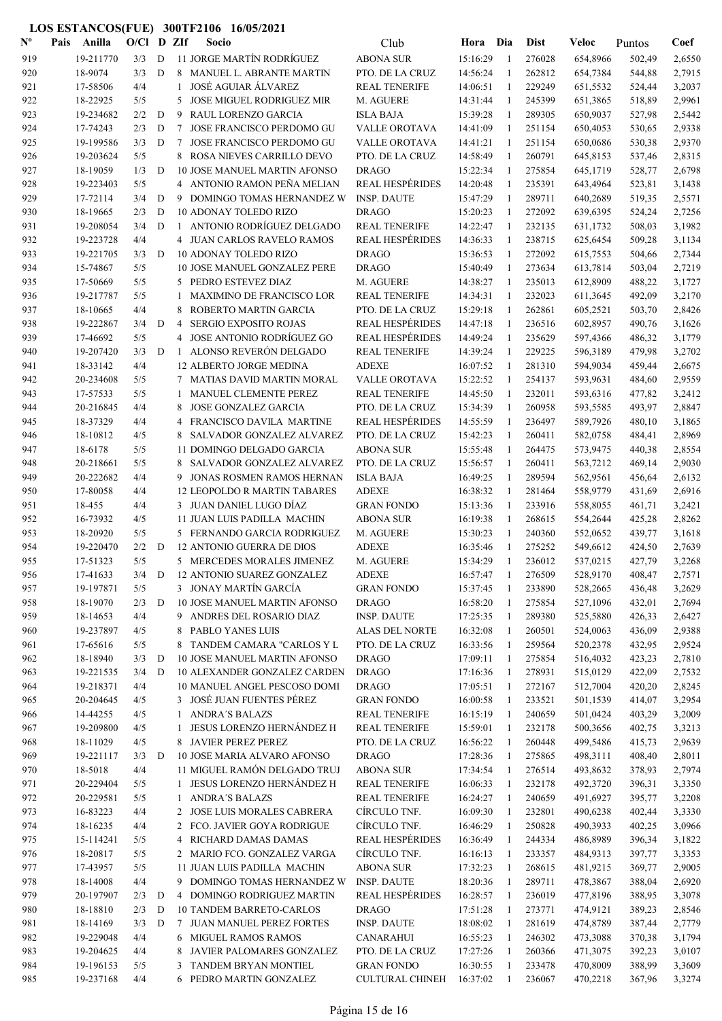| $N^{\text{o}}$ | Pais | Anilla              | $O/C1$ D ZIf |   |                | Socio                                                  | Club                                | Hora                 | Dia          | <b>Dist</b>      | <b>Veloc</b>         | Puntos           | Coef             |
|----------------|------|---------------------|--------------|---|----------------|--------------------------------------------------------|-------------------------------------|----------------------|--------------|------------------|----------------------|------------------|------------------|
| 919            |      | 19-211770           | 3/3          | D |                | 11 JORGE MARTÍN RODRÍGUEZ                              | <b>ABONA SUR</b>                    | 15:16:29             | -1           | 276028           | 654,8966             | 502,49           | 2,6550           |
| 920            |      | 18-9074             | 3/3          | D |                | 8 MANUEL L. ABRANTE MARTIN                             | PTO. DE LA CRUZ                     | 14:56:24             | 1            | 262812           | 654,7384             | 544,88           | 2,7915           |
| 921            |      | 17-58506            | 4/4          |   | $\mathbf{1}$   | JOSÉ AGUIAR ÁLVAREZ                                    | <b>REAL TENERIFE</b>                | 14:06:51             | 1            | 229249           | 651,5532             | 524,44           | 3,2037           |
| 922            |      | 18-22925            | 5/5          |   | 5              | <b>JOSE MIGUEL RODRIGUEZ MIR</b>                       | M. AGUERE                           | 14:31:44             | $\mathbf{1}$ | 245399           | 651,3865             | 518,89           | 2,9961           |
| 923            |      | 19-234682           | 2/2          | D | 9              | RAUL LORENZO GARCIA                                    | <b>ISLA BAJA</b>                    | 15:39:28             | $\mathbf{1}$ | 289305           | 650,9037             | 527,98           | 2,5442           |
| 924            |      | 17-74243            | 2/3          | D | 7              | JOSE FRANCISCO PERDOMO GU                              | VALLE OROTAVA                       | 14:41:09             | -1           | 251154           | 650,4053             | 530,65           | 2,9338           |
| 925            |      | 19-199586           | 3/3          | D | 7              | JOSE FRANCISCO PERDOMO GU                              | VALLE OROTAVA                       | 14:41:21             | -1           | 251154           | 650,0686             | 530,38           | 2,9370           |
| 926            |      | 19-203624           | 5/5          |   | 8              | ROSA NIEVES CARRILLO DEVO                              | PTO. DE LA CRUZ                     | 14:58:49             | 1            | 260791           | 645,8153             | 537,46           | 2,8315           |
| 927            |      | 18-19059            | 1/3          | D |                | <b>10 JOSE MANUEL MARTIN AFONSO</b>                    | <b>DRAGO</b>                        | 15:22:34             | -1           | 275854           | 645,1719             | 528,77           | 2,6798           |
| 928            |      | 19-223403           | 5/5          |   |                | 4 ANTONIO RAMON PEÑA MELIAN                            | <b>REAL HESPÉRIDES</b>              | 14:20:48             | -1           | 235391           | 643,4964             | 523,81           | 3,1438           |
| 929            |      | 17-72114            | 3/4          | D |                | 9 DOMINGO TOMAS HERNANDEZ W                            | <b>INSP. DAUTE</b>                  | 15:47:29             | 1            | 289711           | 640,2689             | 519,35           | 2,5571           |
| 930            |      | 18-19665            | 2/3          | D |                | 10 ADONAY TOLEDO RIZO                                  | <b>DRAGO</b>                        | 15:20:23             | 1            | 272092           | 639,6395             | 524,24           | 2,7256           |
| 931            |      | 19-208054           | 3/4          | D |                | 1 ANTONIO RODRÍGUEZ DELGADO                            | <b>REAL TENERIFE</b>                | 14:22:47             | -1           | 232135           | 631,1732             | 508,03           | 3,1982           |
| 932            |      | 19-223728           | 4/4          |   |                | 4 JUAN CARLOS RAVELO RAMOS                             | <b>REAL HESPÉRIDES</b>              | 14:36:33             | 1            | 238715           | 625,6454             | 509,28           | 3,1134           |
| 933            |      | 19-221705           | 3/3          | D |                | 10 ADONAY TOLEDO RIZO                                  | <b>DRAGO</b>                        | 15:36:53             | 1            | 272092           | 615,7553             | 504,66           | 2,7344           |
| 934            |      | 15-74867            | 5/5          |   |                | 10 JOSE MANUEL GONZALEZ PERE                           | <b>DRAGO</b>                        | 15:40:49             | $\mathbf{1}$ | 273634           | 613,7814             | 503,04           | 2,7219           |
| 935            |      | 17-50669            | 5/5          |   |                | 5 PEDRO ESTEVEZ DIAZ                                   | M. AGUERE                           | 14:38:27             | 1            | 235013           | 612,8909             | 488,22           | 3,1727           |
| 936            |      | 19-217787           | 5/5          |   | 1              | <b>MAXIMINO DE FRANCISCO LOR</b>                       | <b>REAL TENERIFE</b>                | 14:34:31             | -1           | 232023           | 611,3645             | 492,09           | 3,2170           |
| 937            |      | 18-10665            | 4/4          |   | 8              | ROBERTO MARTIN GARCIA                                  | PTO. DE LA CRUZ                     | 15:29:18             | -1           | 262861           | 605,2521             | 503,70           | 2,8426           |
| 938            |      | 19-222867           | 3/4          | D | $\overline{4}$ | <b>SERGIO EXPOSITO ROJAS</b>                           | <b>REAL HESPÉRIDES</b>              | 14:47:18             | 1            | 236516           | 602,8957             | 490,76           | 3,1626           |
| 939            |      | 17-46692            | 5/5          |   |                | 4 JOSE ANTONIO RODRÍGUEZ GO                            | <b>REAL HESPÉRIDES</b>              | 14:49:24             | $\mathbf{1}$ | 235629           | 597,4366             | 486,32           | 3,1779           |
| 940            |      | 19-207420           | 3/3          | D | 1              | ALONSO REVERÓN DELGADO                                 | <b>REAL TENERIFE</b>                | 14:39:24             | 1            | 229225           | 596,3189             | 479,98           | 3,2702           |
| 941            |      | 18-33142            | 4/4          |   |                | 12 ALBERTO JORGE MEDINA                                | <b>ADEXE</b>                        | 16:07:52             | -1           | 281310           | 594,9034             | 459,44           | 2,6675           |
| 942            |      | 20-234608           | 5/5          |   |                | 7 MATIAS DAVID MARTIN MORAL                            | VALLE OROTAVA                       | 15:22:52             | 1            | 254137           | 593,9631             | 484,60           | 2,9559           |
| 943            |      | 17-57533            | 5/5          |   | 1              | MANUEL CLEMENTE PEREZ                                  | <b>REAL TENERIFE</b>                | 14:45:50             | 1            | 232011           | 593,6316             | 477,82           | 3,2412           |
| 944            |      | 20-216845           | 4/4          |   | 8              | <b>JOSE GONZALEZ GARCIA</b>                            | PTO. DE LA CRUZ                     | 15:34:39             | 1            | 260958           | 593,5585             | 493,97           | 2,8847           |
| 945            |      | 18-37329            | 4/4          |   |                | 4 FRANCISCO DAVILA MARTINE                             | <b>REAL HESPÉRIDES</b>              | 14:55:59             | 1            | 236497           | 589,7926             | 480,10           | 3,1865           |
| 946<br>947     |      | 18-10812<br>18-6178 | 4/5<br>5/5   |   | 8              | SALVADOR GONZALEZ ALVAREZ<br>11 DOMINGO DELGADO GARCIA | PTO. DE LA CRUZ<br><b>ABONA SUR</b> | 15:42:23<br>15:55:48 | -1<br>-1     | 260411<br>264475 | 582,0758             | 484,41<br>440,38 | 2,8969<br>2,8554 |
| 948            |      | 20-218661           | 5/5          |   | 8              | SALVADOR GONZALEZ ALVAREZ                              | PTO. DE LA CRUZ                     | 15:56:57             | -1           | 260411           | 573,9475<br>563,7212 | 469,14           | 2,9030           |
| 949            |      | 20-222682           | 4/4          |   | 9              | JONAS ROSMEN RAMOS HERNAN                              | <b>ISLA BAJA</b>                    | 16:49:25             | $\mathbf{1}$ | 289594           | 562,9561             | 456,64           | 2,6132           |
| 950            |      | 17-80058            | 4/4          |   |                | <b>12 LEOPOLDO R MARTIN TABARES</b>                    | <b>ADEXE</b>                        | 16:38:32             | -1           | 281464           | 558,9779             | 431,69           | 2,6916           |
| 951            |      | 18-455              | 4/4          |   |                | 3 JUAN DANIEL LUGO DÍAZ                                | <b>GRAN FONDO</b>                   | 15:13:36             | -1           | 233916           | 558,8055             | 461,71           | 3,2421           |
| 952            |      | 16-73932            | 4/5          |   |                | 11 JUAN LUIS PADILLA MACHIN                            | <b>ABONA SUR</b>                    | 16:19:38             | 1            | 268615           | 554,2644             | 425,28           | 2,8262           |
| 953            |      | 18-20920            | 5/5          |   |                | 5 FERNANDO GARCIA RODRIGUEZ                            | M. AGUERE                           | 15:30:23             | 1            | 240360           | 552,0652             | 439,77           | 3,1618           |
| 954            |      | 19-220470           | 2/2          | D |                | 12 ANTONIO GUERRA DE DIOS                              | <b>ADEXE</b>                        | 16:35:46             | 1            | 275252           | 549,6612             | 424,50           | 2,7639           |
| 955            |      | 17-51323            | 5/5          |   |                | 5 MERCEDES MORALES JIMENEZ                             | M. AGUERE                           | 15:34:29             | 1            | 236012           | 537,0215             | 427,79           | 3,2268           |
| 956            |      | 17-41633            | 3/4          | D |                | 12 ANTONIO SUAREZ GONZALEZ                             | <b>ADEXE</b>                        | 16:57:47             | $\mathbf{1}$ | 276509           | 528,9170             | 408,47           | 2,7571           |
| 957            |      | 19-197871           | 5/5          |   |                | 3 JONAY MARTÍN GARCÍA                                  | <b>GRAN FONDO</b>                   | 15:37:45             | 1            | 233890           | 528,2665             | 436,48           | 3,2629           |
| 958            |      | 18-19070            | 2/3          | D |                | 10 JOSE MANUEL MARTIN AFONSO                           | <b>DRAGO</b>                        | 16:58:20             | 1            | 275854           | 527,1096             | 432,01           | 2,7694           |
| 959            |      | 18-14653            | 4/4          |   |                | 9 ANDRES DEL ROSARIO DIAZ                              | <b>INSP. DAUTE</b>                  | 17:25:35             | -1           | 289380           | 525,5880             | 426,33           | 2,6427           |
| 960            |      | 19-237897           | 4/5          |   |                | 8 PABLO YANES LUIS                                     | ALAS DEL NORTE                      | 16:32:08             | -1           | 260501           | 524,0063             | 436,09           | 2,9388           |
| 961            |      | 17-65616            | 5/5          |   |                | 8 TANDEM CAMARA "CARLOS Y L                            | PTO. DE LA CRUZ                     | 16:33:56             | -1           | 259564           | 520,2378             | 432,95           | 2,9524           |
| 962            |      | 18-18940            | 3/3          | D |                | 10 JOSE MANUEL MARTIN AFONSO                           | <b>DRAGO</b>                        | 17:09:11             | $\mathbf{1}$ | 275854           | 516,4032             | 423,23           | 2,7810           |
| 963            |      | 19-221535           | 3/4          | D |                | 10 ALEXANDER GONZALEZ CARDEN                           | <b>DRAGO</b>                        | 17:16:36             | -1           | 278931           | 515,0129             | 422,09           | 2,7532           |
| 964            |      | 19-218371           | 4/4          |   |                | 10 MANUEL ANGEL PESCOSO DOMI                           | <b>DRAGO</b>                        | 17:05:51             | 1            | 272167           | 512,7004             | 420,20           | 2,8245           |
| 965            |      | 20-204645           | 4/5          |   |                | 3 JOSÉ JUAN FUENTES PÉREZ                              | <b>GRAN FONDO</b>                   | 16:00:58             | 1            | 233521           | 501,1539             | 414,07           | 3,2954           |
| 966            |      | 14-44255            | 4/5          |   | $\mathbf{1}$   | <b>ANDRA'S BALAZS</b>                                  | <b>REAL TENERIFE</b>                | 16:15:19             | 1            | 240659           | 501,0424             | 403,29           | 3,2009           |
| 967            |      | 19-209800           | 4/5          |   | $\mathbf{1}$   | <b>JESUS LORENZO HERNÁNDEZ H</b>                       | <b>REAL TENERIFE</b>                | 15:59:01             | 1            | 232178           | 500,3656             | 402,75           | 3,3213           |
| 968            |      | 18-11029            | 4/5          |   |                | 8 JAVIER PEREZ PEREZ                                   | PTO. DE LA CRUZ                     | 16:56:22             | $\mathbf{1}$ | 260448           | 499,5486             | 415,73           | 2,9639           |
| 969            |      | 19-221117           | 3/3          | D |                | 10 JOSE MARIA ALVARO AFONSO                            | <b>DRAGO</b>                        | 17:28:36             | 1            | 275865           | 498,3111             | 408,40           | 2,8011           |
| 970            |      | 18-5018             | 4/4          |   |                | 11 MIGUEL RAMÓN DELGADO TRUJ                           | <b>ABONA SUR</b>                    | 17:34:54             | $\mathbf{1}$ | 276514           | 493,8632             | 378,93           | 2,7974           |
| 971            |      | 20-229404           | 5/5          |   | $1\,$          | JESUS LORENZO HERNÁNDEZ H                              | <b>REAL TENERIFE</b>                | 16:06:33             | 1            | 232178           | 492,3720             | 396,31           | 3,3350           |
| 972            |      | 20-229581           | 5/5          |   |                | 1 ANDRA'S BALAZS                                       | <b>REAL TENERIFE</b>                | 16:24:27             | $\mathbf{1}$ | 240659           | 491,6927             | 395,77           | 3,2208           |
| 973            |      | 16-83223            | 4/4          |   |                | 2 JOSE LUIS MORALES CABRERA                            | CÍRCULO TNF.                        | 16:09:30             | -1           | 232801           | 490,6238             | 402,44           | 3,3330           |
| 974            |      | 18-16235            | 4/4          |   |                | 2 FCO. JAVIER GOYA RODRIGUE                            | CÍRCULO TNF.                        | 16:46:29             | $\mathbf{1}$ | 250828           | 490,3933             | 402,25           | 3,0966           |
| 975            |      | 15-114241           | 5/5          |   |                | 4 RICHARD DAMAS DAMAS                                  | <b>REAL HESPÉRIDES</b>              | 16:36:49             | 1            | 244334           | 486,8989             | 396,34           | 3,1822           |
| 976            |      | 18-20817            | 5/5          |   |                | 2 MARIO FCO. GONZALEZ VARGA                            | CÍRCULO TNF.                        | 16:16:13             | 1            | 233357           | 484,9313             | 397,77           | 3,3353           |
| 977            |      | 17-43957            | 5/5          |   |                | 11 JUAN LUIS PADILLA MACHIN                            | ABONA SUR                           | 17:32:23             | 1            | 268615           | 481,9215             | 369,77           | 2,9005           |
| 978            |      | 18-14008            | 4/4          |   |                | 9 DOMINGO TOMAS HERNANDEZ W                            | <b>INSP. DAUTE</b>                  | 18:20:36             | -1           | 289711           | 478,3867             | 388,04           | 2,6920           |
| 979            |      | 20-197907           | 2/3          | D |                | 4 DOMINGO RODRIGUEZ MARTIN                             | <b>REAL HESPÉRIDES</b>              | 16:28:57             | $\mathbf{1}$ | 236019           | 477,8196             | 388,95           | 3,3078           |
| 980            |      | 18-18810            | 2/3          | D |                | <b>10 TANDEM BARRETO-CARLOS</b>                        | <b>DRAGO</b>                        | 17:51:28             | 1            | 273771           | 474,9121             | 389,23           | 2,8546           |
| 981            |      | 18-14169            | 3/3          | D |                | 7 JUAN MANUEL PEREZ FORTES                             | <b>INSP. DAUTE</b>                  | 18:08:02             | -1           | 281619           | 474,8789             | 387,44           | 2,7779           |
| 982            |      | 19-229048           | 4/4          |   |                | 6 MIGUEL RAMOS RAMOS                                   | <b>CANARAHUI</b>                    | 16:55:23             | 1            | 246302           | 473,3088             | 370,38           | 3,1794           |
| 983            |      | 19-204625           | 4/4          |   | 8              | JAVIER PALOMARES GONZALEZ                              | PTO. DE LA CRUZ                     | 17:27:26             | 1            | 260366           | 471,3075             | 392,23           | 3,0107           |
| 984            |      | 19-196153           | 5/5          |   | 3              | TANDEM BRYAN MONTIEL                                   | <b>GRAN FONDO</b>                   | 16:30:55             | -1           | 233478           | 470,8009             | 388,99           | 3,3609           |
| 985            |      | 19-237168           | 4/4          |   |                | 6 PEDRO MARTIN GONZALEZ                                | <b>CULTURAL CHINEH</b>              | 16:37:02             | 1            | 236067           | 470,2218             | 367,96           | 3,3274           |